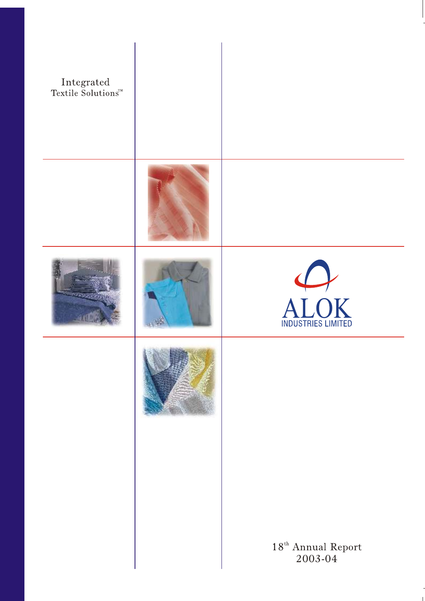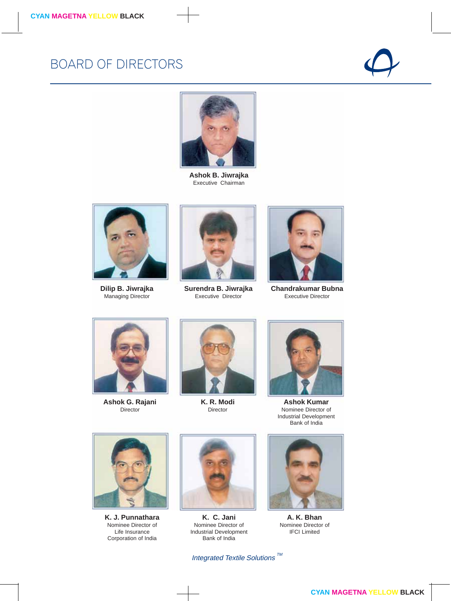### BOARD OF DIRECTORS





**Ashok B. Jiwrajka** Executive Chairman



**Dilip B. Jiwrajka** Managing Director



**Surendra B. Jiwrajka** Executive Director



**Chandrakumar Bubna** Executive Director



**Ashok G. Rajani** Director



**K. R. Modi** Director



**Ashok Kumar** Nominee Director of Industrial Development Bank of India



**K. J. Punnathara** Nominee Director of Life Insurance Corporation of India



**K. C. Jani** Nominee Director of Industrial Development Bank of India



**A. K. Bhan** Nominee Director of IFCI Limited

Integrated Textile Solutions  $\frac{m}{2}$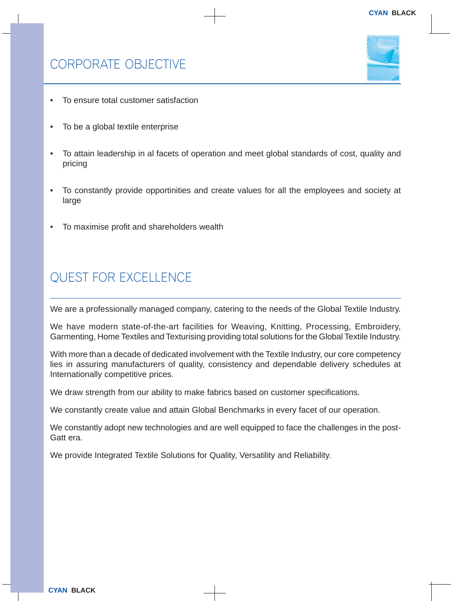

- To ensure total customer satisfaction
- To be a global textile enterprise
- To attain leadership in al facets of operation and meet global standards of cost, quality and pricing
- To constantly provide opportinities and create values for all the employees and society at large
- To maximise profit and shareholders wealth

## QUEST FOR EXCELLENCE

We are a professionally managed company, catering to the needs of the Global Textile Industry.

We have modern state-of-the-art facilities for Weaving, Knitting, Processing, Embroidery, Garmenting, Home Textiles and Texturising providing total solutions for the Global Textile Industry.

With more than a decade of dedicated involvement with the Textile Industry, our core competency lies in assuring manufacturers of quality, consistency and dependable delivery schedules at Internationally competitive prices.

We draw strength from our ability to make fabrics based on customer specifications.

We constantly create value and attain Global Benchmarks in every facet of our operation.

We constantly adopt new technologies and are well equipped to face the challenges in the post-Gatt era.

We provide Integrated Textile Solutions for Quality, Versatility and Reliability.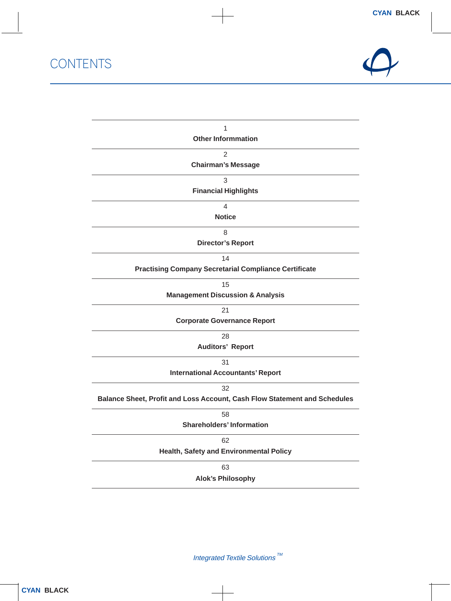**CONTENTS** 



| 1                                                                         |
|---------------------------------------------------------------------------|
| <b>Other Informmation</b>                                                 |
| $\overline{2}$                                                            |
| <b>Chairman's Message</b>                                                 |
| 3                                                                         |
| <b>Financial Highlights</b>                                               |
| 4                                                                         |
| <b>Notice</b>                                                             |
| 8                                                                         |
| <b>Director's Report</b>                                                  |
| 14                                                                        |
| <b>Practising Company Secretarial Compliance Certificate</b>              |
| 15                                                                        |
| <b>Management Discussion &amp; Analysis</b>                               |
| 21                                                                        |
| <b>Corporate Governance Report</b>                                        |
| 28                                                                        |
| <b>Auditors' Report</b>                                                   |
| 31                                                                        |
| <b>International Accountants' Report</b>                                  |
| 32                                                                        |
| Balance Sheet, Profit and Loss Account, Cash Flow Statement and Schedules |
| 58                                                                        |
| <b>Shareholders' Information</b>                                          |
| 62                                                                        |
| Health, Safety and Environmental Policy                                   |
| 63                                                                        |
| <b>Alok's Philosophy</b>                                                  |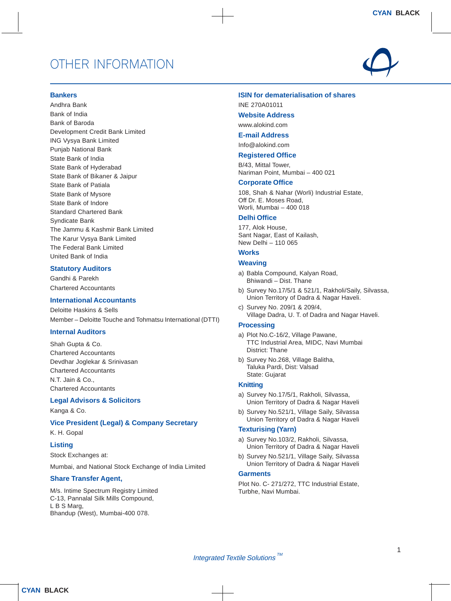### OTHER INFORMATION



#### **Bankers**

Andhra Bank Bank of India Bank of Baroda Development Credit Bank Limited ING Vysya Bank Limited Punjab National Bank State Bank of India State Bank of Hyderabad State Bank of Bikaner & Jaipur State Bank of Patiala State Bank of Mysore State Bank of Indore Standard Chartered Bank Syndicate Bank The Jammu & Kashmir Bank Limited The Karur Vysya Bank Limited The Federal Bank Limited United Bank of India

#### **Statutory Auditors**

Gandhi & Parekh Chartered Accountants

#### **International Accountants**

Deloitte Haskins & Sells Member – Deloitte Touche and Tohmatsu International (DTTI)

#### **Internal Auditors**

Shah Gupta & Co. Chartered Accountants Devdhar Joglekar & Srinivasan Chartered Accountants N.T. Jain & Co., Chartered Accountants

#### **Legal Advisors & Solicitors**

Kanga & Co.

#### **Vice President (Legal) & Company Secretary**

K. H. Gopal

#### **Listing**

Stock Exchanges at:

Mumbai, and National Stock Exchange of India Limited

#### **Share Transfer Agent,**

M/s. Intime Spectrum Registry Limited C-13, Pannalal Silk Mills Compound, L B S Marg, Bhandup (West), Mumbai-400 078.

#### **ISIN for dematerialisation of shares**

INE 270A01011

#### **Website Address**

www.alokind.com

#### **E-mail Address**

Info@alokind.com

#### **Registered Office**

B/43, Mittal Tower, Nariman Point, Mumbai – 400 021

#### **Corporate Office**

108, Shah & Nahar (Worli) Industrial Estate, Off Dr. E. Moses Road, Worli, Mumbai – 400 018

#### **Delhi Office**

177, Alok House, Sant Nagar, East of Kailash, New Delhi – 110 065

#### **Works**

#### **Weaving**

- a) Babla Compound, Kalyan Road, Bhiwandi – Dist. Thane
- b) Survey No.17/5/1 & 521/1, Rakholi/Saily, Silvassa, Union Territory of Dadra & Nagar Haveli.
- c) Survey No. 209/1 & 209/4, Village Dadra, U. T. of Dadra and Nagar Haveli.

#### **Processing**

- a) Plot No.C-16/2, Village Pawane, TTC Industrial Area, MIDC, Navi Mumbai District: Thane
- b) Survey No.268, Village Balitha, Taluka Pardi, Dist: Valsad State: Gujarat

#### **Knitting**

- a) Survey No.17/5/1, Rakholi, Silvassa, Union Territory of Dadra & Nagar Haveli
- b) Survey No.521/1, Village Saily, Silvassa Union Territory of Dadra & Nagar Haveli

#### **Texturising (Yarn)**

- a) Survey No.103/2, Rakholi, Silvassa, Union Territory of Dadra & Nagar Haveli
- b) Survey No.521/1, Village Saily, Silvassa Union Territory of Dadra & Nagar Haveli

#### **Garments**

Plot No. C- 271/272, TTC Industrial Estate, Turbhe, Navi Mumbai.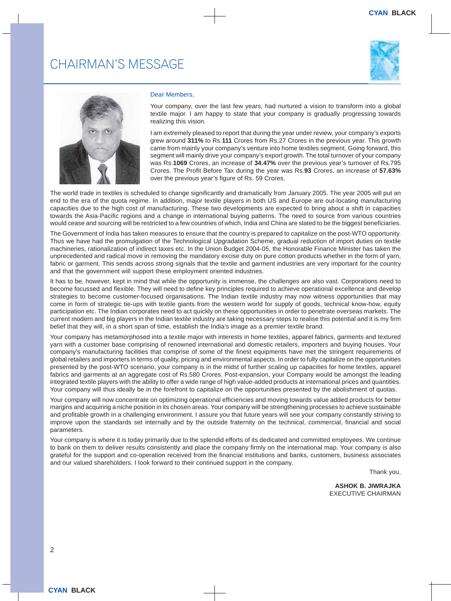### CHAIRMAN'S MESSAGE





#### Dear Members,

Your company, over the last few years, had nurtured a vision to transform into a global textile major. I am happy to state that your company is gradually progressing towards realizing this vision.

I am extremely pleased to report that during the year under review, your company's exports grew around **311%** to Rs.**111** Crores from Rs.27 Crores in the previous year. This growth came from mainly your company's venture into home textiles segment. Going forward, this segment will mainly drive your company's export growth. The total turnover of your company was Rs.**1069** Crores, an increase of **34.47%** over the previous year's turnover of Rs.795 Crores. The Profit Before Tax during the year was Rs.**93** Crores, an increase of **57.63%** over the previous year's figure of Rs. 59 Crores.

The world trade in textiles is scheduled to change significantly and dramatically from January 2005. The year 2005 will put an end to the era of the quota regime. In addition, major textile players in both US and Europe are out-locating manufacturing capacities due to the high cost of manufacturing. These two developments are expected to bring about a shift in capacities towards the Asia-Pacific regions and a change in international buying patterns. The need to source from various countries would cease and sourcing will be restricted to a few countries of which, India and China are slated to be the biggest beneficiaries.

The Government of India has taken measures to ensure that the country is prepared to capitalize on the post-WTO opportunity. Thus we have had the promulgation of the Technological Upgradation Scheme, gradual reduction of import duties on textile machineries, rationalization of indirect taxes etc. In the Union Budget 2004-05, the Honorable Finance Minister has taken the unprecedented and radical move in removing the mandatory excise duty on pure cotton products whether in the form of yarn, fabric or garment. This sends across strong signals that the textile and garment industries are very important for the country and that the government will support these employment oriented industries.

It has to be, however, kept in mind that while the opportunity is immense, the challenges are also vast. Corporations need to become focussed and flexible. They will need to define key principles required to achieve operational excellence and develop strategies to become customer-focused organisations. The Indian textile industry may now witness opportunities that may come in form of strategic tie-ups with textile giants from the western world for supply of goods, technical know-how, equity participation etc. The Indian corporates need to act quickly on these opportunities in order to penetrate overseas markets. The current modern and big players in the Indian textile industry are taking necessary steps to realise this potential and it is my firm belief that they will, in a short span of time, establish the India's image as a premier textile brand.

Your company has metamorphosed into a textile major with interests in home textiles, apparel fabrics, garments and textured yarn with a customer base comprising of renowned international and domestic retailers, importers and buying houses. Your company's manufacturing facilities that comprise of some of the finest equipments have met the stringent requirements of global retailers and importers in terms of quality, pricing and environmental aspects. In order to fully capitalize on the opportunities presented by the post-WTO scenario, your company is in the midst of further scaling up capacities for home textiles, apparel fabrics and garments at an aggregate cost of Rs.580 Crores. Post-expansion, your Company would be amongst the leading integrated textile players with the ability to offer a wide range of high value-added products at international prices and quantities. Your company will thus ideally be in the forefront to capitalize on the opportunities presented by the abolishment of quotas.

Your company will now concentrate on optimizing operational efficiencies and moving towards value added products for better margins and acquiring a niche position in its chosen areas. Your company will be strengthening processes to achieve sustainable and profitable growth in a challenging environment. I assure you that future years will see your company constantly striving to improve upon the standards set internally and by the outside fraternity on the technical, commercial, financial and social parameters.

Your company is where it is today primarily due to the splendid efforts of its dedicated and committed employees. We continue to bank on them to deliver results consistently and place the company firmly on the international map. Your company is also grateful for the support and co-operation received from the financial institutions and banks, customers, business associates and our valued shareholders. I look forward to their continued support in the company.

Thank you,

**ASHOK B. JIWRAJKA** EXECUTIVE CHAIRMAN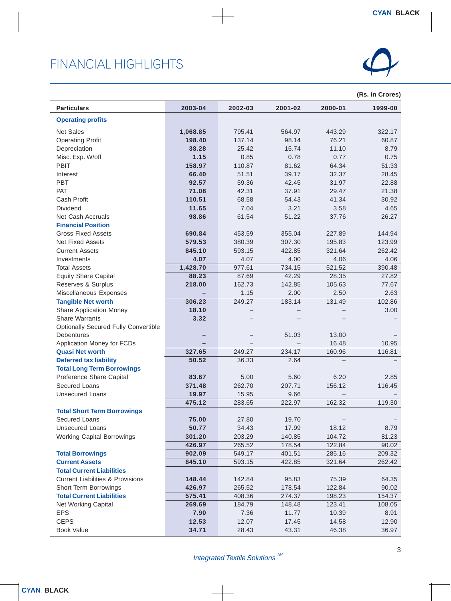

| <b>Particulars</b>                                               | 2003-04  | 2002-03 | 2001-02 | 2000-01 | 1999-00 |
|------------------------------------------------------------------|----------|---------|---------|---------|---------|
| <b>Operating profits</b>                                         |          |         |         |         |         |
| <b>Net Sales</b>                                                 | 1,068.85 | 795.41  | 564.97  | 443.29  | 322.17  |
| <b>Operating Profit</b>                                          | 198.40   | 137.14  | 98.14   | 76.21   | 60.87   |
| Depreciation                                                     | 38.28    | 25.42   | 15.74   | 11.10   | 8.79    |
| Misc. Exp. W/off                                                 | 1.15     | 0.85    | 0.78    | 0.77    | 0.75    |
| PBIT                                                             | 158.97   | 110.87  | 81.62   | 64.34   | 51.33   |
| Interest                                                         | 66.40    | 51.51   | 39.17   | 32.37   | 28.45   |
| PBT                                                              | 92.57    | 59.36   | 42.45   | 31.97   | 22.88   |
| PAT                                                              | 71.08    | 42.31   | 37.91   | 29.47   | 21.38   |
| Cash Profit                                                      | 110.51   | 68.58   | 54.43   | 41.34   | 30.92   |
| Dividend                                                         | 11.65    | 7.04    | 3.21    | 3.58    | 4.65    |
| Net Cash Accruals                                                | 98.86    | 61.54   | 51.22   | 37.76   | 26.27   |
| <b>Financial Position</b>                                        |          |         |         |         |         |
| <b>Gross Fixed Assets</b>                                        | 690.84   | 453.59  | 355.04  | 227.89  | 144.94  |
| <b>Net Fixed Assets</b>                                          | 579.53   | 380.39  | 307.30  | 195.83  | 123.99  |
| <b>Current Assets</b>                                            | 845.10   | 593.15  | 422.85  | 321.64  | 262.42  |
| Investments                                                      | 4.07     | 4.07    | 4.00    | 4.06    | 4.06    |
| <b>Total Assets</b>                                              | 1,428.70 | 977.61  | 734.15  | 521.52  | 390.48  |
| <b>Equity Share Capital</b>                                      | 88.23    | 87.69   | 42.29   | 28.35   | 27.82   |
| Reserves & Surplus                                               | 218.00   | 162.73  | 142.85  | 105.63  | 77.67   |
| Miscellaneous Expenses                                           | -        | 1.15    | 2.00    | 2.50    | 2.63    |
| <b>Tangible Net worth</b>                                        | 306.23   | 249.27  | 183.14  | 131.49  | 102.86  |
| Share Application Money                                          | 18.10    |         |         |         | 3.00    |
| <b>Share Warrants</b>                                            | 3.32     |         |         |         |         |
| <b>Optionally Secured Fully Convertible</b><br><b>Debentures</b> |          |         | 51.03   | 13.00   |         |
| Application Money for FCDs                                       |          |         |         | 16.48   | 10.95   |
| <b>Quasi Net worth</b>                                           | 327.65   | 249.27  | 234.17  | 160.96  | 116.81  |
| <b>Deferred tax liability</b>                                    | 50.52    | 36.33   | 2.64    |         |         |
| <b>Total Long Term Borrowings</b>                                |          |         |         |         |         |
| Preference Share Capital                                         | 83.67    | 5.00    | 5.60    | 6.20    | 2.85    |
| Secured Loans                                                    | 371.48   | 262.70  | 207.71  | 156.12  | 116.45  |
| <b>Unsecured Loans</b>                                           | 19.97    | 15.95   | 9.66    |         |         |
|                                                                  | 475.12   | 283.65  | 222.97  | 162.32  | 119.30  |
| <b>Total Short Term Borrowings</b>                               |          |         |         |         |         |
| <b>Secured Loans</b>                                             | 75.00    | 27.80   | 19.70   |         |         |
| <b>Unsecured Loans</b>                                           | 50.77    | 34.43   | 17.99   | 18.12   | 8.79    |
| <b>Working Capital Borrowings</b>                                | 301.20   | 203.29  | 140.85  | 104.72  | 81.23   |
|                                                                  | 426.97   | 265.52  | 178.54  | 122.84  | 90.02   |
| <b>Total Borrowings</b>                                          | 902.09   | 549.17  | 401.51  | 285.16  | 209.32  |
| <b>Current Assets</b>                                            | 845.10   | 593.15  | 422.85  | 321.64  | 262.42  |
| <b>Total Current Liabilities</b>                                 |          |         |         |         |         |
| <b>Current Liabilities &amp; Provisions</b>                      | 148.44   | 142.84  | 95.83   | 75.39   | 64.35   |
| <b>Short Term Borrowings</b>                                     | 426.97   | 265.52  | 178.54  | 122.84  | 90.02   |
| <b>Total Current Liabilities</b>                                 | 575.41   | 408.36  | 274.37  | 198.23  | 154.37  |
| Net Working Capital                                              | 269.69   | 184.79  | 148.48  | 123.41  | 108.05  |
| <b>EPS</b>                                                       | 7.90     | 7.36    | 11.77   | 10.39   | 8.91    |
| <b>CEPS</b>                                                      | 12.53    | 12.07   | 17.45   | 14.58   | 12.90   |
| <b>Book Value</b>                                                | 34.71    | 28.43   | 43.31   | 46.38   | 36.97   |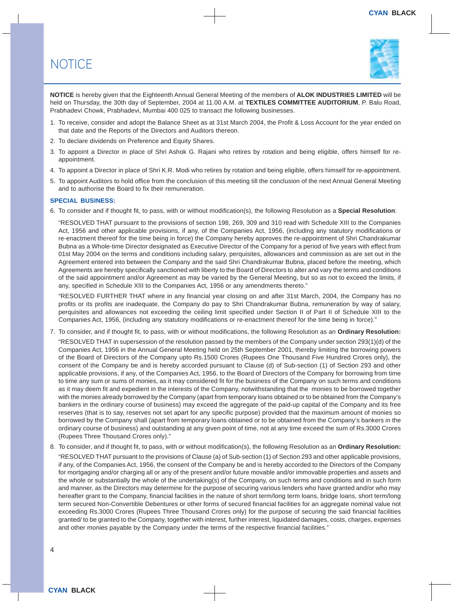### **NOTICE**



**NOTICE** is hereby given that the Eighteenth Annual General Meeting of the members of **ALOK INDUSTRIES LIMITED** will be held on Thursday, the 30th day of September, 2004 at 11.00 A.M. at **TEXTILES COMMITTEE AUDITORIUM**, P. Balu Road, Prabhadevi Chowk, Prabhadevi, Mumbai 400 025 to transact the following businesses.

- 1. To receive, consider and adopt the Balance Sheet as at 31st March 2004, the Profit & Loss Account for the year ended on that date and the Reports of the Directors and Auditors thereon.
- 2. To declare dividends on Preference and Equity Shares.
- 3. To appoint a Director in place of Shri Ashok G. Rajani who retires by rotation and being eligible, offers himself for reappointment.
- 4. To appoint a Director in place of Shri K.R. Modi who retires by rotation and being eligible, offers himself for re-appointment.
- 5. To appoint Auditors to hold office from the conclusion of this meeting till the conclusion of the next Annual General Meeting and to authorise the Board to fix their remuneration.

#### **SPECIAL BUSINESS:**

6. To consider and if thought fit, to pass, with or without modification(s), the following Resolution as a **Special Resolution**:

"RESOLVED THAT pursuant to the provisions of section 198, 269, 309 and 310 read with Schedule XIII to the Companies Act, 1956 and other applicable provisions, if any, of the Companies Act, 1956, (including any statutory modifications or re-enactment thereof for the time being in force) the Company hereby approves the re-appointment of Shri Chandrakumar Bubna as a Whole-time Director designated as Executive Director of the Company for a period of five years with effect from 01st May 2004 on the terms and conditions including salary, perquisites, allowances and commission as are set out in the Agreement entered into between the Company and the said Shri Chandrakumar Bubna, placed before the meeting, which Agreements are hereby specifically sanctioned with liberty to the Board of Directors to alter and vary the terms and conditions of the said appointment and/or Agreement as may be varied by the General Meeting, but so as not to exceed the limits, if any, specified in Schedule XIII to the Companies Act, 1956 or any amendments thereto."

"RESOLVED FURTHER THAT where in any financial year closing on and after 31st March, 2004, the Company has no profits or its profits are inadequate, the Company do pay to Shri Chandrakumar Bubna, remuneration by way of salary, perquisites and allowances not exceeding the ceiling limit specified under Section II of Part II of Schedule XIII to the Companies Act, 1956, (including any statutory modifications or re-enactment thereof for the time being in force)."

7. To consider, and if thought fit, to pass, with or without modifications, the following Resolution as an **Ordinary Resolution:**

"RESOLVED THAT in supersession of the resolution passed by the members of the Company under section 293(1)(d) of the Companies Act, 1956 in the Annual General Meeting held on 25th September 2001, thereby limiting the borrowing powers of the Board of Directors of the Company upto Rs.1500 Crores (Rupees One Thousand Five Hundred Crores only), the consent of the Company be and is hereby accorded pursuant to Clause (d) of Sub-section (1) of Section 293 and other applicable provisions, if any, of the Companies Act, 1956, to the Board of Directors of the Company for borrowing from time to time any sum or sums of monies, as it may considered fit for the business of the Company on such terms and conditions as it may deem fit and expedient in the interests of the Company, notwithstanding that the monies to be borrowed together with the monies already borrowed by the Company (apart from temporary loans obtained or to be obtained from the Company's bankers in the ordinary course of business) may exceed the aggregate of the paid-up capital of the Company and its free reserves (that is to say, reserves not set apart for any specific purpose) provided that the maximum amount of monies so borrowed by the Company shall (apart from temporary loans obtained or to be obtained from the Company's bankers in the ordinary course of business) and outstanding at any given point of time, not at any time exceed the sum of Rs.3000 Crores (Rupees Three Thousand Crores only)."

8. To consider, and if thought fit, to pass, with or without modification(s), the following Resolution as an **Ordinary Resolution:**

"RESOLVED THAT pursuant to the provisions of Clause (a) of Sub-section (1) of Section 293 and other applicable provisions, if any, of the Companies Act, 1956, the consent of the Company be and is hereby accorded to the Directors of the Company for mortgaging and/or charging all or any of the present and/or future movable and/or immovable properties and assets and the whole or substantially the whole of the undertaking(s) of the Company, on such terms and conditions and in such form and manner, as the Directors may determine for the purpose of securing various lenders who have granted and/or who may hereafter grant to the Company, financial facilities in the nature of short term/long term loans, bridge loans, short term/long term secured Non-Convertible Debentures or other forms of secured financial facilities for an aggregate nominal value not exceeding Rs.3000 Crores (Rupees Three Thousand Crores only) for the purpose of securing the said financial facilities granted/ to be granted to the Company, together with interest, further interest, liquidated damages, costs, charges, expenses and other monies payable by the Company under the terms of the respective financial facilities."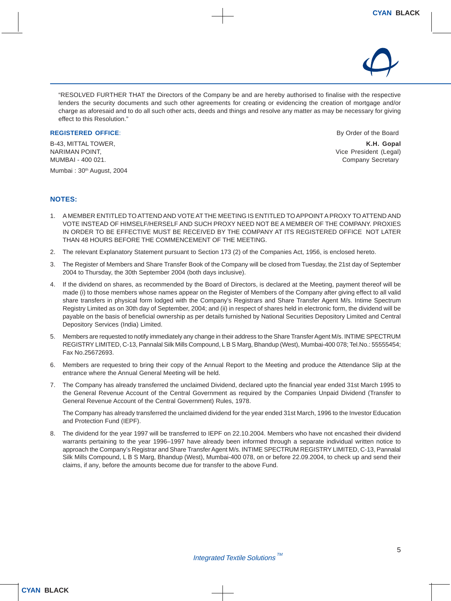

"RESOLVED FURTHER THAT the Directors of the Company be and are hereby authorised to finalise with the respective lenders the security documents and such other agreements for creating or evidencing the creation of mortgage and/or charge as aforesaid and to do all such other acts, deeds and things and resolve any matter as may be necessary for giving effect to this Resolution."

#### **REGISTERED OFFICE:** By Order of the Board

NARIMAN POINT, THE SECOND SECOND ASSESSMENT OF THE SECOND VICE President (Legal) MUMBAI - 400 021. Company Secretary

Mumbai: 30<sup>th</sup> August, 2004

B-43, MITTAL TOWER, **K.H. Gopal**

#### **NOTES:**

- 1. A MEMBER ENTITLED TO ATTEND AND VOTE AT THE MEETING IS ENTITLED TO APPOINT A PROXY TO ATTEND AND VOTE INSTEAD OF HIMSELF/HERSELF AND SUCH PROXY NEED NOT BE A MEMBER OF THE COMPANY. PROXIES IN ORDER TO BE EFFECTIVE MUST BE RECEIVED BY THE COMPANY AT ITS REGISTERED OFFICE NOT LATER THAN 48 HOURS BEFORE THE COMMENCEMENT OF THE MEETING.
- 2. The relevant Explanatory Statement pursuant to Section 173 (2) of the Companies Act, 1956, is enclosed hereto.
- 3. The Register of Members and Share Transfer Book of the Company will be closed from Tuesday, the 21st day of September 2004 to Thursday, the 30th September 2004 (both days inclusive).
- 4. If the dividend on shares, as recommended by the Board of Directors, is declared at the Meeting, payment thereof will be made (i) to those members whose names appear on the Register of Members of the Company after giving effect to all valid share transfers in physical form lodged with the Company's Registrars and Share Transfer Agent M/s. Intime Spectrum Registry Limited as on 30th day of September, 2004; and (ii) in respect of shares held in electronic form, the dividend will be payable on the basis of beneficial ownership as per details furnished by National Securities Depository Limited and Central Depository Services (India) Limited.
- 5. Members are requested to notify immediately any change in their address to the Share Transfer Agent M/s. INTIME SPECTRUM REGISTRY LIMITED, C-13, Pannalal Silk Mills Compound, L B S Marg, Bhandup (West), Mumbai-400 078; Tel.No.: 55555454; Fax No.25672693.
- 6. Members are requested to bring their copy of the Annual Report to the Meeting and produce the Attendance Slip at the entrance where the Annual General Meeting will be held.
- 7. The Company has already transferred the unclaimed Dividend, declared upto the financial year ended 31st March 1995 to the General Revenue Account of the Central Government as required by the Companies Unpaid Dividend (Transfer to General Revenue Account of the Central Government) Rules, 1978.

The Company has already transferred the unclaimed dividend for the year ended 31st March, 1996 to the Investor Education and Protection Fund (IEPF).

8. The dividend for the year 1997 will be transferred to IEPF on 22.10.2004. Members who have not encashed their dividend warrants pertaining to the year 1996–1997 have already been informed through a separate individual written notice to approach the Company's Registrar and Share Transfer Agent M/s. INTIME SPECTRUM REGISTRY LIMITED, C-13, Pannalal Silk Mills Compound, L B S Marg, Bhandup (West), Mumbai-400 078, on or before 22.09.2004, to check up and send their claims, if any, before the amounts become due for transfer to the above Fund.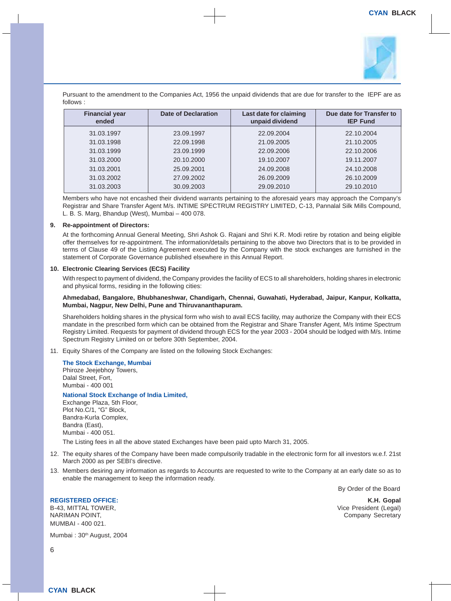

Pursuant to the amendment to the Companies Act, 1956 the unpaid dividends that are due for transfer to the IEPF are as follows :

| <b>Financial year</b><br>ended | Date of Declaration | Last date for claiming<br>unpaid dividend | Due date for Transfer to<br><b>IEP Fund</b> |
|--------------------------------|---------------------|-------------------------------------------|---------------------------------------------|
| 31.03.1997                     | 23.09.1997          | 22.09.2004                                | 22.10.2004                                  |
| 31.03.1998                     | 22.09.1998          | 21.09.2005                                | 21.10.2005                                  |
| 31.03.1999                     | 23.09.1999          | 22.09.2006                                | 22.10.2006                                  |
| 31.03.2000                     | 20.10.2000          | 19.10.2007                                | 19.11.2007                                  |
| 31.03.2001                     | 25.09.2001          | 24.09.2008                                | 24.10.2008                                  |
| 31.03.2002                     | 27.09.2002          | 26.09.2009                                | 26.10.2009                                  |
| 31.03.2003                     | 30.09.2003          | 29.09.2010                                | 29.10.2010                                  |

Members who have not encashed their dividend warrants pertaining to the aforesaid years may approach the Company's Registrar and Share Transfer Agent M/s. INTIME SPECTRUM REGISTRY LIMITED, C-13, Pannalal Silk Mills Compound, L. B. S. Marg, Bhandup (West), Mumbai – 400 078.

#### **9. Re-appointment of Directors:**

At the forthcoming Annual General Meeting, Shri Ashok G. Rajani and Shri K.R. Modi retire by rotation and being eligible offer themselves for re-appointment. The information/details pertaining to the above two Directors that is to be provided in terms of Clause 49 of the Listing Agreement executed by the Company with the stock exchanges are furnished in the statement of Corporate Governance published elsewhere in this Annual Report.

#### **10. Electronic Clearing Services (ECS) Facility**

With respect to payment of dividend, the Company provides the facility of ECS to all shareholders, holding shares in electronic and physical forms, residing in the following cities:

#### **Ahmedabad, Bangalore, Bhubhaneshwar, Chandigarh, Chennai, Guwahati, Hyderabad, Jaipur, Kanpur, Kolkatta, Mumbai, Nagpur, New Delhi, Pune and Thiruvananthapuram.**

Shareholders holding shares in the physical form who wish to avail ECS facility, may authorize the Company with their ECS mandate in the prescribed form which can be obtained from the Registrar and Share Transfer Agent, M/s Intime Spectrum Registry Limited. Requests for payment of dividend through ECS for the year 2003 - 2004 should be lodged with M/s. Intime Spectrum Registry Limited on or before 30th September, 2004.

11. Equity Shares of the Company are listed on the following Stock Exchanges:

#### **The Stock Exchange, Mumbai**

Phiroze Jeejebhoy Towers, Dalal Street, Fort, Mumbai - 400 001

#### **National Stock Exchange of India Limited,**

Exchange Plaza, 5th Floor, Plot No.C/1, "G" Block, Bandra-Kurla Complex, Bandra (East), Mumbai - 400 051.

The Listing fees in all the above stated Exchanges have been paid upto March 31, 2005.

- 12. The equity shares of the Company have been made compulsorily tradable in the electronic form for all investors w.e.f. 21st March 2000 as per SEBI's directive.
- 13. Members desiring any information as regards to Accounts are requested to write to the Company at an early date so as to enable the management to keep the information ready.

By Order of the Board

B-43, MITTAL TOWER, THE SECOND SECOND SECOND SECOND SECOND SECOND SECOND SECOND SECOND SECOND SECOND SECOND SECOND SECOND SECOND SECOND SECOND SECOND SECOND SECOND SECOND SECOND SECOND SECOND SECOND SECOND SECOND SECOND SE MUMBAI - 400 021.

**REGISTERED OFFICE: K.H. Gopal** Company Secretary

Mumbai: 30<sup>th</sup> August, 2004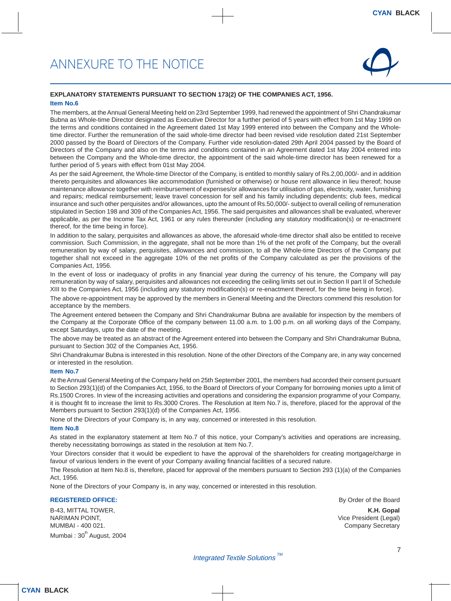

#### **EXPLANATORY STATEMENTS PURSUANT TO SECTION 173(2) OF THE COMPANIES ACT, 1956.**

#### **Item No.6**

The members, at the Annual General Meeting held on 23rd September 1999, had renewed the appointment of Shri Chandrakumar Bubna as Whole-time Director designated as Executive Director for a further period of 5 years with effect from 1st May 1999 on the terms and conditions contained in the Agreement dated 1st May 1999 entered into between the Company and the Wholetime director. Further the remuneration of the said whole-time director had been revised vide resolution dated 21st September 2000 passed by the Board of Directors of the Company. Further vide resolution-dated 29th April 2004 passed by the Board of Directors of the Company and also on the terms and conditions contained in an Agreement dated 1st May 2004 entered into between the Company and the Whole-time director, the appointment of the said whole-time director has been renewed for a further period of 5 years with effect from 01st May 2004.

As per the said Agreement, the Whole-time Director of the Company, is entitled to monthly salary of Rs.2,00,000/- and in addition thereto perquisites and allowances like accommodation (furnished or otherwise) or house rent allowance in lieu thereof; house maintenance allowance together with reimbursement of expenses/or allowances for utilisation of gas, electricity, water, furnishing and repairs; medical reimbursement; leave travel concession for self and his family including dependents; club fees, medical insurance and such other perquisites and/or allowances, upto the amount of Rs.50,000/- subject to overall ceiling of remuneration stipulated in Section 198 and 309 of the Companies Act, 1956. The said perquisites and allowances shall be evaluated, wherever applicable, as per the Income Tax Act, 1961 or any rules thereunder (including any statutory modification(s) or re-enactment thereof, for the time being in force).

In addition to the salary, perquisites and allowances as above, the aforesaid whole-time director shall also be entitled to receive commission. Such Commission, in the aggregate, shall not be more than 1% of the net profit of the Company, but the overall remuneration by way of salary, perquisites, allowances and commission, to all the Whole-time Directors of the Company put together shall not exceed in the aggregate 10% of the net profits of the Company calculated as per the provisions of the Companies Act, 1956.

In the event of loss or inadequacy of profits in any financial year during the currency of his tenure, the Company will pay remuneration by way of salary, perquisites and allowances not exceeding the ceiling limits set out in Section II part II of Schedule XIII to the Companies Act, 1956 (including any statutory modification(s) or re-enactment thereof, for the time being in force).

The above re-appointment may be approved by the members in General Meeting and the Directors commend this resolution for acceptance by the members.

The Agreement entered between the Company and Shri Chandrakumar Bubna are available for inspection by the members of the Company at the Corporate Office of the company between 11.00 a.m. to 1.00 p.m. on all working days of the Company, except Saturdays, upto the date of the meeting.

The above may be treated as an abstract of the Agreement entered into between the Company and Shri Chandrakumar Bubna, pursuant to Section 302 of the Companies Act, 1956.

Shri Chandrakumar Bubna is interested in this resolution. None of the other Directors of the Company are, in any way concerned or interested in the resolution.

#### **Item No.7**

At the Annual General Meeting of the Company held on 25th September 2001, the members had accorded their consent pursuant to Section 293(1)(d) of the Companies Act, 1956, to the Board of Directors of your Company for borrowing monies upto a limit of Rs.1500 Crores. In view of the increasing activities and operations and considering the expansion programme of your Company, it is thought fit to increase the limit to Rs.3000 Crores. The Resolution at Item No.7 is, therefore, placed for the approval of the Members pursuant to Section 293(1)(d) of the Companies Act, 1956.

None of the Directors of your Company is, in any way, concerned or interested in this resolution.

#### **Item No.8**

As stated in the explanatory statement at Item No.7 of this notice, your Company's activities and operations are increasing, thereby necessitating borrowings as stated in the resolution at Item No.7.

Your Directors consider that it would be expedient to have the approval of the shareholders for creating mortgage/charge in favour of various lenders in the event of your Company availing financial facilities of a secured nature.

The Resolution at Item No.8 is, therefore, placed for approval of the members pursuant to Section 293 (1)(a) of the Companies Act, 1956.

None of the Directors of your Company is, in any way, concerned or interested in this resolution.

#### **REGISTERED OFFICE: By Order of the Board**

B-43, MITTAL TOWER, **K.H. Gopal** MUMBAI - 400 021. Company Secretary

Mumbai:  $30<sup>th</sup>$  August, 2004

Vice President (Legal)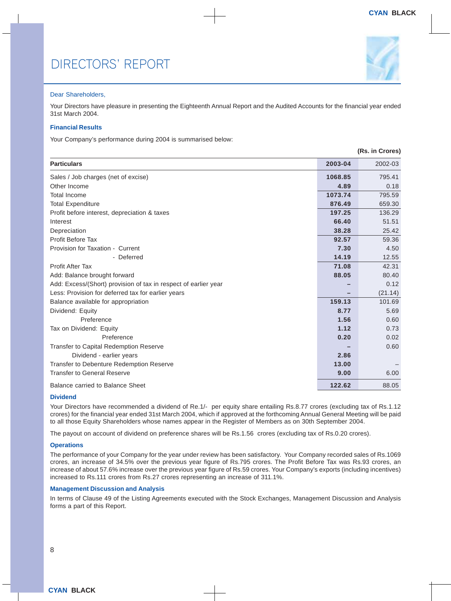

#### Dear Shareholders,

Your Directors have pleasure in presenting the Eighteenth Annual Report and the Audited Accounts for the financial year ended 31st March 2004.

#### **Financial Results**

Your Company's performance during 2004 is summarised below:

|                                                                 |         | (Rs. in Crores) |
|-----------------------------------------------------------------|---------|-----------------|
| <b>Particulars</b>                                              | 2003-04 | 2002-03         |
| Sales / Job charges (net of excise)                             | 1068.85 | 795.41          |
| Other Income                                                    | 4.89    | 0.18            |
| Total Income                                                    | 1073.74 | 795.59          |
| <b>Total Expenditure</b>                                        | 876.49  | 659.30          |
| Profit before interest, depreciation & taxes                    | 197.25  | 136.29          |
| Interest                                                        | 66.40   | 51.51           |
| Depreciation                                                    | 38.28   | 25.42           |
| <b>Profit Before Tax</b>                                        | 92.57   | 59.36           |
| Provision for Taxation - Current                                | 7.30    | 4.50            |
| - Deferred                                                      | 14.19   | 12.55           |
| <b>Profit After Tax</b>                                         | 71.08   | 42.31           |
| Add: Balance brought forward                                    | 88.05   | 80.40           |
| Add: Excess/(Short) provision of tax in respect of earlier year |         | 0.12            |
| Less: Provision for deferred tax for earlier years              |         | (21.14)         |
| Balance available for appropriation                             | 159.13  | 101.69          |
| Dividend: Equity                                                | 8.77    | 5.69            |
| Preference                                                      | 1.56    | 0.60            |
| Tax on Dividend: Equity                                         | 1.12    | 0.73            |
| Preference                                                      | 0.20    | 0.02            |
| <b>Transfer to Capital Redemption Reserve</b>                   |         | 0.60            |
| Dividend - earlier years                                        | 2.86    |                 |
| Transfer to Debenture Redemption Reserve                        | 13.00   |                 |
| <b>Transfer to General Reserve</b>                              | 9.00    | 6.00            |
| Balance carried to Balance Sheet                                | 122.62  | 88.05           |

#### **Dividend**

Your Directors have recommended a dividend of Re.1/- per equity share entailing Rs.8.77 crores (excluding tax of Rs.1.12 crores) for the financial year ended 31st March 2004, which if approved at the forthcoming Annual General Meeting will be paid to all those Equity Shareholders whose names appear in the Register of Members as on 30th September 2004.

The payout on account of dividend on preference shares will be Rs.1.56 crores (excluding tax of Rs.0.20 crores).

#### **Operations**

The performance of your Company for the year under review has been satisfactory. Your Company recorded sales of Rs.1069 crores, an increase of 34.5% over the previous year figure of Rs.795 crores. The Profit Before Tax was Rs.93 crores, an increase of about 57.6% increase over the previous year figure of Rs.59 crores. Your Company's exports (including incentives) increased to Rs.111 crores from Rs.27 crores representing an increase of 311.1%.

#### **Management Discussion and Analysis**

In terms of Clause 49 of the Listing Agreements executed with the Stock Exchanges, Management Discussion and Analysis forms a part of this Report.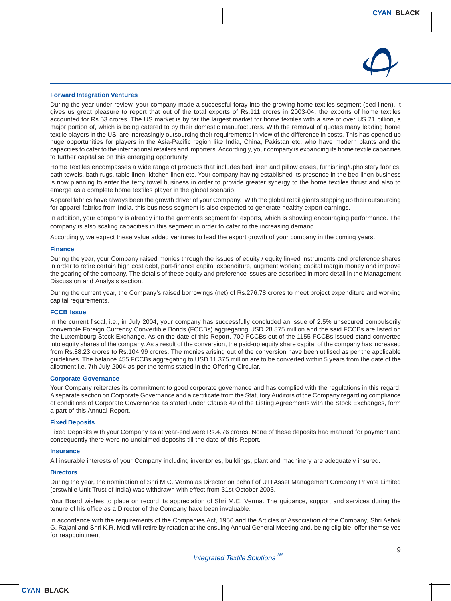

#### **Forward Integration Ventures**

During the year under review, your company made a successful foray into the growing home textiles segment (bed linen). It gives us great pleasure to report that out of the total exports of Rs.111 crores in 2003-04, the exports of home textiles accounted for Rs.53 crores. The US market is by far the largest market for home textiles with a size of over US 21 billion, a major portion of, which is being catered to by their domestic manufacturers. With the removal of quotas many leading home textile players in the US are increasingly outsourcing their requirements in view of the difference in costs. This has opened up huge opportunities for players in the Asia-Pacific region like India, China, Pakistan etc. who have modern plants and the capacities to cater to the international retailers and importers. Accordingly, your company is expanding its home textile capacities to further capitalise on this emerging opportunity.

Home Textiles encompasses a wide range of products that includes bed linen and pillow cases, furnishing/upholstery fabrics, bath towels, bath rugs, table linen, kitchen linen etc. Your company having established its presence in the bed linen business is now planning to enter the terry towel business in order to provide greater synergy to the home textiles thrust and also to emerge as a complete home textiles player in the global scenario.

Apparel fabrics have always been the growth driver of your Company. With the global retail giants stepping up their outsourcing for apparel fabrics from India, this business segment is also expected to generate healthy export earnings.

In addition, your company is already into the garments segment for exports, which is showing encouraging performance. The company is also scaling capacities in this segment in order to cater to the increasing demand.

Accordingly, we expect these value added ventures to lead the export growth of your company in the coming years.

#### **Finance**

During the year, your Company raised monies through the issues of equity / equity linked instruments and preference shares in order to retire certain high cost debt, part-finance capital expenditure, augment working capital margin money and improve the gearing of the company. The details of these equity and preference issues are described in more detail in the Management Discussion and Analysis section.

During the current year, the Company's raised borrowings (net) of Rs.276.78 crores to meet project expenditure and working capital requirements.

#### **FCCB Issue**

In the current fiscal, i.e., in July 2004, your company has successfully concluded an issue of 2.5% unsecured compulsorily convertible Foreign Currency Convertible Bonds (FCCBs) aggregating USD 28.875 million and the said FCCBs are listed on the Luxembourg Stock Exchange. As on the date of this Report, 700 FCCBs out of the 1155 FCCBs issued stand converted into equity shares of the company. As a result of the conversion, the paid-up equity share capital of the company has increased from Rs.88.23 crores to Rs.104.99 crores. The monies arising out of the conversion have been utilised as per the applicable guidelines. The balance 455 FCCBs aggregating to USD 11.375 million are to be converted within 5 years from the date of the allotment i.e. 7th July 2004 as per the terms stated in the Offering Circular.

#### **Corporate Governance**

Your Company reiterates its commitment to good corporate governance and has complied with the regulations in this regard. A separate section on Corporate Governance and a certificate from the Statutory Auditors of the Company regarding compliance of conditions of Corporate Governance as stated under Clause 49 of the Listing Agreements with the Stock Exchanges, form a part of this Annual Report.

#### **Fixed Deposits**

Fixed Deposits with your Company as at year-end were Rs.4.76 crores. None of these deposits had matured for payment and consequently there were no unclaimed deposits till the date of this Report.

#### **Insurance**

All insurable interests of your Company including inventories, buildings, plant and machinery are adequately insured.

#### **Directors**

During the year, the nomination of Shri M.C. Verma as Director on behalf of UTI Asset Management Company Private Limited (erstwhile Unit Trust of India) was withdrawn with effect from 31st October 2003.

Your Board wishes to place on record its appreciation of Shri M.C. Verma. The guidance, support and services during the tenure of his office as a Director of the Company have been invaluable.

In accordance with the requirements of the Companies Act, 1956 and the Articles of Association of the Company, Shri Ashok G. Rajani and Shri K.R. Modi will retire by rotation at the ensuing Annual General Meeting and, being eligible, offer themselves for reappointment.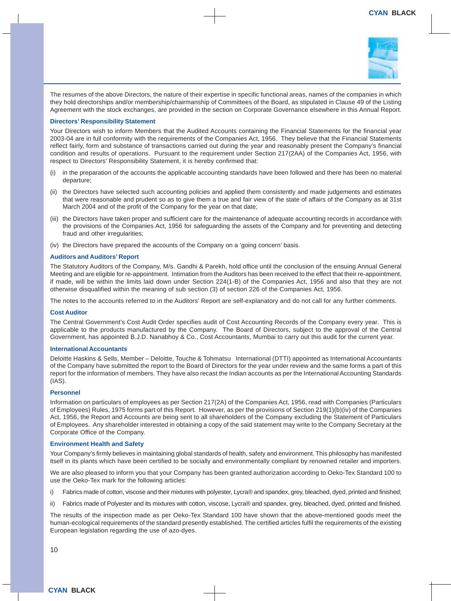

The resumes of the above Directors, the nature of their expertise in specific functional areas, names of the companies in which they hold directorships and/or membership/chairmanship of Committees of the Board, as stipulated in Clause 49 of the Listing Agreement with the stock exchanges, are provided in the section on Corporate Governance elsewhere in this Annual Report.

#### **Directors' Responsibility Statement**

Your Directors wish to inform Members that the Audited Accounts containing the Financial Statements for the financial year 2003-04 are in full conformity with the requirements of the Companies Act, 1956. They believe that the Financial Statements reflect fairly, form and substance of transactions carried out during the year and reasonably present the Company's financial condition and results of operations. Pursuant to the requirement under Section 217(2AA) of the Companies Act, 1956, with respect to Directors' Responsibility Statement, it is hereby confirmed that:

- (i) in the preparation of the accounts the applicable accounting standards have been followed and there has been no material departure;
- (ii) the Directors have selected such accounting policies and applied them consistently and made judgements and estimates that were reasonable and prudent so as to give them a true and fair view of the state of affairs of the Company as at 31st March 2004 and of the profit of the Company for the year on that date;
- (iii) the Directors have taken proper and sufficient care for the maintenance of adequate accounting records in accordance with the provisions of the Companies Act, 1956 for safeguarding the assets of the Company and for preventing and detecting fraud and other irregularities;
- (iv) the Directors have prepared the accounts of the Company on a 'going concern' basis.

#### **Auditors and Auditors' Report**

The Statutory Auditors of the Company, M/s. Gandhi & Parekh, hold office until the conclusion of the ensuing Annual General Meeting and are eligible for re-appointment. Intimation from the Auditors has been received to the effect that their re-appointment, if made, will be within the limits laid down under Section 224(1-B) of the Companies Act, 1956 and also that they are not otherwise disqualified within the meaning of sub section (3) of section 226 of the Companies Act, 1956.

The notes to the accounts referred to in the Auditors' Report are self-explanatory and do not call for any further comments.

#### **Cost Auditor**

The Central Government's Cost Audit Order specifies audit of Cost Accounting Records of the Company every year. This is applicable to the products manufactured by the Company. The Board of Directors, subject to the approval of the Central Government, has appointed B.J.D. Nanabhoy & Co., Cost Accountants, Mumbai to carry out this audit for the current year.

#### **International Accountants**

Deloitte Haskins & Sells, Member – Deloitte, Touche & Tohmatsu International (DTTI) appointed as International Accountants of the Company have submitted the report to the Board of Directors for the year under review and the same forms a part of this report for the information of members. They have also recast the Indian accounts as per the International Accounting Standards (IAS).

#### **Personnel**

Information on particulars of employees as per Section 217(2A) of the Companies Act, 1956, read with Companies (Particulars of Employees) Rules, 1975 forms part of this Report. However, as per the provisions of Section 219(1)(b)(iv) of the Companies Act, 1956, the Report and Accounts are being sent to all shareholders of the Company excluding the Statement of Particulars of Employees. Any shareholder interested in obtaining a copy of the said statement may write to the Company Secretary at the Corporate Office of the Company.

#### **Environment Health and Safety**

Your Company's firmly believes in maintaining global standards of health, safety and environment. This philosophy has manifested itself in its plants which have been certified to be socially and environmentally compliant by renowned retailer and importers.

We are also pleased to inform you that your Company has been granted authorization according to Oeko-Tex Standard 100 to use the Oeko-Tex mark for the following articles:

- i) Fabrics made of cotton, viscose and their mixtures with polyester, Lycra® and spandex, grey, bleached, dyed, printed and finished;
- ii) Fabrics made of Polyester and its mixtures with cotton, viscose, Lycra® and spandex, grey, bleached, dyed, printed and finished.

The results of the inspection made as per Oeko-Tex Standard 100 have shown that the above-mentioned goods meet the human-ecological requirements of the standard presently established. The certified articles fulfil the requirements of the existing European legislation regarding the use of azo-dyes.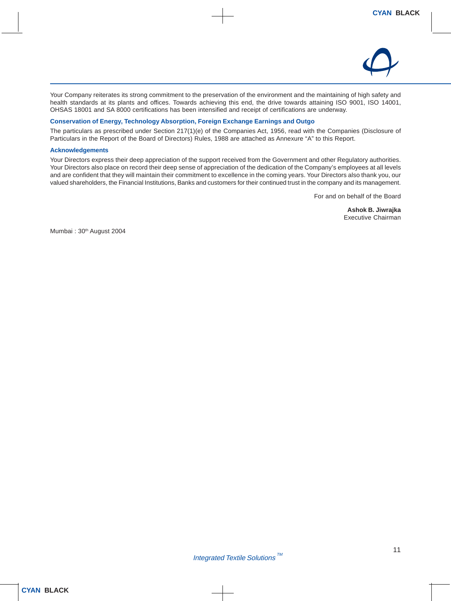

Your Company reiterates its strong commitment to the preservation of the environment and the maintaining of high safety and health standards at its plants and offices. Towards achieving this end, the drive towards attaining ISO 9001, ISO 14001, OHSAS 18001 and SA 8000 certifications has been intensified and receipt of certifications are underway.

#### **Conservation of Energy, Technology Absorption, Foreign Exchange Earnings and Outgo**

The particulars as prescribed under Section 217(1)(e) of the Companies Act, 1956, read with the Companies (Disclosure of Particulars in the Report of the Board of Directors) Rules, 1988 are attached as Annexure "A" to this Report.

#### **Acknowledgements**

Your Directors express their deep appreciation of the support received from the Government and other Regulatory authorities. Your Directors also place on record their deep sense of appreciation of the dedication of the Company's employees at all levels and are confident that they will maintain their commitment to excellence in the coming years. Your Directors also thank you, our valued shareholders, the Financial Institutions, Banks and customers for their continued trust in the company and its management.

For and on behalf of the Board

**Ashok B. Jiwrajka** Executive Chairman

Mumbai: 30<sup>th</sup> August 2004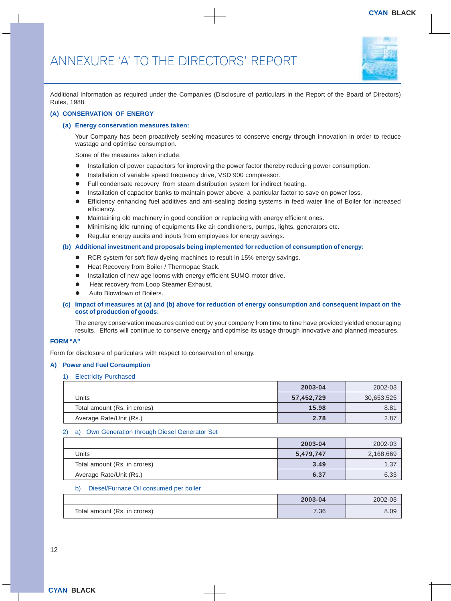

Additional Information as required under the Companies (Disclosure of particulars in the Report of the Board of Directors) Rules, 1988:

#### **(A) CONSERVATION OF ENERGY**

#### **(a) Energy conservation measures taken:**

Your Company has been proactively seeking measures to conserve energy through innovation in order to reduce wastage and optimise consumption.

Some of the measures taken include:

- $\bullet$  Installation of power capacitors for improving the power factor thereby reducing power consumption.
- **Installation of variable speed frequency drive, VSD 900 compressor.**
- Full condensate recovery from steam distribution system for indirect heating.
- Installation of capacitor banks to maintain power above a particular factor to save on power loss.
- Efficiency enhancing fuel additives and anti-sealing dosing systems in feed water line of Boiler for increased efficiency.
- Maintaining old machinery in good condition or replacing with energy efficient ones.
- Minimising idle running of equipments like air conditioners, pumps, lights, generators etc.
- Regular energy audits and inputs from employees for energy savings.

#### **(b) Additional investment and proposals being implemented for reduction of consumption of energy:**

- RCR system for soft flow dyeing machines to result in 15% energy savings.
- Heat Recovery from Boiler / Thermopac Stack.
- Installation of new age looms with energy efficient SUMO motor drive.
- Heat recovery from Loop Steamer Exhaust.
- Auto Blowdown of Boilers.

#### **(c) Impact of measures at (a) and (b) above for reduction of energy consumption and consequent impact on the cost of production of goods:**

The energy conservation measures carried out by your company from time to time have provided yielded encouraging results. Efforts will continue to conserve energy and optimise its usage through innovative and planned measures.

#### **FORM "A"**

Form for disclosure of particulars with respect to conservation of energy.

#### **A) Power and Fuel Consumption**

#### **Electricity Purchased**

|                              | 2003-04    | 2002-03    |
|------------------------------|------------|------------|
| Units                        | 57,452,729 | 30,653,525 |
| Total amount (Rs. in crores) | 15.98      | 8.81       |
| Average Rate/Unit (Rs.)      | 2.78       | 2.87       |

#### 2) a) Own Generation through Diesel Generator Set

|                              | 2003-04   | 2002-03   |
|------------------------------|-----------|-----------|
| Units                        | 5,479,747 | 2,168,669 |
| Total amount (Rs. in crores) | 3.49      | 1.37      |
| Average Rate/Unit (Rs.)      | 6.37      | 6.33      |

#### b) Diesel/Furnace Oil consumed per boiler

|                              | 2003-04 | 2002-03 |
|------------------------------|---------|---------|
| Total amount (Rs. in crores) | 7.36    | 8.09    |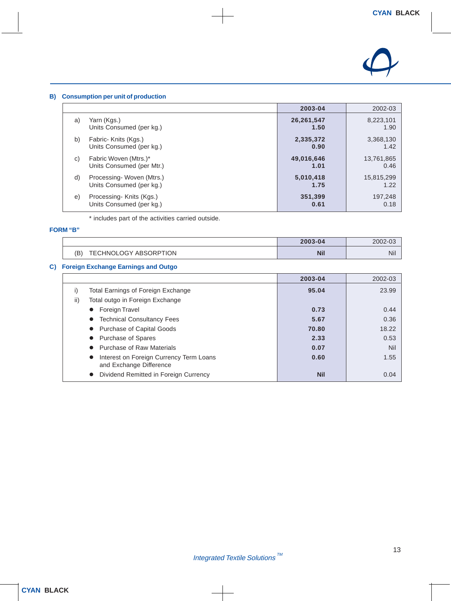

#### **B) Consumption per unit of production**

|    |                           | 2003-04    | 2002-03    |
|----|---------------------------|------------|------------|
| a) | Yarn (Kgs.)               | 26,261,547 | 8,223,101  |
|    | Units Consumed (per kg.)  | 1.50       | 1.90       |
| b) | Fabric- Knits (Kgs.)      | 2,335,372  | 3,368,130  |
|    | Units Consumed (per kg.)  | 0.90       | 1.42       |
| C) | Fabric Woven (Mtrs.)*     | 49,016,646 | 13,761,865 |
|    | Units Consumed (per Mtr.) | 1.01       | 0.46       |
| d) | Processing-Woven (Mtrs.)  | 5,010,418  | 15,815,299 |
|    | Units Consumed (per kg.)  | 1.75       | 1.22       |
| e) | Processing-Knits (Kgs.)   | 351,399    | 197,248    |
|    | Units Consumed (per kg.)  | 0.61       | 0.18       |

\* includes part of the activities carried outside.

#### **FORM "B"**

|                              | 2003-04    | 2002-03 |
|------------------------------|------------|---------|
| (B)<br>TECHNOLOGY ABSORPTION | <b>Nil</b> | Nil     |

### **C) Foreign Exchange Earnings and Outgo**

|                                                                    | 2003-04    | 2002-03 |
|--------------------------------------------------------------------|------------|---------|
| Total Earnings of Foreign Exchange<br>$_{\rm I}$                   | 95.04      | 23.99   |
| ii)<br>Total outgo in Foreign Exchange                             |            |         |
| Foreign Travel                                                     | 0.73       | 0.44    |
| <b>Technical Consultancy Fees</b>                                  | 5.67       | 0.36    |
| Purchase of Capital Goods                                          | 70.80      | 18.22   |
| Purchase of Spares                                                 | 2.33       | 0.53    |
| <b>Purchase of Raw Materials</b>                                   | 0.07       | Nil     |
| Interest on Foreign Currency Term Loans<br>and Exchange Difference | 0.60       | 1.55    |
| Dividend Remitted in Foreign Currency                              | <b>Nil</b> | 0.04    |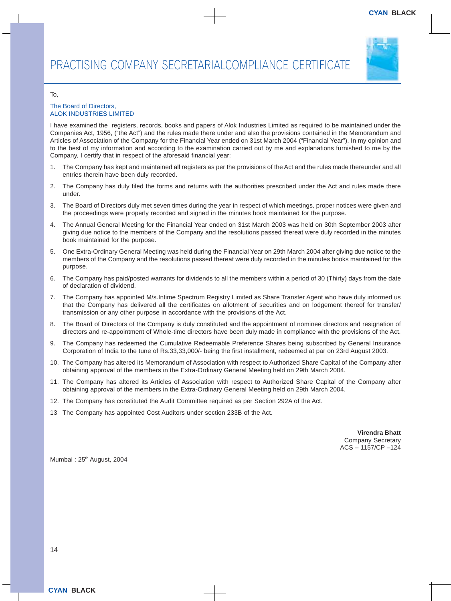

#### To,

#### The Board of Directors, ALOK INDUSTRIES LIMITED

I have examined the registers, records, books and papers of Alok Industries Limited as required to be maintained under the Companies Act, 1956, ("the Act") and the rules made there under and also the provisions contained in the Memorandum and Articles of Association of the Company for the Financial Year ended on 31st March 2004 ("Financial Year"). In my opinion and to the best of my information and according to the examination carried out by me and explanations furnished to me by the Company, I certify that in respect of the aforesaid financial year:

- 1. The Company has kept and maintained all registers as per the provisions of the Act and the rules made thereunder and all entries therein have been duly recorded.
- 2. The Company has duly filed the forms and returns with the authorities prescribed under the Act and rules made there under.
- 3. The Board of Directors duly met seven times during the year in respect of which meetings, proper notices were given and the proceedings were properly recorded and signed in the minutes book maintained for the purpose.
- 4. The Annual General Meeting for the Financial Year ended on 31st March 2003 was held on 30th September 2003 after giving due notice to the members of the Company and the resolutions passed thereat were duly recorded in the minutes book maintained for the purpose.
- 5. One Extra-Ordinary General Meeting was held during the Financial Year on 29th March 2004 after giving due notice to the members of the Company and the resolutions passed thereat were duly recorded in the minutes books maintained for the purpose.
- 6. The Company has paid/posted warrants for dividends to all the members within a period of 30 (Thirty) days from the date of declaration of dividend.
- 7. The Company has appointed M/s.Intime Spectrum Registry Limited as Share Transfer Agent who have duly informed us that the Company has delivered all the certificates on allotment of securities and on lodgement thereof for transfer/ transmission or any other purpose in accordance with the provisions of the Act.
- 8. The Board of Directors of the Company is duly constituted and the appointment of nominee directors and resignation of directors and re-appointment of Whole-time directors have been duly made in compliance with the provisions of the Act.
- 9. The Company has redeemed the Cumulative Redeemable Preference Shares being subscribed by General Insurance Corporation of India to the tune of Rs.33,33,000/- being the first installment, redeemed at par on 23rd August 2003.
- 10. The Company has altered its Memorandum of Association with respect to Authorized Share Capital of the Company after obtaining approval of the members in the Extra-Ordinary General Meeting held on 29th March 2004.
- 11. The Company has altered its Articles of Association with respect to Authorized Share Capital of the Company after obtaining approval of the members in the Extra-Ordinary General Meeting held on 29th March 2004.
- 12. The Company has constituted the Audit Committee required as per Section 292A of the Act.
- 13 The Company has appointed Cost Auditors under section 233B of the Act.

**Virendra Bhatt** Company Secretary ACS – 1157/CP –124

Mumbai: 25<sup>th</sup> August, 2004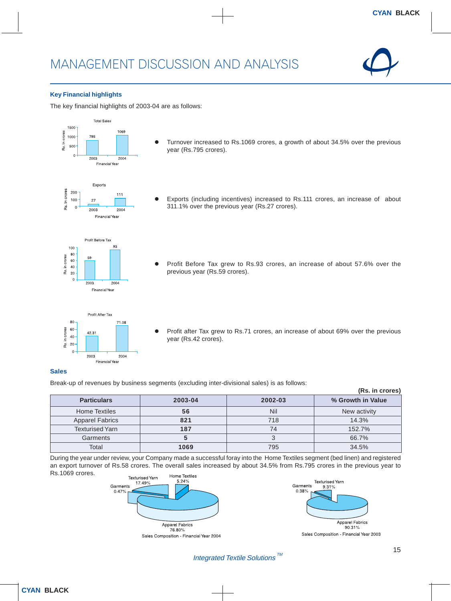

#### **Key Financial highlights**

The key financial highlights of 2003-04 are as follows:



#### **Sales**

Break-up of revenues by business segments (excluding inter-divisional sales) is as follows:

| (Rs. in crores)        |         |         |                   |  |
|------------------------|---------|---------|-------------------|--|
| <b>Particulars</b>     | 2003-04 | 2002-03 | % Growth in Value |  |
| <b>Home Textiles</b>   | 56      | Nil     | New activity      |  |
| <b>Apparel Fabrics</b> | 821     | 718     | 14.3%             |  |
| <b>Texturised Yarn</b> | 187     | 74      | 152.7%            |  |
| Garments               |         |         | 66.7%             |  |
| Total                  | 1069    | 795     | 34.5%             |  |

During the year under review, your Company made a successful foray into the Home Textiles segment (bed linen) and registered an export turnover of Rs.58 crores. The overall sales increased by about 34.5% from Rs.795 crores in the previous year to Rs.1069 crores.





Sales Composition - Financial Year 2003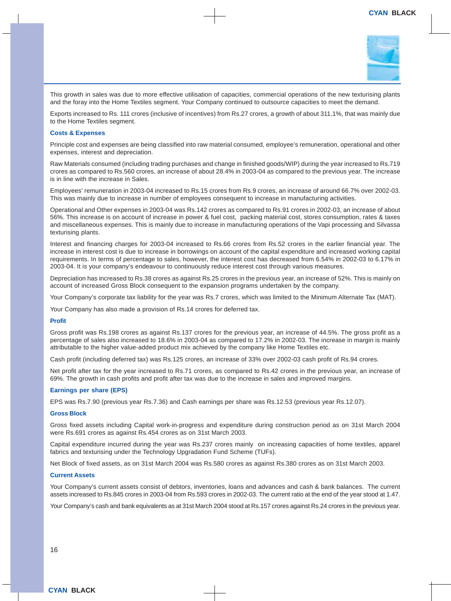

This growth in sales was due to more effective utilisation of capacities, commercial operations of the new texturising plants and the foray into the Home Textiles segment. Your Company continued to outsource capacities to meet the demand.

Exports increased to Rs. 111 crores (inclusive of incentives) from Rs.27 crores, a growth of about 311.1%, that was mainly due to the Home Textiles segment.

#### **Costs & Expenses**

Principle cost and expenses are being classified into raw material consumed, employee's remuneration, operational and other expenses, interest and depreciation.

Raw Materials consumed (including trading purchases and change in finished goods/WIP) during the year increased to Rs.719 crores as compared to Rs.560 crores, an increase of about 28.4% in 2003-04 as compared to the previous year. The increase is in line with the increase in Sales.

Employees' remuneration in 2003-04 increased to Rs.15 crores from Rs.9 crores, an increase of around 66.7% over 2002-03. This was mainly due to increase in number of employees consequent to increase in manufacturing activities.

Operational and Other expenses in 2003-04 was Rs.142 crores as compared to Rs.91 crores in 2002-03, an increase of about 56%. This increase is on account of increase in power & fuel cost, packing material cost, stores consumption, rates & taxes and miscellaneous expenses. This is mainly due to increase in manufacturing operations of the Vapi processing and Silvassa texturising plants.

Interest and financing charges for 2003-04 increased to Rs.66 crores from Rs.52 crores in the earlier financial year. The increase in interest cost is due to increase in borrowings on account of the capital expenditure and increased working capital requirements. In terms of percentage to sales, however, the interest cost has decreased from 6.54% in 2002-03 to 6.17% in 2003-04. It is your company's endeavour to continuously reduce interest cost through various measures.

Depreciation has increased to Rs.38 crores as against Rs.25 crores in the previous year, an increase of 52%. This is mainly on account of increased Gross Block consequent to the expansion programs undertaken by the company.

Your Company's corporate tax liability for the year was Rs.7 crores, which was limited to the Minimum Alternate Tax (MAT).

Your Company has also made a provision of Rs.14 crores for deferred tax.

#### **Profit**

Gross profit was Rs.198 crores as against Rs.137 crores for the previous year, an increase of 44.5%. The gross profit as a percentage of sales also increased to 18.6% in 2003-04 as compared to 17.2% in 2002-03. The increase in margin is mainly attributable to the higher value-added product mix achieved by the company like Home Textiles etc.

Cash profit (including deferred tax) was Rs.125 crores, an increase of 33% over 2002-03 cash profit of Rs.94 crores.

Net profit after tax for the year increased to Rs.71 crores, as compared to Rs.42 crores in the previous year, an increase of 69%. The growth in cash profits and profit after tax was due to the increase in sales and improved margins.

#### **Earnings per share (EPS)**

EPS was Rs.7.90 (previous year Rs.7.36) and Cash earnings per share was Rs.12.53 (previous year Rs.12.07).

#### **Gross Block**

Gross fixed assets including Capital work-in-progress and expenditure during construction period as on 31st March 2004 were Rs.691 crores as against Rs.454 crores as on 31st March 2003.

Capital expenditure incurred during the year was Rs.237 crores mainly on increasing capacities of home textiles, apparel fabrics and texturising under the Technology Upgradation Fund Scheme (TUFs).

Net Block of fixed assets, as on 31st March 2004 was Rs.580 crores as against Rs.380 crores as on 31st March 2003.

#### **Current Assets**

Your Company's current assets consist of debtors, inventories, loans and advances and cash & bank balances. The current assets increased to Rs.845 crores in 2003-04 from Rs.593 crores in 2002-03. The current ratio at the end of the year stood at 1.47.

Your Company's cash and bank equivalents as at 31st March 2004 stood at Rs.157 crores against Rs.24 crores in the previous year.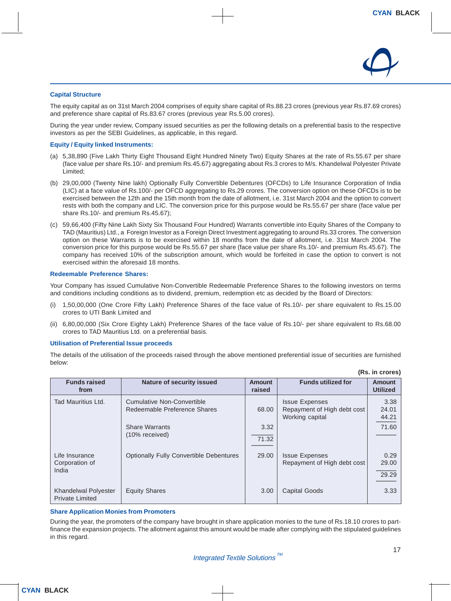

#### **Capital Structure**

The equity capital as on 31st March 2004 comprises of equity share capital of Rs.88.23 crores (previous year Rs.87.69 crores) and preference share capital of Rs.83.67 crores (previous year Rs.5.00 crores).

During the year under review, Company issued securities as per the following details on a preferential basis to the respective investors as per the SEBI Guidelines, as applicable, in this regard.

#### **Equity / Equity linked Instruments:**

- (a) 5,38,890 (Five Lakh Thirty Eight Thousand Eight Hundred Ninety Two) Equity Shares at the rate of Rs.55.67 per share (face value per share Rs.10/- and premium Rs.45.67) aggregating about Rs.3 crores to M/s. Khandelwal Polyester Private Limited;
- (b) 29,00,000 (Twenty Nine lakh) Optionally Fully Convertible Debentures (OFCDs) to Life Insurance Corporation of India (LIC) at a face value of Rs.100/- per OFCD aggregating to Rs.29 crores. The conversion option on these OFCDs is to be exercised between the 12th and the 15th month from the date of allotment, i.e. 31st March 2004 and the option to convert rests with both the company and LIC. The conversion price for this purpose would be Rs.55.67 per share (face value per share Rs.10/- and premium Rs.45.67);
- (c) 59,66,400 (Fifty Nine Lakh Sixty Six Thousand Four Hundred) Warrants convertible into Equity Shares of the Company to TAD (Mauritius) Ltd., a Foreign Investor as a Foreign Direct Investment aggregating to around Rs.33 crores. The conversion option on these Warrants is to be exercised within 18 months from the date of allotment, i.e. 31st March 2004. The conversion price for this purpose would be Rs.55.67 per share (face value per share Rs.10/- and premium Rs.45.67). The company has received 10% of the subscription amount, which would be forfeited in case the option to convert is not exercised within the aforesaid 18 months.

#### **Redeemable Preference Shares:**

Your Company has issued Cumulative Non-Convertible Redeemable Preference Shares to the following investors on terms and conditions including conditions as to dividend, premium, redemption etc as decided by the Board of Directors:

- (i) 1,50,00,000 (One Crore Fifty Lakh) Preference Shares of the face value of Rs.10/- per share equivalent to Rs.15.00 crores to UTI Bank Limited and
- (ii) 6,80,00,000 (Six Crore Eighty Lakh) Preference Shares of the face value of Rs.10/- per share equivalent to Rs.68.00 crores to TAD Mauritius Ltd. on a preferential basis.

#### **Utilisation of Preferential Issue proceeds**

The details of the utilisation of the proceeds raised through the above mentioned preferential issue of securities are furnished below:

| <b>Funds raised</b><br>from                    | <b>Nature of security issued</b>                           | <b>Amount</b><br>raised | <b>Funds utilized for</b>                                               | <b>Amount</b><br><b>Utilized</b> |
|------------------------------------------------|------------------------------------------------------------|-------------------------|-------------------------------------------------------------------------|----------------------------------|
| Tad Mauritius Ltd.                             | Cumulative Non-Convertible<br>Redeemable Preference Shares | 68.00                   | <b>Issue Expenses</b><br>Repayment of High debt cost<br>Working capital | 3.38<br>24.01<br>44.21           |
|                                                | <b>Share Warrants</b><br>(10% received)                    | 3.32<br>71.32           |                                                                         | 71.60                            |
| Life Insurance<br>Corporation of<br>India      | <b>Optionally Fully Convertible Debentures</b>             | 29.00                   | <b>Issue Expenses</b><br>Repayment of High debt cost                    | 0.29<br>29.00<br>29.29           |
| Khandelwal Polyester<br><b>Private Limited</b> | <b>Equity Shares</b>                                       | 3.00                    | <b>Capital Goods</b>                                                    | 3.33                             |

#### **Share Application Monies from Promoters**

During the year, the promoters of the company have brought in share application monies to the tune of Rs.18.10 crores to partfinance the expansion projects. The allotment against this amount would be made after complying with the stipulated guidelines in this regard.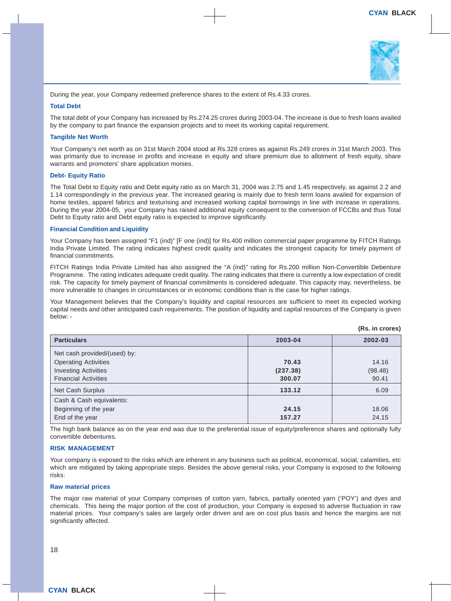

During the year, your Company redeemed preference shares to the extent of Rs.4.33 crores.

#### **Total Debt**

The total debt of your Company has increased by Rs.274.25 crores during 2003-04. The increase is due to fresh loans availed by the company to part finance the expansion projects and to meet its working capital requirement.

#### **Tangible Net Worth**

Your Company's net worth as on 31st March 2004 stood at Rs.328 crores as against Rs.249 crores in 31st March 2003. This was primarily due to increase in profits and increase in equity and share premium due to allotment of fresh equity, share warrants and promoters' share application monies.

#### **Debt- Equity Ratio**

The Total Debt to Equity ratio and Debt equity ratio as on March 31, 2004 was 2.75 and 1.45 respectively, as against 2.2 and 1.14 correspondingly in the previous year. The increased gearing is mainly due to fresh term loans availed for expansion of home textiles, apparel fabrics and texturising and increased working capital borrowings in line with increase in operations. During the year 2004-05, your Company has raised additional equity consequent to the conversion of FCCBs and thus Total Debt to Equity ratio and Debt equity ratio is expected to improve significantly.

#### **Financial Condition and Liquidity**

Your Company has been assigned "F1 (ind)" [F one (ind)] for Rs.400 million commercial paper programme by FITCH Ratings India Private Limited. The rating indicates highest credit quality and indicates the strongest capacity for timely payment of financial commitments.

FITCH Ratings India Private Limited has also assigned the "A (ind)" rating for Rs.200 million Non-Convertible Debenture Programme. The rating indicates adequate credit quality. The rating indicates that there is currently a low expectation of credit risk. The capacity for timely payment of financial commitments is considered adequate. This capacity may, nevertheless, be more vulnerable to changes in circumstances or in economic conditions than is the case for higher ratings.

Your Management believes that the Company's liquidity and capital resources are sufficient to meet its expected working capital needs and other anticipated cash requirements. The position of liquidity and capital resources of the Company is given below: -

| <b>Particulars</b>           | 2003-04  | 2002-03 |
|------------------------------|----------|---------|
| Net cash provided/(used) by: |          |         |
| <b>Operating Activities</b>  | 70.43    | 14.16   |
| <b>Investing Activities</b>  | (237.38) | (98.48) |
| <b>Financial Activities</b>  | 300.07   | 90.41   |
| Net Cash Surplus             | 133.12   | 6.09    |
| Cash & Cash equivalents:     |          |         |
| Beginning of the year        | 24.15    | 18.06   |
| End of the year              | 157.27   | 24.15   |

The high bank balance as on the year end was due to the preferential issue of equity/preference shares and optionally fully convertible debentures.

#### **RISK MANAGEMENT**

Your company is exposed to the risks which are inherent in any business such as political, economical, social, calamities, etc which are mitigated by taking appropriate steps. Besides the above general risks, your Company is exposed to the following risks:

#### **Raw material prices**

The major raw material of your Company comprises of cotton yarn, fabrics, partially oriented yarn ('POY') and dyes and chemicals. This being the major portion of the cost of production, your Company is exposed to adverse fluctuation in raw material prices. Your company's sales are largely order driven and are on cost plus basis and hence the margins are not significantly affected.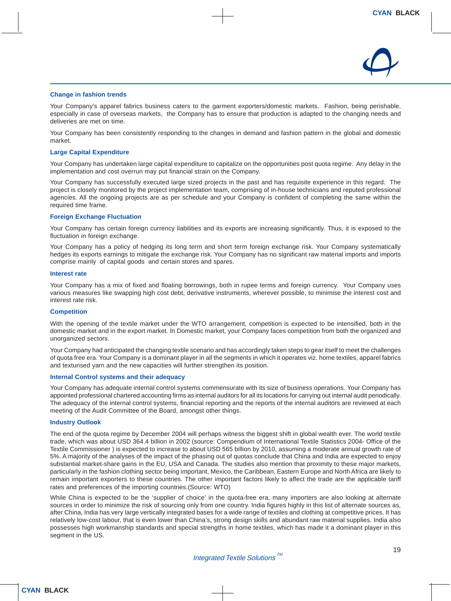

#### **Change in fashion trends**

Your Company's apparel fabrics business caters to the garment exporters/domestic markets. Fashion, being perishable, especially in case of overseas markets, the Company has to ensure that production is adapted to the changing needs and deliveries are met on time.

Your Company has been consistently responding to the changes in demand and fashion pattern in the global and domestic market.

#### **Large Capital Expenditure**

Your Company has undertaken large capital expenditure to capitalize on the opportunities post quota regime. Any delay in the implementation and cost overrun may put financial strain on the Company.

Your Company has successfully executed large sized projects in the past and has requisite experience in this regard. The project is closely monitored by the project implementation team, comprising of in-house technicians and reputed professional agencies. All the ongoing projects are as per schedule and your Company is confident of completing the same within the required time frame.

#### **Foreign Exchange Fluctuation**

Your Company has certain foreign currency liabilities and its exports are increasing significantly. Thus, it is exposed to the fluctuation in foreign exchange.

Your Company has a policy of hedging its long term and short term foreign exchange risk. Your Company systematically hedges its exports earnings to mitigate the exchange risk. Your Company has no significant raw material imports and imports comprise mainly of capital goods and certain stores and spares.

#### **Interest rate**

Your Company has a mix of fixed and floating borrowings, both in rupee terms and foreign currency. Your Company uses various measures like swapping high cost debt, derivative instruments, wherever possible, to minimise the interest cost and interest rate risk.

#### **Competition**

With the opening of the textile market under the WTO arrangement, competition is expected to be intensified, both in the domestic market and in the export market. In Domestic market, your Company faces competition from both the organized and unorganized sectors.

Your Company had anticipated the changing textile scenario and has accordingly taken steps to gear itself to meet the challenges of quota free era. Your Company is a dominant player in all the segments in which it operates viz. home textiles, apparel fabrics and texturised yarn and the new capacities will further strengthen its position.

#### **Internal Control systems and their adequacy**

Your Company has adequate internal control systems commensurate with its size of business operations. Your Company has appointed professional chartered accounting firms as internal auditors for all its locations for carrying out internal audit periodically. The adequacy of the internal control systems, financial reporting and the reports of the internal auditors are reviewed at each meeting of the Audit Committee of the Board, amongst other things.

#### **Industry Outlook**

The end of the quota regime by December 2004 will perhaps witness the biggest shift in global wealth ever. The world textile trade, which was about USD 364.4 billion in 2002 (source: Compendium of International Textile Statistics 2004- Office of the Textile Commissioner ) is expected to increase to about USD 565 billion by 2010, assuming a moderate annual growth rate of 5%. A majority of the analyses of the impact of the phasing out of quotas conclude that China and India are expected to enjoy substantial market-share gains in the EU, USA and Canada. The studies also mention that proximity to these major markets, particularly in the fashion clothing sector being important, Mexico, the Caribbean, Eastern Europe and North Africa are likely to remain important exporters to these countries. The other important factors likely to affect the trade are the applicable tariff rates and preferences of the importing countries.(Source: WTO)

While China is expected to be the 'supplier of choice' in the quota-free era, many importers are also looking at alternate sources in order to minimize the risk of sourcing only from one country. India figures highly in this list of alternate sources as, after China, India has very large vertically integrated bases for a wide range of textiles and clothing at competitive prices. It has relatively low-cost labour, that is even lower than China's, strong design skills and abundant raw material supplies. India also possesses high workmanship standards and special strengths in home textiles, which has made it a dominant player in this segment in the US.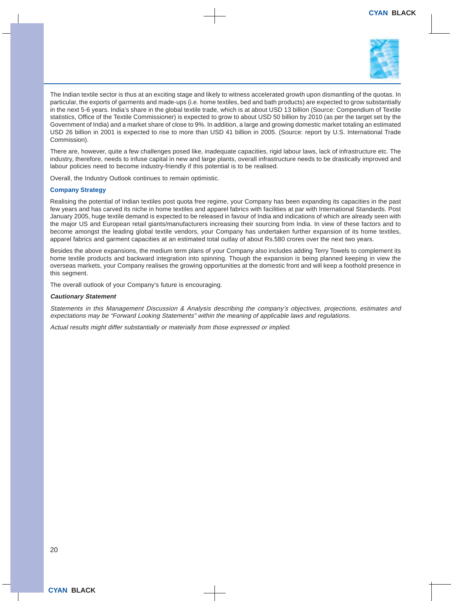

The Indian textile sector is thus at an exciting stage and likely to witness accelerated growth upon dismantling of the quotas. In particular, the exports of garments and made-ups (i.e. home textiles, bed and bath products) are expected to grow substantially in the next 5-6 years. India's share in the global textile trade, which is at about USD 13 billion (Source: Compendium of Textile statistics, Office of the Textile Commissioner) is expected to grow to about USD 50 billion by 2010 (as per the target set by the Government of India) and a market share of close to 9%. In addition, a large and growing domestic market totaling an estimated USD 26 billion in 2001 is expected to rise to more than USD 41 billion in 2005. (Source: report by U.S. International Trade Commission).

There are, however, quite a few challenges posed like, inadequate capacities, rigid labour laws, lack of infrastructure etc. The industry, therefore, needs to infuse capital in new and large plants, overall infrastructure needs to be drastically improved and labour policies need to become industry-friendly if this potential is to be realised.

Overall, the Industry Outlook continues to remain optimistic.

#### **Company Strategy**

Realising the potential of Indian textiles post quota free regime, your Company has been expanding its capacities in the past few years and has carved its niche in home textiles and apparel fabrics with facilities at par with International Standards. Post January 2005, huge textile demand is expected to be released in favour of India and indications of which are already seen with the major US and European retail giants/manufacturers increasing their sourcing from India. In view of these factors and to become amongst the leading global textile vendors, your Company has undertaken further expansion of its home textiles, apparel fabrics and garment capacities at an estimated total outlay of about Rs.580 crores over the next two years.

Besides the above expansions, the medium term plans of your Company also includes adding Terry Towels to complement its home textile products and backward integration into spinning. Though the expansion is being planned keeping in view the overseas markets, your Company realises the growing opportunities at the domestic front and will keep a foothold presence in this segment.

The overall outlook of your Company's future is encouraging.

#### **Cautionary Statement**

Statements in this Management Discussion & Analysis describing the company's objectives, projections, estimates and expectations may be "Forward Looking Statements" within the meaning of applicable laws and regulations.

Actual results might differ substantially or materially from those expressed or implied.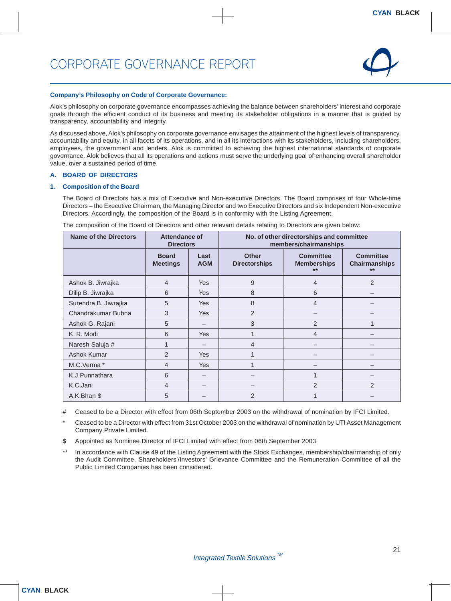

#### **Company's Philosophy on Code of Corporate Governance:**

Alok's philosophy on corporate governance encompasses achieving the balance between shareholders' interest and corporate goals through the efficient conduct of its business and meeting its stakeholder obligations in a manner that is guided by transparency, accountability and integrity.

As discussed above, Alok's philosophy on corporate governance envisages the attainment of the highest levels of transparency, accountability and equity, in all facets of its operations, and in all its interactions with its stakeholders, including shareholders, employees, the government and lenders. Alok is committed to achieving the highest international standards of corporate governance. Alok believes that all its operations and actions must serve the underlying goal of enhancing overall shareholder value, over a sustained period of time.

#### **A. BOARD OF DIRECTORS**

#### **1. Composition of the Board**

The Board of Directors has a mix of Executive and Non-executive Directors. The Board comprises of four Whole-time Directors – the Executive Chairman, the Managing Director and two Executive Directors and six Independent Non-executive Directors. Accordingly, the composition of the Board is in conformity with the Listing Agreement.

| <b>Name of the Directors</b> | Attendance of<br><b>Directors</b> |                    |                                      | No. of other directorships and committee<br>members/chairmanships |                                                   |
|------------------------------|-----------------------------------|--------------------|--------------------------------------|-------------------------------------------------------------------|---------------------------------------------------|
|                              | <b>Board</b><br><b>Meetings</b>   | Last<br><b>AGM</b> | <b>Other</b><br><b>Directorships</b> | <b>Committee</b><br><b>Memberships</b><br>$**$                    | <b>Committee</b><br><b>Chairmanships</b><br>$***$ |
| Ashok B. Jiwrajka            | 4                                 | <b>Yes</b>         | 9                                    | 4                                                                 | $\overline{2}$                                    |
| Dilip B. Jiwrajka            | 6                                 | <b>Yes</b>         | 8                                    | 6                                                                 |                                                   |
| Surendra B. Jiwrajka         | 5                                 | <b>Yes</b>         | 8                                    | $\overline{4}$                                                    |                                                   |
| Chandrakumar Bubna           | 3                                 | <b>Yes</b>         | $\overline{2}$                       |                                                                   |                                                   |
| Ashok G. Rajani              | 5                                 |                    | 3                                    | 2                                                                 |                                                   |
| K. R. Modi                   | 6                                 | <b>Yes</b>         |                                      | 4                                                                 |                                                   |
| Naresh Saluja #              |                                   |                    | 4                                    |                                                                   |                                                   |
| Ashok Kumar                  | $\mathcal{P}$                     | <b>Yes</b>         |                                      |                                                                   |                                                   |
| M.C.Verma*                   | 4                                 | <b>Yes</b>         |                                      |                                                                   |                                                   |
| K.J.Punnathara               | 6                                 |                    |                                      |                                                                   |                                                   |
| K.C.Jani                     | 4                                 |                    |                                      | 2                                                                 | $\overline{2}$                                    |
| A.K.Bhan \$                  | 5                                 |                    | 2                                    |                                                                   |                                                   |

The composition of the Board of Directors and other relevant details relating to Directors are given below:

# Ceased to be a Director with effect from 06th September 2003 on the withdrawal of nomination by IFCI Limited.

Ceased to be a Director with effect from 31st October 2003 on the withdrawal of nomination by UTI Asset Management Company Private Limited.

- \$ Appointed as Nominee Director of IFCI Limited with effect from 06th September 2003.
- In accordance with Clause 49 of the Listing Agreement with the Stock Exchanges, membership/chairmanship of only the Audit Committee, Shareholders'/Investors' Grievance Committee and the Remuneration Committee of all the Public Limited Companies has been considered.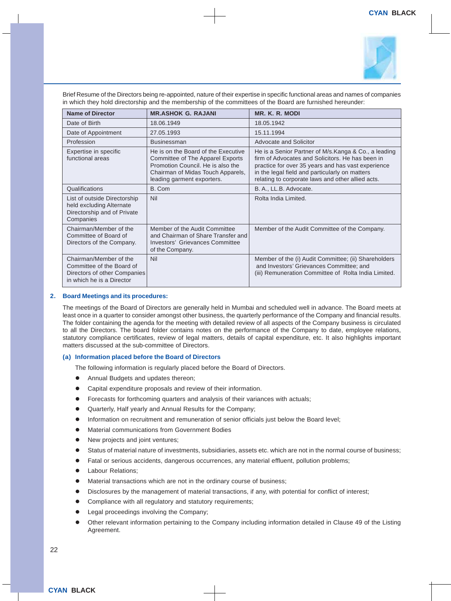

Brief Resume of the Directors being re-appointed, nature of their expertise in specific functional areas and names of companies in which they hold directorship and the membership of the committees of the Board are furnished hereunder:

| <b>Name of Director</b>                                                                                          | <b>MR.ASHOK G. RAJANI</b>                                                                                                                                                              | MR. K. R. MODI                                                                                                                                                                                                                                                         |
|------------------------------------------------------------------------------------------------------------------|----------------------------------------------------------------------------------------------------------------------------------------------------------------------------------------|------------------------------------------------------------------------------------------------------------------------------------------------------------------------------------------------------------------------------------------------------------------------|
| Date of Birth                                                                                                    | 18.06.1949                                                                                                                                                                             | 18.05.1942                                                                                                                                                                                                                                                             |
| Date of Appointment                                                                                              | 27.05.1993                                                                                                                                                                             | 15.11.1994                                                                                                                                                                                                                                                             |
| Profession                                                                                                       | <b>Businessman</b>                                                                                                                                                                     | Advocate and Solicitor                                                                                                                                                                                                                                                 |
| Expertise in specific<br>functional areas                                                                        | He is on the Board of the Executive<br><b>Committee of The Apparel Exports</b><br>Promotion Council. He is also the<br>Chairman of Midas Touch Apparels,<br>leading garment exporters. | He is a Senior Partner of M/s. Kanga & Co., a leading<br>firm of Advocates and Solicitors. He has been in<br>practice for over 35 years and has vast experience<br>in the legal field and particularly on matters<br>relating to corporate laws and other allied acts. |
| Qualifications                                                                                                   | B. Com                                                                                                                                                                                 | B. A., LL.B. Advocate.                                                                                                                                                                                                                                                 |
| List of outside Directorship<br>held excluding Alternate<br>Directorship and of Private<br>Companies             | Nil                                                                                                                                                                                    | Rolta India Limited.                                                                                                                                                                                                                                                   |
| Chairman/Member of the<br>Committee of Board of<br>Directors of the Company.                                     | Member of the Audit Committee<br>and Chairman of Share Transfer and<br>Investors' Grievances Committee<br>of the Company.                                                              | Member of the Audit Committee of the Company.                                                                                                                                                                                                                          |
| Chairman/Member of the<br>Committee of the Board of<br>Directors of other Companies<br>in which he is a Director | Nil                                                                                                                                                                                    | Member of the (i) Audit Committee; (ii) Shareholders<br>and Investors' Grievances Committee; and<br>(iii) Remuneration Committee of Rolta India Limited.                                                                                                               |

#### **2. Board Meetings and its procedures:**

The meetings of the Board of Directors are generally held in Mumbai and scheduled well in advance. The Board meets at least once in a quarter to consider amongst other business, the quarterly performance of the Company and financial results. The folder containing the agenda for the meeting with detailed review of all aspects of the Company business is circulated to all the Directors. The board folder contains notes on the performance of the Company to date, employee relations, statutory compliance certificates, review of legal matters, details of capital expenditure, etc. It also highlights important matters discussed at the sub-committee of Directors.

#### **(a) Information placed before the Board of Directors**

The following information is regularly placed before the Board of Directors.

- Annual Budgets and updates thereon;
- Capital expenditure proposals and review of their information.
- Forecasts for forthcoming quarters and analysis of their variances with actuals;
- Quarterly, Half yearly and Annual Results for the Company;
- Information on recruitment and remuneration of senior officials just below the Board level;
- Material communications from Government Bodies
- New projects and joint ventures;
- Status of material nature of investments, subsidiaries, assets etc. which are not in the normal course of business;
- Fatal or serious accidents, dangerous occurrences, any material effluent, pollution problems;
- Labour Relations;
- Material transactions which are not in the ordinary course of business;
- Disclosures by the management of material transactions, if any, with potential for conflict of interest;
- Compliance with all regulatory and statutory requirements;
- Legal proceedings involving the Company;
- Other relevant information pertaining to the Company including information detailed in Clause 49 of the Listing Agreement.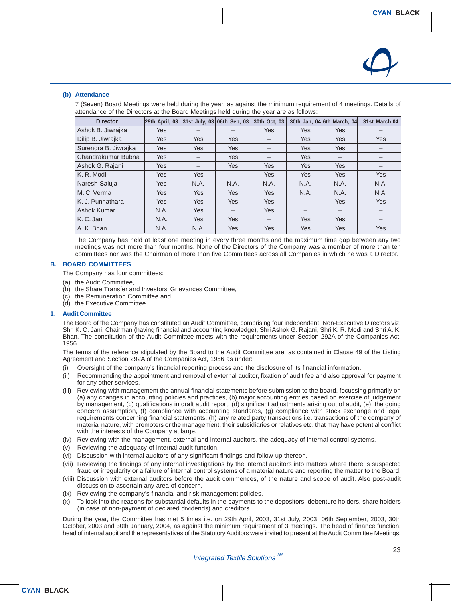

#### **(b) Attendance**

7 (Seven) Board Meetings were held during the year, as against the minimum requirement of 4 meetings. Details of attendance of the Directors at the Board Meetings held during the year are as follows:

| <b>Director</b>      | 29th April, 03 |            | 31st July, 03 06th Sep, 03 | 30th Oct, 03 |            | 30th Jan, 04 6th March, 04 | 31st March, 04 |
|----------------------|----------------|------------|----------------------------|--------------|------------|----------------------------|----------------|
| Ashok B. Jiwrajka    | <b>Yes</b>     |            |                            | <b>Yes</b>   | Yes        | <b>Yes</b>                 |                |
| Dilip B. Jiwrajka    | <b>Yes</b>     | Yes        | <b>Yes</b>                 | —            | <b>Yes</b> | <b>Yes</b>                 | <b>Yes</b>     |
| Surendra B. Jiwrajka | <b>Yes</b>     | Yes        | <b>Yes</b>                 | -            | <b>Yes</b> | <b>Yes</b>                 |                |
| Chandrakumar Bubna   | <b>Yes</b>     |            | <b>Yes</b>                 |              | Yes        |                            |                |
| Ashok G. Rajani      | Yes            | —          | <b>Yes</b>                 | <b>Yes</b>   | <b>Yes</b> | <b>Yes</b>                 |                |
| K. R. Modi           | <b>Yes</b>     | Yes        | —                          | <b>Yes</b>   | <b>Yes</b> | <b>Yes</b>                 | <b>Yes</b>     |
| Naresh Saluja        | <b>Yes</b>     | N.A.       | N.A.                       | N.A.         | N.A.       | N.A.                       | N.A.           |
| M.C. Verma           | <b>Yes</b>     | Yes        | <b>Yes</b>                 | <b>Yes</b>   | N.A.       | N.A.                       | N.A.           |
| K. J. Punnathara     | <b>Yes</b>     | Yes        | <b>Yes</b>                 | <b>Yes</b>   |            | <b>Yes</b>                 | <b>Yes</b>     |
| Ashok Kumar          | N.A.           | <b>Yes</b> | —                          | <b>Yes</b>   | –          | $\overline{\phantom{m}}$   |                |
| K. C. Jani           | N.A.           | <b>Yes</b> | <b>Yes</b>                 | —            | <b>Yes</b> | <b>Yes</b>                 |                |
| A. K. Bhan           | N.A.           | N.A.       | Yes                        | Yes          | Yes        | <b>Yes</b>                 | <b>Yes</b>     |

The Company has held at least one meeting in every three months and the maximum time gap between any two meetings was not more than four months. None of the Directors of the Company was a member of more than ten committees nor was the Chairman of more than five Committees across all Companies in which he was a Director.

#### **B. BOARD COMMITTEES**

The Company has four committees:

- (a) the Audit Committee,
- (b) the Share Transfer and Investors' Grievances Committee,
- (c) the Remuneration Committee and
- (d) the Executive Committee.

#### **1. Audit Committee**

The Board of the Company has constituted an Audit Committee, comprising four independent, Non-Executive Directors viz. Shri K. C. Jani, Chairman (having financial and accounting knowledge), Shri Ashok G. Rajani, Shri K. R. Modi and Shri A. K. Bhan. The constitution of the Audit Committee meets with the requirements under Section 292A of the Companies Act, 1956.

The terms of the reference stipulated by the Board to the Audit Committee are, as contained in Clause 49 of the Listing Agreement and Section 292A of the Companies Act, 1956 as under:

- (i) Oversight of the company's financial reporting process and the disclosure of its financial information.
- (ii) Recommending the appointment and removal of external auditor, fixation of audit fee and also approval for payment for any other services.
- (iii) Reviewing with management the annual financial statements before submission to the board, focussing primarily on (a) any changes in accounting policies and practices, (b) major accounting entries based on exercise of judgement by management, (c) qualifications in draft audit report, (d) significant adjustments arising out of audit, (e) the going concern assumption, (f) compliance with accounting standards, (g) compliance with stock exchange and legal requirements concerning financial statements, (h) any related party transactions i.e. transactions of the company of material nature, with promoters or the management, their subsidiaries or relatives etc. that may have potential conflict with the interests of the Company at large.
- (iv) Reviewing with the management, external and internal auditors, the adequacy of internal control systems.
- (v) Reviewing the adequacy of internal audit function.
- (vi) Discussion with internal auditors of any significant findings and follow-up thereon.
- (vii) Reviewing the findings of any internal investigations by the internal auditors into matters where there is suspected fraud or irregularity or a failure of internal control systems of a material nature and reporting the matter to the Board.
- (viii) Discussion with external auditors before the audit commences, of the nature and scope of audit. Also post-audit discussion to ascertain any area of concern.
- (ix) Reviewing the company's financial and risk management policies.
- (x) To look into the reasons for substantial defaults in the payments to the depositors, debenture holders, share holders (in case of non-payment of declared dividends) and creditors.

During the year, the Committee has met 5 times i.e. on 29th April, 2003, 31st July, 2003, 06th September, 2003, 30th October, 2003 and 30th January, 2004, as against the minimum requirement of 3 meetings. The head of finance function, head of internal audit and the representatives of the Statutory Auditors were invited to present at the Audit Committee Meetings.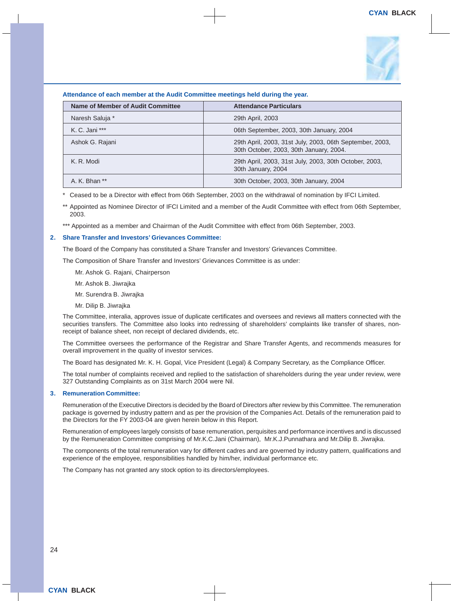

#### **Attendance of each member at the Audit Committee meetings held during the year.**

| Name of Member of Audit Committee | <b>Attendance Particulars</b>                                                                       |
|-----------------------------------|-----------------------------------------------------------------------------------------------------|
| Naresh Saluja *                   | 29th April, 2003                                                                                    |
| K. C. Jani ***                    | 06th September, 2003, 30th January, 2004                                                            |
| Ashok G. Rajani                   | 29th April, 2003, 31st July, 2003, 06th September, 2003,<br>30th October, 2003, 30th January, 2004. |
| K. R. Modi                        | 29th April, 2003, 31st July, 2003, 30th October, 2003,<br>30th January, 2004                        |
| A. K. Bhan **                     | 30th October, 2003, 30th January, 2004                                                              |

Ceased to be a Director with effect from 06th September, 2003 on the withdrawal of nomination by IFCI Limited.

\*\* Appointed as Nominee Director of IFCI Limited and a member of the Audit Committee with effect from 06th September, 2003.

\*\*\* Appointed as a member and Chairman of the Audit Committee with effect from 06th September, 2003.

#### **2. Share Transfer and Investors' Grievances Committee:**

The Board of the Company has constituted a Share Transfer and Investors' Grievances Committee.

The Composition of Share Transfer and Investors' Grievances Committee is as under:

Mr. Ashok G. Rajani, Chairperson

Mr. Ashok B. Jiwrajka

Mr. Surendra B. Jiwrajka

Mr. Dilip B. Jiwrajka

The Committee, interalia, approves issue of duplicate certificates and oversees and reviews all matters connected with the securities transfers. The Committee also looks into redressing of shareholders' complaints like transfer of shares, nonreceipt of balance sheet, non receipt of declared dividends, etc.

The Committee oversees the performance of the Registrar and Share Transfer Agents, and recommends measures for overall improvement in the quality of investor services.

The Board has designated Mr. K. H. Gopal, Vice President (Legal) & Company Secretary, as the Compliance Officer.

The total number of complaints received and replied to the satisfaction of shareholders during the year under review, were 327 Outstanding Complaints as on 31st March 2004 were Nil.

#### **3. Remuneration Committee:**

Remuneration of the Executive Directors is decided by the Board of Directors after review by this Committee. The remuneration package is governed by industry pattern and as per the provision of the Companies Act. Details of the remuneration paid to the Directors for the FY 2003-04 are given herein below in this Report.

Remuneration of employees largely consists of base remuneration, perquisites and performance incentives and is discussed by the Remuneration Committee comprising of Mr.K.C.Jani (Chairman), Mr.K.J.Punnathara and Mr.Dilip B. Jiwrajka.

The components of the total remuneration vary for different cadres and are governed by industry pattern, qualifications and experience of the employee, responsibilities handled by him/her, individual performance etc.

The Company has not granted any stock option to its directors/employees.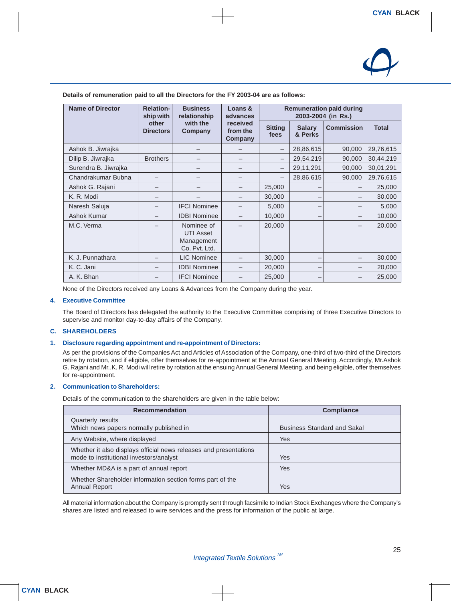

**Details of remuneration paid to all the Directors for the FY 2003-04 are as follows:**

| <b>Name of Director</b> | <b>Relation-</b><br>ship with                    | <b>Business</b><br>relationship                               | Loans &<br>advances             | <b>Remuneration paid during</b><br>2003-2004 (in Rs.) |                          |                   |              |
|-------------------------|--------------------------------------------------|---------------------------------------------------------------|---------------------------------|-------------------------------------------------------|--------------------------|-------------------|--------------|
|                         | other<br>with the<br><b>Directors</b><br>Company |                                                               | received<br>from the<br>Company | <b>Sitting</b><br>fees                                | <b>Salary</b><br>& Perks | <b>Commission</b> | <b>Total</b> |
| Ashok B. Jiwrajka       |                                                  |                                                               |                                 | —                                                     | 28,86,615                | 90,000            | 29,76,615    |
| Dilip B. Jiwrajka       | <b>Brothers</b>                                  |                                                               |                                 | $\overline{\phantom{m}}$                              | 29,54,219                | 90,000            | 30,44,219    |
| Surendra B. Jiwrajka    |                                                  |                                                               |                                 | —                                                     | 29,11,291                | 90,000            | 30,01,291    |
| Chandrakumar Bubna      |                                                  |                                                               |                                 | $\overline{\phantom{0}}$                              | 28,86,615                | 90,000            | 29,76,615    |
| Ashok G. Rajani         |                                                  |                                                               |                                 | 25,000                                                |                          |                   | 25,000       |
| K. R. Modi              |                                                  |                                                               |                                 | 30,000                                                | -                        |                   | 30,000       |
| Naresh Saluja           |                                                  | <b>IFCI Nominee</b>                                           |                                 | 5,000                                                 | $\qquad \qquad$          |                   | 5,000        |
| Ashok Kumar             |                                                  | <b>IDBI Nominee</b>                                           |                                 | 10,000                                                | -                        |                   | 10,000       |
| M.C. Verma              |                                                  | Nominee of<br><b>UTI Asset</b><br>Management<br>Co. Pvt. Ltd. |                                 | 20,000                                                |                          |                   | 20,000       |
| K. J. Punnathara        |                                                  | <b>LIC Nominee</b>                                            |                                 | 30,000                                                | -                        |                   | 30,000       |
| K. C. Jani              |                                                  | <b>IDBI Nominee</b>                                           |                                 | 20,000                                                | -                        |                   | 20,000       |
| A. K. Bhan              |                                                  | <b>IFCI Nominee</b>                                           |                                 | 25,000                                                |                          |                   | 25,000       |

None of the Directors received any Loans & Advances from the Company during the year.

#### **4. Executive Committee**

The Board of Directors has delegated the authority to the Executive Committee comprising of three Executive Directors to supervise and monitor day-to-day affairs of the Company.

#### **C. SHAREHOLDERS**

#### **1. Disclosure regarding appointment and re-appointment of Directors:**

As per the provisions of the Companies Act and Articles of Association of the Company, one-third of two-third of the Directors retire by rotation, and if eligible, offer themselves for re-appointment at the Annual General Meeting. Accordingly, Mr.Ashok G. Rajani and Mr..K. R. Modi will retire by rotation at the ensuing Annual General Meeting, and being eligible, offer themselves for re-appointment.

#### **2. Communication to Shareholders:**

Details of the communication to the shareholders are given in the table below:

| <b>Recommendation</b>                                                                                        | <b>Compliance</b>                  |
|--------------------------------------------------------------------------------------------------------------|------------------------------------|
| Quarterly results<br>Which news papers normally published in                                                 | <b>Business Standard and Sakal</b> |
| Any Website, where displayed                                                                                 | <b>Yes</b>                         |
| Whether it also displays official news releases and presentations<br>mode to institutional investors/analyst | Yes                                |
| Whether MD&A is a part of annual report                                                                      | <b>Yes</b>                         |
| Whether Shareholder information section forms part of the<br>Annual Report                                   | Yes                                |

All material information about the Company is promptly sent through facsimile to Indian Stock Exchanges where the Company's shares are listed and released to wire services and the press for information of the public at large.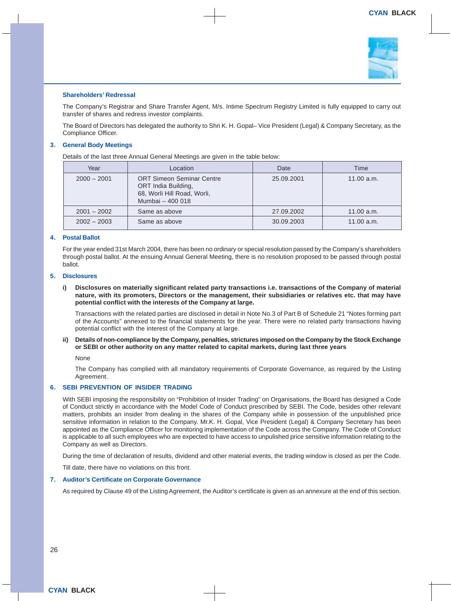

#### **Shareholders' Redressal**

The Company's Registrar and Share Transfer Agent, M/s. Intime Spectrum Registry Limited is fully equipped to carry out transfer of shares and redress investor complaints.

The Board of Directors has delegated the authority to Shri K. H. Gopal– Vice President (Legal) & Company Secretary, as the Compliance Officer.

#### **3. General Body Meetings**

Details of the last three Annual General Meetings are given in the table below:

| Year          | Location                                                                                                   | Date       | Time       |
|---------------|------------------------------------------------------------------------------------------------------------|------------|------------|
| $2000 - 2001$ | <b>ORT Simeon Seminar Centre</b><br>ORT India Building,<br>68, Worli Hill Road, Worli,<br>Mumbai - 400 018 | 25.09.2001 | 11.00 a.m. |
| $2001 - 2002$ | Same as above                                                                                              | 27.09.2002 | 11.00 a.m. |
| $2002 - 2003$ | Same as above                                                                                              | 30.09.2003 | 11.00 a.m. |

#### **4. Postal Ballot**

For the year ended 31st March 2004, there has been no ordinary or special resolution passed by the Company's shareholders through postal ballot. At the ensuing Annual General Meeting, there is no resolution proposed to be passed through postal ballot.

#### **5. Disclosures**

**i) Disclosures on materially significant related party transactions i.e. transactions of the Company of material nature, with its promoters, Directors or the management, their subsidiaries or relatives etc. that may have potential conflict with the interests of the Company at large.**

Transactions with the related parties are disclosed in detail in Note No.3 of Part B of Schedule 21 "Notes forming part of the Accounts" annexed to the financial statements for the year. There were no related party transactions having potential conflict with the interest of the Company at large.

**ii) Details of non-compliance by the Company, penalties, strictures imposed on the Company by the Stock Exchange or SEBI or other authority on any matter related to capital markets, during last three years**

None

The Company has complied with all mandatory requirements of Corporate Governance, as required by the Listing Agreement.

#### **6. SEBI PREVENTION OF INSIDER TRADING**

With SEBI imposing the responsibility on "Prohibition of Insider Trading" on Organisations, the Board has designed a Code of Conduct strictly in accordance with the Model Code of Conduct prescribed by SEBI. The Code, besides other relevant matters, prohibits an insider from dealing in the shares of the Company while in possession of the unpublished price sensitive information in relation to the Company. Mr.K. H. Gopal, Vice President (Legal) & Company Secretary has been appointed as the Compliance Officer for monitoring implementation of the Code across the Company. The Code of Conduct is applicable to all such employees who are expected to have access to unpulished price sensitive information relating to the Company as well as Directors.

During the time of declaration of results, dividend and other material events, the trading window is closed as per the Code.

Till date, there have no violations on this front.

#### **7. Auditor's Certificate on Corporate Governance**

As required by Clause 49 of the Listing Agreement, the Auditor's certificate is given as an annexure at the end of this section.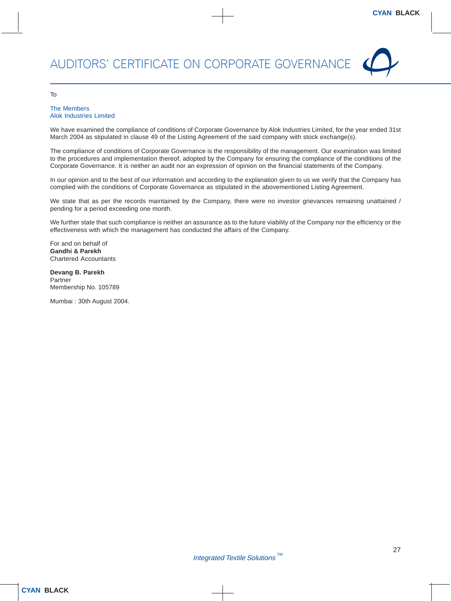

#### To

#### The Members Alok Industries Limited

We have examined the compliance of conditions of Corporate Governance by Alok Industries Limited, for the year ended 31st March 2004 as stipulated in clause 49 of the Listing Agreement of the said company with stock exchange(s).

The compliance of conditions of Corporate Governance is the responsibility of the management. Our examination was limited to the procedures and implementation thereof, adopted by the Company for ensuring the compliance of the conditions of the Corporate Governance. It is neither an audit nor an expression of opinion on the financial statements of the Company.

In our opinion and to the best of our information and according to the explanation given to us we verify that the Company has complied with the conditions of Corporate Governance as stipulated in the abovementioned Listing Agreement.

We state that as per the records maintained by the Company, there were no investor grievances remaining unattained / pending for a period exceeding one month.

We further state that such compliance is neither an assurance as to the future viability of the Company nor the efficiency or the effectiveness with which the management has conducted the affairs of the Company.

For and on behalf of **Gandhi & Parekh** Chartered Accountants

**Devang B. Parekh** Partner Membership No. 105789

Mumbai : 30th August 2004.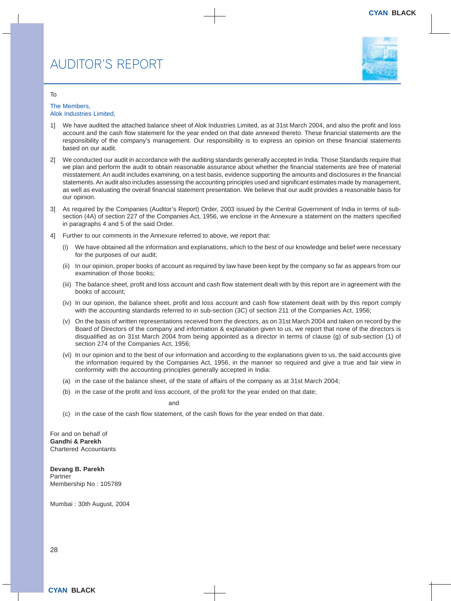

#### To

#### The Members, Alok Industries Limited,

- 1] We have audited the attached balance sheet of Alok Industries Limited, as at 31st March 2004, and also the profit and loss account and the cash flow statement for the year ended on that date annexed thereto. These financial statements are the responsibility of the company's management. Our responsibility is to express an opinion on these financial statements based on our audit.
- 2] We conducted our audit in accordance with the auditing standards generally accepted in India. Those Standards require that we plan and perform the audit to obtain reasonable assurance about whether the financial statements are free of material misstatement. An audit includes examining, on a test basis, evidence supporting the amounts and disclosures in the financial statements. An audit also includes assessing the accounting principles used and significant estimates made by management, as well as evaluating the overall financial statement presentation. We believe that our audit provides a reasonable basis for our opinion.
- 3] As required by the Companies (Auditor's Report) Order, 2003 issued by the Central Government of India in terms of subsection (4A) of section 227 of the Companies Act, 1956, we enclose in the Annexure a statement on the matters specified in paragraphs 4 and 5 of the said Order.
- 4] Further to our comments in the Annexure referred to above, we report that:
	- (i) We have obtained all the information and explanations, which to the best of our knowledge and belief were necessary for the purposes of our audit;
	- (ii) In our opinion, proper books of account as required by law have been kept by the company so far as appears from our examination of those books;
	- (iii) The balance sheet, profit and loss account and cash flow statement dealt with by this report are in agreement with the books of account;
	- (iv) In our opinion, the balance sheet, profit and loss account and cash flow statement dealt with by this report comply with the accounting standards referred to in sub-section (3C) of section 211 of the Companies Act, 1956;
	- (v) On the basis of written representations received from the directors, as on 31st March 2004 and taken on record by the Board of Directors of the company and information & explanation given to us, we report that none of the directors is disqualified as on 31st March 2004 from being appointed as a director in terms of clause (g) of sub-section (1) of section 274 of the Companies Act, 1956;
	- (vi) In our opinion and to the best of our information and according to the explanations given to us, the said accounts give the information required by the Companies Act, 1956, in the manner so required and give a true and fair view in conformity with the accounting principles generally accepted in India:
	- (a) in the case of the balance sheet, of the state of affairs of the company as at 31st March 2004;
	- (b) in the case of the profit and loss account, of the profit for the year ended on that date;

and

(c) in the case of the cash flow statement, of the cash flows for the year ended on that date.

For and on behalf of **Gandhi & Parekh** Chartered Accountants

**Devang B. Parekh** Partner Membership No : 105789

Mumbai : 30th August, 2004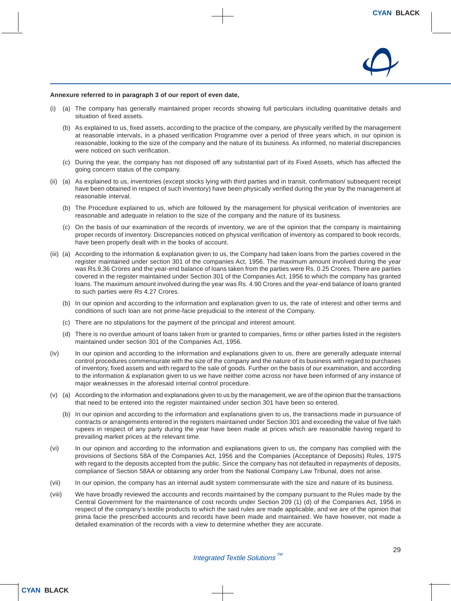

#### **Annexure referred to in paragraph 3 of our report of even date,**

- (i) (a) The company has generally maintained proper records showing full particulars including quantitative details and situation of fixed assets.
	- (b) As explained to us, fixed assets, according to the practice of the company, are physically verified by the management at reasonable intervals, in a phased verification Programme over a period of three years which, in our opinion is reasonable, looking to the size of the company and the nature of its business. As informed, no material discrepancies were noticed on such verification.
	- (c) During the year, the company has not disposed off any substantial part of its Fixed Assets, which has affected the going concern status of the company.
- (ii) (a) As explained to us, inventories (except stocks lying with third parties and in transit, confirmation/ subsequent receipt have been obtained in respect of such inventory) have been physically verified during the year by the management at reasonable interval.
	- (b) The Procedure explained to us, which are followed by the management for physical verification of inventories are reasonable and adequate in relation to the size of the company and the nature of its business.
	- (c) On the basis of our examination of the records of inventory, we are of the opinion that the company is maintaining proper records of inventory. Discrepancies noticed on physical verification of inventory as compared to book records, have been properly dealt with in the books of account.
- (iii) (a) According to the information & explanation given to us, the Company had taken loans from the parties covered in the register maintained under section 301 of the companies Act, 1956. The maximum amount involved during the year was Rs.9.36 Crores and the year-end balance of loans taken from the parties were Rs. 0.25 Crores. There are parties covered in the register maintained under Section 301 of the Companies Act, 1956 to which the company has granted loans. The maximum amount involved during the year was Rs. 4.90 Crores and the year-end balance of loans granted to such parties were Rs 4.27 Crores.
	- (b) In our opinion and according to the information and explanation given to us, the rate of interest and other terms and conditions of such loan are not prime-facie prejudicial to the interest of the Company.
	- (c) There are no stipulations for the payment of the principal and interest amount.
	- (d) There is no overdue amount of loans taken from or granted to companies, firms or other parties listed in the registers maintained under section 301 of the Companies Act, 1956.
- (iv) In our opinion and according to the information and explanations given to us, there are generally adequate internal control procedures commensurate with the size of the company and the nature of its business with regard to purchases of inventory, fixed assets and with regard to the sale of goods. Further on the basis of our examination, and according to the information & explanation given to us we have neither come across nor have been informed of any instance of major weaknesses in the aforesaid internal control procedure.
- (v) (a) According to the information and explanations given to us by the management, we are of the opinion that the transactions that need to be entered into the register maintained under section 301 have been so entered.
	- (b) In our opinion and according to the information and explanations given to us, the transactions made in pursuance of contracts or arrangements entered in the registers maintained under Section 301 and exceeding the value of five lakh rupees in respect of any party during the year have been made at prices which are reasonable having regard to prevailing market prices at the relevant time.
- (vi) In our opinion and according to the information and explanations given to us, the company has complied with the provisions of Sections 58A of the Companies Act, 1956 and the Companies (Acceptance of Deposits) Rules, 1975 with regard to the deposits accepted from the public. Since the company has not defaulted in repayments of deposits, compliance of Section 58AA or obtaining any order from the National Company Law Tribunal, does not arise.
- (vii) In our opinion, the company has an internal audit system commensurate with the size and nature of its business.
- (viii) We have broadly reviewed the accounts and records maintained by the company pursuant to the Rules made by the Central Government for the maintenance of cost records under Section 209 (1) (d) of the Companies Act, 1956 in respect of the company's textile products to which the said rules are made applicable, and we are of the opinion that prima facie the prescribed accounts and records have been made and maintained. We have however, not made a detailed examination of the records with a view to determine whether they are accurate.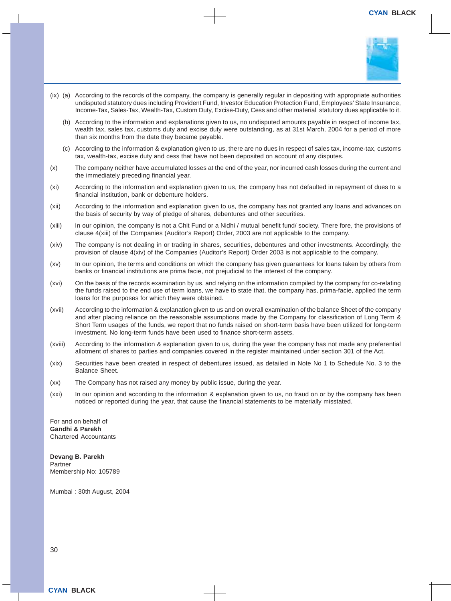

- (ix) (a) According to the records of the company, the company is generally regular in depositing with appropriate authorities undisputed statutory dues including Provident Fund, Investor Education Protection Fund, Employees' State Insurance, Income-Tax, Sales-Tax, Wealth-Tax, Custom Duty, Excise-Duty, Cess and other material statutory dues applicable to it.
	- (b) According to the information and explanations given to us, no undisputed amounts payable in respect of income tax, wealth tax, sales tax, customs duty and excise duty were outstanding, as at 31st March, 2004 for a period of more than six months from the date they became payable.
	- (c) According to the information & explanation given to us, there are no dues in respect of sales tax, income-tax, customs tax, wealth-tax, excise duty and cess that have not been deposited on account of any disputes.
- (x) The company neither have accumulated losses at the end of the year, nor incurred cash losses during the current and the immediately preceding financial year.
- (xi) According to the information and explanation given to us, the company has not defaulted in repayment of dues to a financial institution, bank or debenture holders.
- (xii) According to the information and explanation given to us, the company has not granted any loans and advances on the basis of security by way of pledge of shares, debentures and other securities.
- (xiii) In our opinion, the company is not a Chit Fund or a Nidhi / mutual benefit fund/ society. There fore, the provisions of clause 4(xiii) of the Companies (Auditor's Report) Order, 2003 are not applicable to the company.
- (xiv) The company is not dealing in or trading in shares, securities, debentures and other investments. Accordingly, the provision of clause 4(xiv) of the Companies (Auditor's Report) Order 2003 is not applicable to the company.
- (xv) In our opinion, the terms and conditions on which the company has given guarantees for loans taken by others from banks or financial institutions are prima facie, not prejudicial to the interest of the company.
- (xvi) On the basis of the records examination by us, and relying on the information compiled by the company for co-relating the funds raised to the end use of term loans, we have to state that, the company has, prima-facie, applied the term loans for the purposes for which they were obtained.
- (xvii) According to the information & explanation given to us and on overall examination of the balance Sheet of the company and after placing reliance on the reasonable assumptions made by the Company for classification of Long Term & Short Term usages of the funds, we report that no funds raised on short-term basis have been utilized for long-term investment. No long-term funds have been used to finance short-term assets.
- (xviii) According to the information & explanation given to us, during the year the company has not made any preferential allotment of shares to parties and companies covered in the register maintained under section 301 of the Act.
- (xix) Securities have been created in respect of debentures issued, as detailed in Note No 1 to Schedule No. 3 to the Balance Sheet.
- (xx) The Company has not raised any money by public issue, during the year.
- (xxi) In our opinion and according to the information & explanation given to us, no fraud on or by the company has been noticed or reported during the year, that cause the financial statements to be materially misstated.

For and on behalf of **Gandhi & Parekh** Chartered Accountants

**Devang B. Parekh** Partner Membership No: 105789

Mumbai : 30th August, 2004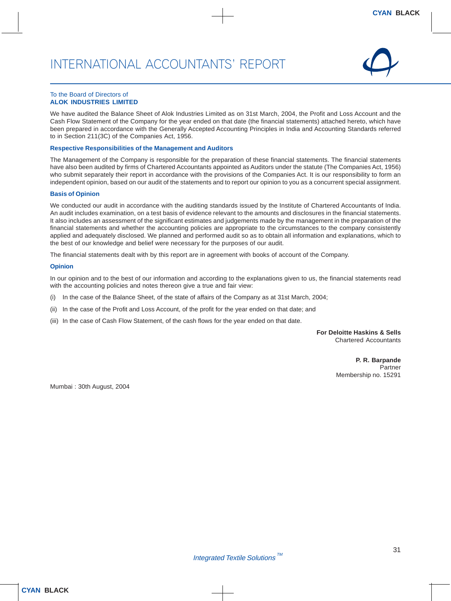

#### To the Board of Directors of **ALOK INDUSTRIES LIMITED**

We have audited the Balance Sheet of Alok Industries Limited as on 31st March, 2004, the Profit and Loss Account and the Cash Flow Statement of the Company for the year ended on that date (the financial statements) attached hereto, which have been prepared in accordance with the Generally Accepted Accounting Principles in India and Accounting Standards referred to in Section 211(3C) of the Companies Act, 1956.

#### **Respective Responsibilities of the Management and Auditors**

The Management of the Company is responsible for the preparation of these financial statements. The financial statements have also been audited by firms of Chartered Accountants appointed as Auditors under the statute (The Companies Act, 1956) who submit separately their report in accordance with the provisions of the Companies Act. It is our responsibility to form an independent opinion, based on our audit of the statements and to report our opinion to you as a concurrent special assignment.

#### **Basis of Opinion**

We conducted our audit in accordance with the auditing standards issued by the Institute of Chartered Accountants of India. An audit includes examination, on a test basis of evidence relevant to the amounts and disclosures in the financial statements. It also includes an assessment of the significant estimates and judgements made by the management in the preparation of the financial statements and whether the accounting policies are appropriate to the circumstances to the company consistently applied and adequately disclosed. We planned and performed audit so as to obtain all information and explanations, which to the best of our knowledge and belief were necessary for the purposes of our audit.

The financial statements dealt with by this report are in agreement with books of account of the Company.

#### **Opinion**

In our opinion and to the best of our information and according to the explanations given to us, the financial statements read with the accounting policies and notes thereon give a true and fair view:

- (i) In the case of the Balance Sheet, of the state of affairs of the Company as at 31st March, 2004;
- (ii) In the case of the Profit and Loss Account, of the profit for the year ended on that date; and
- (iii) In the case of Cash Flow Statement, of the cash flows for the year ended on that date.

**For Deloitte Haskins & Sells** Chartered Accountants

> **P. R. Barpande** Partner Membership no. 15291

Mumbai : 30th August, 2004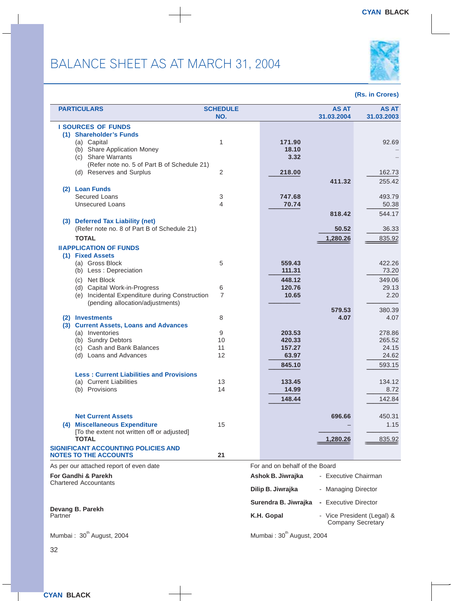

|         | <b>PARTICULARS</b>                                        | <b>SCHEDULE</b> |                                       | <b>AS AT</b>         | <b>AS AT</b>                                           |
|---------|-----------------------------------------------------------|-----------------|---------------------------------------|----------------------|--------------------------------------------------------|
|         |                                                           | NO.             |                                       | 31.03.2004           | 31.03.2003                                             |
|         | <b>I SOURCES OF FUNDS</b>                                 |                 |                                       |                      |                                                        |
|         | (1) Shareholder's Funds                                   |                 |                                       |                      |                                                        |
|         | (a) Capital<br>(b) Share Application Money                | 1               | 171.90<br>18.10                       |                      | 92.69                                                  |
|         | (c) Share Warrants                                        |                 | 3.32                                  |                      |                                                        |
|         | (Refer note no. 5 of Part B of Schedule 21)               |                 |                                       |                      |                                                        |
|         | (d) Reserves and Surplus                                  | 2               | 218.00                                |                      | 162.73                                                 |
|         |                                                           |                 |                                       | 411.32               | 255.42                                                 |
|         | (2) Loan Funds                                            |                 |                                       |                      |                                                        |
|         | Secured Loans                                             | 3               | 747.68                                |                      | 493.79                                                 |
|         | <b>Unsecured Loans</b>                                    | 4               | 70.74                                 |                      | 50.38                                                  |
|         |                                                           |                 |                                       | 818.42               | 544.17                                                 |
|         | (3) Deferred Tax Liability (net)                          |                 |                                       |                      |                                                        |
|         | (Refer note no. 8 of Part B of Schedule 21)               |                 |                                       | 50.52                | 36.33                                                  |
|         | <b>TOTAL</b>                                              |                 |                                       | 1,280.26             | 835.92                                                 |
|         | <b>IIAPPLICATION OF FUNDS</b>                             |                 |                                       |                      |                                                        |
|         | (1) Fixed Assets                                          |                 |                                       |                      |                                                        |
|         | (a) Gross Block                                           | 5               | 559.43                                |                      | 422.26                                                 |
|         | (b) Less : Depreciation                                   |                 | 111.31                                |                      | 73.20                                                  |
|         | (c) Net Block                                             |                 | 448.12                                |                      | 349.06                                                 |
|         | (d) Capital Work-in-Progress                              | 6               | 120.76                                |                      | 29.13                                                  |
|         | (e) Incidental Expenditure during Construction            | $\overline{7}$  | 10.65                                 |                      | 2.20                                                   |
|         | (pending allocation/adjustments)                          |                 |                                       |                      |                                                        |
|         |                                                           |                 |                                       | 579.53               | 380.39                                                 |
|         | (2) Investments<br>(3) Current Assets, Loans and Advances | 8               |                                       | 4.07                 | 4.07                                                   |
|         | (a) Inventories                                           | 9               | 203.53                                |                      | 278.86                                                 |
|         | (b) Sundry Debtors                                        | 10              | 420.33                                |                      | 265.52                                                 |
|         | (c) Cash and Bank Balances                                | 11              | 157.27                                |                      | 24.15                                                  |
|         | (d) Loans and Advances                                    | 12              | 63.97                                 |                      | 24.62                                                  |
|         |                                                           |                 | 845.10                                |                      | 593.15                                                 |
|         | <b>Less: Current Liabilities and Provisions</b>           |                 |                                       |                      |                                                        |
|         | (a) Current Liabilities                                   | 13              | 133.45                                |                      | 134.12                                                 |
|         | (b) Provisions                                            | 14              | 14.99                                 |                      | 8.72                                                   |
|         |                                                           |                 | 148.44                                |                      | 142.84                                                 |
|         |                                                           |                 |                                       |                      |                                                        |
|         | <b>Net Current Assets</b>                                 |                 |                                       | 696.66               | 450.31                                                 |
|         | (4) Miscellaneous Expenditure                             | 15              |                                       |                      | 1.15                                                   |
|         | [To the extent not written off or adjusted]               |                 |                                       |                      |                                                        |
|         | <b>TOTAL</b>                                              |                 |                                       | 1,280.26             | 835.92                                                 |
|         | <b>SIGNIFICANT ACCOUNTING POLICIES AND</b>                |                 |                                       |                      |                                                        |
|         | <b>NOTES TO THE ACCOUNTS</b>                              | 21              |                                       |                      |                                                        |
|         | As per our attached report of even date                   |                 | For and on behalf of the Board        |                      |                                                        |
|         | For Gandhi & Parekh                                       |                 | Ashok B. Jiwrajka                     | - Executive Chairman |                                                        |
|         | Chartered Accountants                                     |                 |                                       |                      |                                                        |
|         |                                                           |                 | Dilip B. Jiwrajka                     | - Managing Director  |                                                        |
|         |                                                           |                 | Surendra B. Jiwrajka                  | - Executive Director |                                                        |
|         | Devang B. Parekh                                          |                 |                                       |                      |                                                        |
| Partner |                                                           |                 | K.H. Gopal                            |                      | - Vice President (Legal) &<br><b>Company Secretary</b> |
|         |                                                           |                 |                                       |                      |                                                        |
|         | Mumbai: 30 <sup>th</sup> August, 2004                     |                 | Mumbai: 30 <sup>th</sup> August, 2004 |                      |                                                        |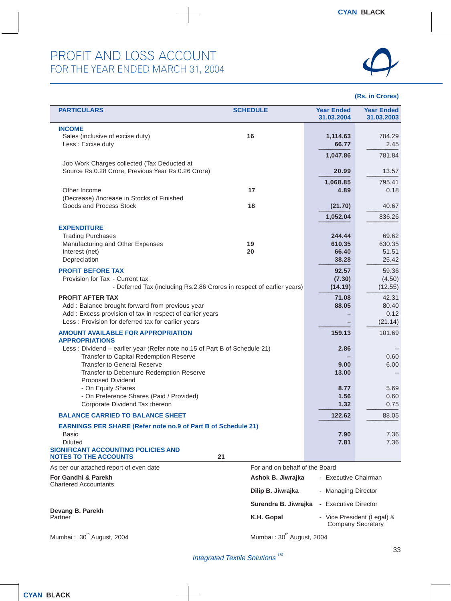

| <b>PARTICULARS</b>                                                        | <b>SCHEDULE</b>                       | <b>Year Ended</b><br>31.03.2004 | <b>Year Ended</b><br>31.03.2003 |
|---------------------------------------------------------------------------|---------------------------------------|---------------------------------|---------------------------------|
|                                                                           |                                       |                                 |                                 |
| <b>INCOME</b>                                                             |                                       |                                 |                                 |
| Sales (inclusive of excise duty)                                          | 16                                    | 1,114.63                        | 784.29                          |
| Less : Excise duty                                                        |                                       | 66.77                           | 2.45                            |
|                                                                           |                                       |                                 |                                 |
|                                                                           |                                       | 1,047.86                        | 781.84                          |
| Job Work Charges collected (Tax Deducted at                               |                                       |                                 |                                 |
| Source Rs.0.28 Crore, Previous Year Rs.0.26 Crore)                        |                                       | 20.99                           | 13.57                           |
|                                                                           |                                       |                                 |                                 |
|                                                                           |                                       | 1,068.85                        | 795.41                          |
| Other Income                                                              | 17                                    | 4.89                            | 0.18                            |
| (Decrease) /Increase in Stocks of Finished                                |                                       |                                 |                                 |
| Goods and Process Stock                                                   | 18                                    | (21.70)                         | 40.67                           |
|                                                                           |                                       |                                 |                                 |
|                                                                           |                                       | 1,052.04                        | 836.26                          |
|                                                                           |                                       |                                 |                                 |
| <b>EXPENDITURE</b>                                                        |                                       |                                 |                                 |
| <b>Trading Purchases</b>                                                  |                                       | 244.44                          | 69.62                           |
| Manufacturing and Other Expenses                                          | 19                                    | 610.35                          | 630.35                          |
|                                                                           | 20                                    | 66.40                           | 51.51                           |
| Interest (net)                                                            |                                       |                                 |                                 |
| Depreciation                                                              |                                       | 38.28                           | 25.42                           |
| <b>PROFIT BEFORE TAX</b>                                                  |                                       | 92.57                           | 59.36                           |
|                                                                           |                                       |                                 |                                 |
| Provision for Tax - Current tax                                           |                                       | (7.30)                          | (4.50)                          |
| - Deferred Tax (including Rs.2.86 Crores in respect of earlier years)     |                                       | (14.19)                         | (12.55)                         |
|                                                                           |                                       |                                 |                                 |
| <b>PROFIT AFTER TAX</b>                                                   |                                       | 71.08                           | 42.31                           |
| Add: Balance brought forward from previous year                           |                                       | 88.05                           | 80.40                           |
| Add : Excess provision of tax in respect of earlier years                 |                                       |                                 | 0.12                            |
| Less: Provision for deferred tax for earlier years                        |                                       |                                 | (21.14)                         |
|                                                                           |                                       |                                 |                                 |
| <b>AMOUNT AVAILABLE FOR APPROPRIATION</b>                                 |                                       | 159.13                          | 101.69                          |
| <b>APPROPRIATIONS</b>                                                     |                                       |                                 |                                 |
| Less: Dividend - earlier year (Refer note no.15 of Part B of Schedule 21) |                                       | 2.86                            |                                 |
|                                                                           |                                       |                                 |                                 |
| Transfer to Capital Redemption Reserve                                    |                                       |                                 | 0.60                            |
| <b>Transfer to General Reserve</b>                                        |                                       | 9.00                            | 6.00                            |
| Transfer to Debenture Redemption Reserve                                  |                                       | 13.00                           |                                 |
| Proposed Dividend                                                         |                                       |                                 |                                 |
| - On Equity Shares                                                        |                                       | 8.77                            | 5.69                            |
|                                                                           |                                       |                                 |                                 |
| - On Preference Shares (Paid / Provided)                                  |                                       | 1.56                            | 0.60                            |
| Corporate Dividend Tax thereon                                            |                                       | 1.32                            | 0.75                            |
|                                                                           |                                       |                                 |                                 |
| <b>BALANCE CARRIED TO BALANCE SHEET</b>                                   |                                       | 122.62                          | 88.05                           |
| <b>EARNINGS PER SHARE (Refer note no.9 of Part B of Schedule 21)</b>      |                                       |                                 |                                 |
| Basic                                                                     |                                       | 7.90                            | 7.36                            |
|                                                                           |                                       |                                 |                                 |
| <b>Diluted</b>                                                            |                                       | 7.81                            | 7.36                            |
| <b>SIGNIFICANT ACCOUNTING POLICIES AND</b>                                |                                       |                                 |                                 |
| <b>NOTES TO THE ACCOUNTS</b>                                              | 21                                    |                                 |                                 |
|                                                                           | For and on behalf of the Board        |                                 |                                 |
| As per our attached report of even date                                   |                                       |                                 |                                 |
| For Gandhi & Parekh                                                       | Ashok B. Jiwrajka                     | - Executive Chairman            |                                 |
| <b>Chartered Accountants</b>                                              |                                       |                                 |                                 |
|                                                                           | Dilip B. Jiwrajka                     | - Managing Director             |                                 |
|                                                                           |                                       |                                 |                                 |
|                                                                           | Surendra B. Jiwrajka                  | - Executive Director            |                                 |
| Devang B. Parekh                                                          |                                       |                                 |                                 |
| Partner                                                                   | K.H. Gopal                            |                                 | - Vice President (Legal) &      |
|                                                                           |                                       |                                 | <b>Company Secretary</b>        |
|                                                                           |                                       |                                 |                                 |
| Mumbai: 30 <sup>th</sup> August, 2004                                     | Mumbai: 30 <sup>th</sup> August, 2004 |                                 |                                 |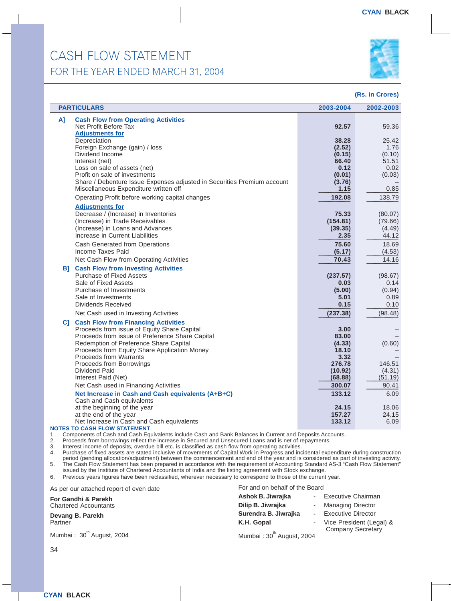### CASH FLOW STATEMENT FOR THE YEAR ENDED MARCH 31, 2004



#### **(Rs. in Crores)**

| <b>PARTICULARS</b>                                                                     | 2003-2004       | 2002-2003       |
|----------------------------------------------------------------------------------------|-----------------|-----------------|
| <b>Cash Flow from Operating Activities</b><br>A]                                       |                 |                 |
| Net Profit Before Tax                                                                  | 92.57           | 59.36           |
| <b>Adjustments for</b>                                                                 |                 |                 |
| Depreciation<br>Foreign Exchange (gain) / loss                                         | 38.28<br>(2.52) | 25.42<br>1.76   |
| Dividend Income                                                                        | (0.15)          | (0.10)          |
| Interest (net)                                                                         | 66.40           | 51.51           |
| Loss on sale of assets (net)                                                           | 0.12            | 0.02            |
| Profit on sale of investments                                                          | (0.01)          | (0.03)          |
| Share / Debenture Issue Expenses adjusted in Securities Premium account                | (3.76)          |                 |
| Miscellaneous Expenditure written off                                                  | 1.15            | 0.85            |
| Operating Profit before working capital changes                                        | 192.08          | 138.79          |
| <b>Adjustments for</b>                                                                 |                 |                 |
| Decrease / (Increase) in Inventories                                                   | 75.33           | (80.07)         |
| (Increase) in Trade Receivables                                                        | (154.81)        | (79.66)         |
| (Increase) in Loans and Advances<br>Increase in Current Liabilities                    | (39.35)<br>2.35 | (4.49)<br>44.12 |
| Cash Generated from Operations                                                         | 75.60           | 18.69           |
| Income Taxes Paid                                                                      | (5.17)          | (4.53)          |
| Net Cash Flow from Operating Activities                                                | 70.43           | 14.16           |
| <b>Cash Flow from Investing Activities</b><br>B1 -                                     |                 |                 |
| Purchase of Fixed Assets                                                               | (237.57)        | (98.67)         |
| Sale of Fixed Assets                                                                   | 0.03            | 0.14            |
| Purchase of Investments                                                                | (5.00)          | (0.94)          |
| Sale of Investments                                                                    | 5.01            | 0.89            |
| Dividends Received                                                                     | 0.15            | 0.10            |
| Net Cash used in Investing Activities                                                  | (237.38)        | (98.48)         |
| <b>C]</b> Cash Flow from Financing Activities                                          |                 |                 |
| Proceeds from issue of Equity Share Capital                                            | 3.00            |                 |
| Proceeds from issue of Preference Share Capital                                        | 83.00           |                 |
| Redemption of Preference Share Capital<br>Proceeds from Equity Share Application Money | (4.33)<br>18.10 | (0.60)          |
| <b>Proceeds from Warrants</b>                                                          | 3.32            |                 |
| Proceeds from Borrowings                                                               | 276.78          | 146.51          |
| Dividend Paid                                                                          | (10.92)         | (4.31)          |
| Interest Paid (Net)                                                                    | (68.88)         | (51.19)         |
| Net Cash used in Financing Activities                                                  | 300.07          | 90.41           |
| Net Increase in Cash and Cash equivalents (A+B+C)                                      | 133.12          | 6.09            |
| Cash and Cash equivalents<br>at the beginning of the year                              | 24.15           | 18.06           |
| at the end of the year                                                                 | 157.27          | 24.15           |
| Net Increase in Cash and Cash equivalents                                              | 133.12          | 6.09            |
| <b>NOTES TO CASH FLOW STATEMENT</b>                                                    |                 |                 |

1. Components of Cash and Cash Equivalents include Cash and Bank Balances in Current and Deposits Accounts.

2. Proceeds from borrowings reflect the increase in Secured and Unsecured Loans and is net of repayments.

3. Interest income of deposits, overdue bill etc. is classified as cash flow from operating activities.

4. Purchase of fixed assets are stated inclusive of movements of Capital Work in Progress and incidental expenditure during construction period (pending allocation/adjustment) between the commencement and end of the year and is considered as part of investing activity. 5. The Cash Flow Statement has been prepared in accordance with the requirement of Accounting Standard AS-3 "Cash Flow Statement" issued by the Institute of Chartered Accountants of India and the listing agreement with Stock exchange.

6. Previous years figures have been reclassified, wherever necessary to correspond to those of the current year.

As per our attached report of even date

**For Gandhi & Parekh** Chartered Accountants

**Devang B. Parekh Partner** 

Mumbai:  $30<sup>th</sup>$  August, 2004

Mumbai:  $30<sup>th</sup>$  August, 2004

For and on behalf of the Board

**Ashok B. Jiwrajka** - Executive Chairman

**Dilip B. Jiwrajka** - Managing Director **Surendra B. Jiwrajka -** Executive Director **K.H. Gopal** - Vice President (Legal) & Company Secretary

34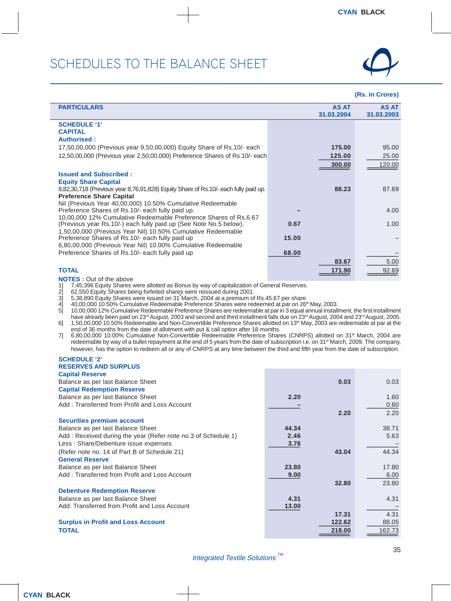

#### **(Rs. in Crores)**

| <b>PARTICULARS</b>                                                                  |       | <b>AS AT</b><br>31.03.2004 | <b>AS AT</b><br>31.03.2003 |
|-------------------------------------------------------------------------------------|-------|----------------------------|----------------------------|
|                                                                                     |       |                            |                            |
| <b>SCHEDULE '1'</b>                                                                 |       |                            |                            |
| <b>CAPITAL</b>                                                                      |       |                            |                            |
| <b>Authorised:</b>                                                                  |       |                            |                            |
| 17,50,00,000 (Previous year 9,50,00,000) Equity Share of Rs.10/- each               |       | 175.00                     | 95.00                      |
| 12,50,00,000 (Previous year 2,50,00,000) Preference Shares of Rs.10/- each          |       | 125.00                     | 25.00                      |
|                                                                                     |       | 300.00                     | 120.00                     |
| <b>Issued and Subscribed:</b>                                                       |       |                            |                            |
|                                                                                     |       |                            |                            |
| <b>Equity Share Capital</b>                                                         |       |                            |                            |
| 8,82,30,718 (Previous year 8,76,91,828) Equity Share of Rs.10/- each fully paid up. |       | 88.23                      | 87.69                      |
| <b>Preference Share Capital</b>                                                     |       |                            |                            |
| Nil (Previous Year 40,00,000) 10.50% Cumulative Redeemable                          |       |                            |                            |
| Preference Shares of Rs.10/- each fully paid up.                                    |       |                            | 4.00                       |
| 10,00,000 12% Cumulative Redeemable Preference Shares of Rs.6.67                    |       |                            |                            |
| (Previous year Rs.10/-) each fully paid up (See Note No.5 below).                   | 0.67  |                            | 1.00                       |
| 1,50,00,000 (Previous Year Nil) 10.50% Cumulative Redeemable                        |       |                            |                            |
| Preference Shares of Rs.10/- each fully paid up                                     | 15.00 |                            |                            |
| 6,80,00,000 (Previous Year Nil) 10.00% Cumulative Redeemable                        |       |                            |                            |
| Preference Shares of Rs.10/- each fully paid up                                     | 68.00 |                            |                            |
|                                                                                     |       | 83.67                      | 5.00                       |
|                                                                                     |       |                            |                            |
| <b>TOTAL</b>                                                                        |       | 171.90                     | 92.69                      |
| <b>NOTES:</b> Out of the above                                                      |       |                            |                            |

1] 7,45,396 Equity Shares were allotted as Bonus by way of capitalization of General Reserves.<br>2] 62,550 Equity Shares being forfeited shares were reissued during 2001.

2] 62,550 Equity Shares being forfeited shares were reissued during 2001.<br>3] 5,38,890 Equity Shares were issued on 31 March, 2004 at a premium of<br>4] 40,00,000 10.50% Cumulative Redeemable Preference Shares were rec

3] 5,38,890 Equity Shares were issued on 31s March, 2004 at a premium of Rs.45.67 per share.

4] 40,00,000 10.50% Cumulative Redeemable Preference Shares were redeemed at par on 26th May, 2003. 5] 10,00,000 12% Cumulative Redeemable Preference Shares are redeemable at par in 3 equal annual installment, the first installment have already been paid on 23rd August, 2003 and second and third installment falls due on 23rd August, 2004 and 23rd August, 2005. 6] 1,50,00,000 10.50% Redeemable and Non-Convertible Preference Shares allotted on 13<sup>th</sup> May, 2003 are redeemable at par at the

end of 36 months from the date of allotment with put & call option after 18 months. 7] 6,80,00,000 10.00% Cumulative Non-Convertible Redeemable Preference Shares (CNRPS) allotted on 31st March, 2004 are redeemable by way of a bullet repayment at the end of 5 years from the date of subscription i.e. on 31<sup>st</sup> March, 2009. The company, however, has the option to redeem all or any of CNRPS at any time between the third and fifth year from the date of subscription.

#### **SCHEDULE '2' RESERVES AND SURPLUS**

| <b>Capital Reserve</b>                                        |       |        |        |
|---------------------------------------------------------------|-------|--------|--------|
| Balance as per last Balance Sheet                             |       | 0.03   | 0.03   |
| <b>Capital Redemption Reserve</b>                             |       |        |        |
| Balance as per last Balance Sheet                             | 2.20  |        | 1.60   |
| Add: Transferred from Profit and Loss Account                 |       |        | 0.60   |
|                                                               |       | 2.20   | 2.20   |
| <b>Securities premium account</b>                             |       |        |        |
| Balance as per last Balance Sheet                             | 44.34 |        | 38.71  |
| Add: Received during the year (Refer note no.3 of Schedule 1) | 2.46  |        | 5.63   |
| Less: Share/Debenture issue expenses                          | 3.76  |        |        |
| (Refer note no. 14 of Part B of Schedule 21)                  |       | 43.04  | 44.34  |
| <b>General Reserve</b>                                        |       |        |        |
| Balance as per last Balance Sheet                             | 23.80 |        | 17.80  |
| Add: Transferred from Profit and Loss Account                 | 9.00  |        | 6.00   |
|                                                               |       | 32.80  | 23.80  |
| <b>Debenture Redemption Reserve</b>                           |       |        |        |
| Balance as per last Balance Sheet                             | 4.31  |        | 4.31   |
| Add: Transferred from Profit and Loss Account                 | 13.00 |        |        |
|                                                               |       | 17.31  | 4.31   |
| <b>Surplus in Profit and Loss Account</b>                     |       | 122.62 | 88.05  |
| <b>TOTAL</b>                                                  |       | 218.00 | 162.73 |
|                                                               |       |        |        |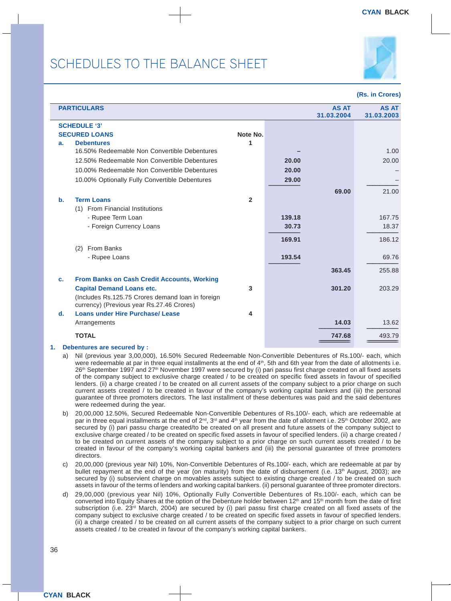

|                | <b>PARTICULARS</b>                                                                             |                |        | <b>AS AT</b><br>31.03.2004 | <b>AS AT</b><br>31.03.2003 |
|----------------|------------------------------------------------------------------------------------------------|----------------|--------|----------------------------|----------------------------|
|                | <b>SCHEDULE '3'</b>                                                                            |                |        |                            |                            |
|                | <b>SECURED LOANS</b>                                                                           | Note No.       |        |                            |                            |
| a.             | <b>Debentures</b>                                                                              | 1              |        |                            |                            |
|                | 16.50% Redeemable Non Convertible Debentures                                                   |                |        |                            | 1.00                       |
|                | 12.50% Redeemable Non Convertible Debentures                                                   |                | 20.00  |                            | 20.00                      |
|                | 10.00% Redeemable Non Convertible Debentures                                                   |                | 20.00  |                            |                            |
|                | 10.00% Optionally Fully Convertible Debentures                                                 |                | 29.00  |                            |                            |
|                |                                                                                                |                |        | 69.00                      | 21.00                      |
| b.             | <b>Term Loans</b>                                                                              | $\overline{2}$ |        |                            |                            |
|                | (1) From Financial Institutions                                                                |                |        |                            |                            |
|                | - Rupee Term Loan                                                                              |                | 139.18 |                            | 167.75                     |
|                | - Foreign Currency Loans                                                                       |                | 30.73  |                            | 18.37                      |
|                |                                                                                                |                | 169.91 |                            | 186.12                     |
|                | From Banks<br>(2)                                                                              |                |        |                            |                            |
|                | - Rupee Loans                                                                                  |                | 193.54 |                            | 69.76                      |
|                |                                                                                                |                |        | 363.45                     | 255.88                     |
| $\mathbf{c}$ . | <b>From Banks on Cash Credit Accounts, Working</b>                                             |                |        |                            |                            |
|                | <b>Capital Demand Loans etc.</b>                                                               | 3              |        | 301.20                     | 203.29                     |
|                | (Includes Rs.125.75 Crores demand loan in foreign<br>currency) (Previous year Rs.27.46 Crores) |                |        |                            |                            |
| d.             | <b>Loans under Hire Purchase/ Lease</b>                                                        | 4              |        |                            |                            |
|                | Arrangements                                                                                   |                |        | 14.03                      | 13.62                      |
|                | <b>TOTAL</b>                                                                                   |                |        | 747.68                     | 493.79                     |
| 1.             | Debentures are secured by :                                                                    |                |        |                            |                            |

- a) Nil (previous year 3,00,000), 16.50% Secured Redeemable Non-Convertible Debentures of Rs.100/- each, which were redeemable at par in three equal installments at the end of  $4<sup>th</sup>$ , 5th and 6th year from the date of allotments i.e. 26th September 1997 and 27th November 1997 were secured by (i) pari passu first charge created on all fixed assets of the company subject to exclusive charge created / to be created on specific fixed assets in favour of specified lenders. (ii) a charge created / to be created on all current assets of the company subject to a prior charge on such current assets created / to be created in favour of the company's working capital bankers and (iii) the personal guarantee of three promoters directors. The last installment of these debentures was paid and the said debentures were redeemed during the year.
- b) 20,00,000 12.50%, Secured Redeemable Non-Convertible Debentures of Rs.100/- each, which are redeemable at par in three equal installments at the end of 2<sup>nd</sup>, 3<sup>rd</sup> and 4<sup>th</sup> year from the date of allotment i.e. 25<sup>th</sup> October 2002, are secured by (i) pari passu charge created/to be created on all present and future assets of the company subject to exclusive charge created / to be created on specific fixed assets in favour of specified lenders. (ii) a charge created / to be created on current assets of the company subject to a prior charge on such current assets created / to be created in favour of the company's working capital bankers and (iii) the personal guarantee of three promoters directors.
- c) 20,00,000 (previous year Nil) 10%, Non-Convertible Debentures of Rs.100/- each, which are redeemable at par by bullet repayment at the end of the year (on maturity) from the date of disbursement (i.e. 13<sup>th</sup> August, 2003); are secured by (i) subservient charge on movables assets subject to existing charge created / to be created on such assets in favour of the terms of lenders and working capital bankers. (ii) personal guarantee of three promoter directors.
- d) 29,00,000 (previous year Nil) 10%, Optionally Fully Convertible Debentures of Rs.100/- each, which can be converted into Equity Shares at the option of the Debenture holder between 12<sup>th</sup> and 15<sup>th</sup> month from the date of first subscription (i.e. 23<sup>rd</sup> March, 2004) are secured by (i) pari passu first charge created on all fixed assets of the company subject to exclusive charge created / to be created on specific fixed assets in favour of specified lenders. (ii) a charge created / to be created on all current assets of the company subject to a prior charge on such current assets created / to be created in favour of the company's working capital bankers.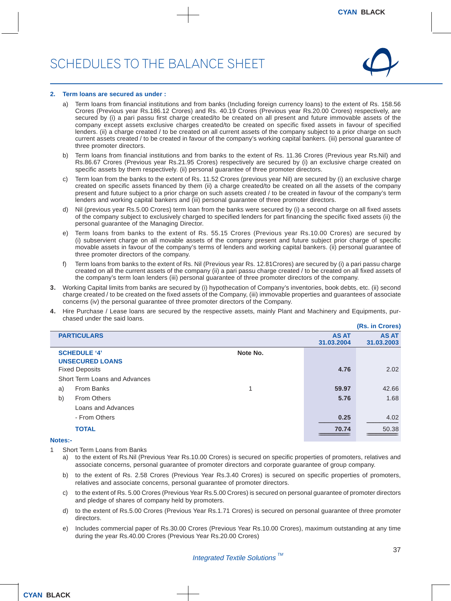

#### **2. Term loans are secured as under :**

- a) Term loans from financial institutions and from banks (Including foreign currency loans) to the extent of Rs. 158.56 Crores (Previous year Rs.186.12 Crores) and Rs. 40.19 Crores (Previous year Rs.20.00 Crores) respectively, are secured by (i) a pari passu first charge created/to be created on all present and future immovable assets of the company except assets exclusive charges created/to be created on specific fixed assets in favour of specified lenders. (ii) a charge created / to be created on all current assets of the company subject to a prior charge on such current assets created / to be created in favour of the company's working capital bankers. (iii) personal guarantee of three promoter directors.
- b) Term loans from financial institutions and from banks to the extent of Rs. 11.36 Crores (Previous year Rs.Nil) and Rs.86.67 Crores (Previous year Rs.21.95 Crores) respectively are secured by (i) an exclusive charge created on specific assets by them respectively. (ii) personal guarantee of three promoter directors.
- c) Term loan from the banks to the extent of Rs. 11.52 Crores (previous year Nil) are secured by (i) an exclusive charge created on specific assets financed by them (ii) a charge created/to be created on all the assets of the company present and future subject to a prior charge on such assets created / to be created in favour of the company's term lenders and working capital bankers and (iii) personal guarantee of three promoter directors.
- d) Nil (previous year Rs.5.00 Crores) term loan from the banks were secured by (i) a second charge on all fixed assets of the company subject to exclusively charged to specified lenders for part financing the specific fixed assets (ii) the personal guarantee of the Managing Director.
- e) Term loans from banks to the extent of Rs. 55.15 Crores (Previous year Rs.10.00 Crores) are secured by (i) subservient charge on all movable assets of the company present and future subject prior charge of specific movable assets in favour of the company's terms of lenders and working capital bankers. (ii) personal guarantee of three promoter directors of the company.
- f) Term loans from banks to the extent of Rs. Nil (Previous year Rs. 12.81Crores) are secured by (i) a pari passu charge created on all the current assets of the company (ii) a pari passu charge created / to be created on all fixed assets of the company's term loan lenders (iii) personal guarantee of three promoter directors of the company.
- **3.** Working Capital limits from banks are secured by (i) hypothecation of Company's inventories, book debts, etc. (ii) second charge created / to be created on the fixed assets of the Company, (iii) immovable properties and guarantees of associate concerns (iv) the personal guarantee of three promoter directors of the Company.
- **4.** Hire Purchase / Lease loans are secured by the respective assets, mainly Plant and Machinery and Equipments, purchased under the said loans. **(Rs. in Crores)**

|                |                                               |          |                            | (RS. IN Grores)            |
|----------------|-----------------------------------------------|----------|----------------------------|----------------------------|
|                | <b>PARTICULARS</b>                            |          | <b>AS AT</b><br>31.03.2004 | <b>AS AT</b><br>31.03.2003 |
|                | <b>SCHEDULE '4'</b><br><b>UNSECURED LOANS</b> | Note No. |                            |                            |
|                | <b>Fixed Deposits</b>                         |          | 4.76                       | 2.02                       |
|                | Short Term Loans and Advances                 |          |                            |                            |
| a)             | From Banks                                    | 1        | 59.97                      | 42.66                      |
| b)             | <b>From Others</b>                            |          | 5.76                       | 1.68                       |
|                | Loans and Advances                            |          |                            |                            |
|                | - From Others                                 |          | 0.25                       | 4.02                       |
|                | <b>TOTAL</b>                                  |          | 70.74                      | 50.38                      |
| <b>Notes:-</b> |                                               |          |                            |                            |

- 1 Short Term Loans from Banks
	- a) to the extent of Rs.Nil (Previous Year Rs.10.00 Crores) is secured on specific properties of promoters, relatives and associate concerns, personal guarantee of promoter directors and corporate guarantee of group company.
	- b) to the extent of Rs. 2.58 Crores (Previous Year Rs.3.40 Crores) is secured on specific properties of promoters, relatives and associate concerns, personal guarantee of promoter directors.
	- c) to the extent of Rs. 5.00 Crores (Previous Year Rs.5.00 Crores) is secured on personal guarantee of promoter directors and pledge of shares of company held by promoters.
	- d) to the extent of Rs.5.00 Crores (Previous Year Rs.1.71 Crores) is secured on personal guarantee of three promoter directors.
	- e) Includes commercial paper of Rs.30.00 Crores (Previous Year Rs.10.00 Crores), maximum outstanding at any time during the year Rs.40.00 Crores (Previous Year Rs.20.00 Crores)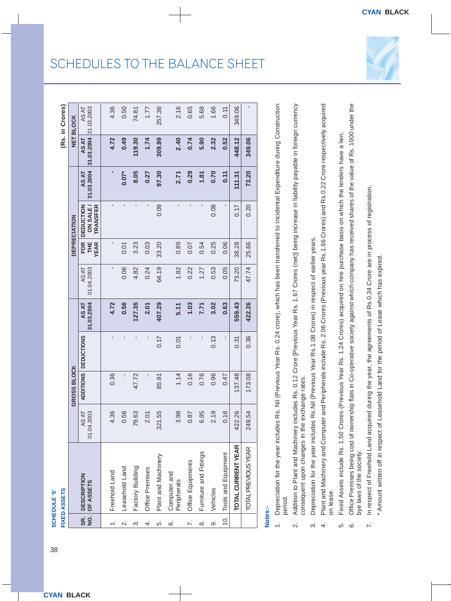įρ

| FIXED ASSETS  |                    |            | <b>GROSS BL</b> |
|---------------|--------------------|------------|-----------------|
| $\frac{1}{2}$ | <b>DESCRIPTION</b> | 01.04.2003 | ADDITION        |
| နှ            | OF ASSETS          | AS AT      |                 |

|                          | FIXED ASSETS<br><b>SCHEDULE '5'</b> |                           |                  |                                       |                     |                     |                                 |                                  |                     |                     | (Rs. in Crores)     |
|--------------------------|-------------------------------------|---------------------------|------------------|---------------------------------------|---------------------|---------------------|---------------------------------|----------------------------------|---------------------|---------------------|---------------------|
|                          |                                     |                           | GROSS BLOCK      |                                       |                     |                     |                                 | <b>DEPRECIATION</b>              |                     |                     | <b>NET BLOCK</b>    |
|                          | SR. DESCRIPTION<br>NO. OF ASSETS    | 01.04.2003<br><b>ASAT</b> | <b>ADDITIONS</b> | <b>DEDUCTIONS</b>                     | 31.03.2004<br>AS AT | 01.04.2003<br>AS AT | <b>FOR</b><br>Ï₩<br><b>YEAR</b> | TRANSFER<br>DEDUCTION<br>ON SALE | 31.03.2004<br>AS AT | 31.03.2004<br>AS AT | 31.03.2003<br>AS AT |
|                          | Freehold Land                       | 4.36                      | 0.36             | $\begin{array}{c} \hline \end{array}$ | 4.72                | ı                   |                                 | ī                                |                     | 4.72                | 4.36                |
| $\overline{\mathcal{N}}$ | Leasehold Land                      | 0.56                      | $\mid$           | $\mid$                                | 0.56                | 0.06                | 0.01                            | ı                                | $0.07*$             | 0.49                | 0.50                |
| က်                       | Factory Building                    | 79.63                     | 47.72            | I                                     | 127.35              | 4.82                | 3.23                            | ı                                | 8.05                | 119.30              | 74.81               |
| 4.                       | Office Premises                     | 2.01                      | I                | $\mid$                                | 2.01                | 0.24                | 0.03                            |                                  | 0.27                | 1.74                | 1.77                |
| ιó.                      | Plant and Machinery                 | 321.55                    | 85.91            | 0.17                                  | 407.29              | 64.19               | 33.20                           | 0.09                             | 97.30               | 309.99              | 257.36              |
| .<br>©                   | Computer and<br>Peripherals         | 3.98                      | 1.14             | 0.01                                  | 5.11                | 1.82                | 0.89                            | ı                                | 2.71                | 2.40                | 2.16                |
| $\ddot{v}$               | Office Equipments                   | 0.87                      | 0.16             |                                       | 1.03                | 0.22                | 0.07                            | ı                                | 0.29                | 0.74                | 0.65                |
| ထံ                       | Furniture and Fittings              | 6.95                      | 0.76             | $\vert$                               | 7.71                | 1.27                | 0.54                            |                                  | 1.81                | 5.90                | 5.68                |
| တ                        | Vehicles                            | 2.19                      | 0.96             | 0.13                                  | 3.02                | 0.53                | 0.25                            | 0.08                             | 0.70                | 2.32                | 1.66                |
| $\overline{10}$ .        | Tools and Equipment                 | 0.16                      | 0.47             | I                                     | 0.63                | 0.05                | 0.06                            |                                  | 0.11                | 0.52                | 0.11                |
|                          | <b>TOTAL CURRENT YEAR</b>           | 422.26                    | 137.48           | 0.31                                  | 559.43              | 73.20               | 38.28                           | 0.17                             | 111.31              | 448.12              | 349.06              |
|                          | TOTAL PREVIOUS YEAR                 | 249.54                    | 173.08           | 0.36                                  | 422.26              | 47.74               | 25.66                           | 0.20                             | 73.20               | 349.06              | ı                   |

# **Notes:-**

- 1. Depreciation for the year includes Rs. Nil (Previous Year Rs. 0.24 crore), which has been transferred to Incidental Expenditure during Construction 1. Depreciation for the year includes Rs. Nil (Previous Year Rs. 0.24 crore), which has been transferred to Incidental Expenditure during Construction period.
	- Addition to Plant and Machinery includes Rs. 0.12 Crore [Previous Year Rs. 1.67 Crores (net)] being increase in liability payable in foreign currency 2. Addition to Plant and Machinery includes Rs. 0.12 Crore [Previous Year Rs. 1.67 Crores (net)] being increase in liability payable in foreign currency consequent upon changes in the exchange rates. consequent upon changes in the exchange rates.  $\overline{\mathcal{N}}$
- Depreciation for the year includes Rs.Nil (Previous Year Rs.1.08 Crores) in respect of earlier years. 3. Depreciation for the year includes Rs.Nil (Previous Year Rs.1.08 Crores) in respect of earlier years.  $\dot{\infty}$
- Plant and Machinery and Computer and Peripherals include Rs. 2.06 Crores (Previous year Rs.1.66 Crores) and Rs.0.22 Crore respectively acquired 4. Plant and Machinery and Computer and Peripherals include Rs. 2.06 Crores (Previous year Rs.1.66 Crores) and Rs.0.22 Crore respectively acquired on lease. on lease.  $\vec{r}$ 
	- Fixed Assets include Rs. 1.50 Crores (Previous Year Rs. 1.24 Crores) acquired on hire purchase basis on which the lenders have a lien. 5. Fixed Assets include Rs. 1.50 Crores (Previous Year Rs. 1.24 Crores) acquired on hire purchase basis on which the lenders have a lien. ιó.
- Office Premises being cost of ownership flats in Co-operative society against which company has received shares of the value of Rs. 1000 under the 6. Office Premises being cost of ownership flats in Co-operative society against which company has received shares of the value of Rs. 1000 under the bye laws of the society. bye laws of the society. <u>ය</u>
- In respect of Freehold Land acquired during the year, the agreements of Rs.0.34 Crore are in process of registration. 7. In respect of Freehold Land acquired during the year, the agreements of Rs.0.34 Crore are in process of registration.  $\overline{r}$
- \* Amount written off in respect of Leasehold Land for the period of Lease which has expired \* Amount written off in respect of Leasehold Land for the period of Lease which has expired.

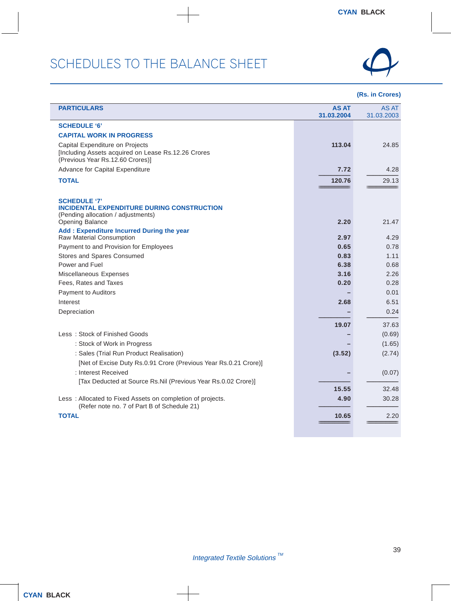

| <b>PARTICULARS</b>                                                                                                                | <b>AS AT</b><br>31.03.2004 | AS AT<br>31.03.2003 |
|-----------------------------------------------------------------------------------------------------------------------------------|----------------------------|---------------------|
| <b>SCHEDULE '6'</b>                                                                                                               |                            |                     |
| <b>CAPITAL WORK IN PROGRESS</b>                                                                                                   |                            |                     |
| Capital Expenditure on Projects<br>[Including Assets acquired on Lease Rs.12.26 Crores<br>(Previous Year Rs.12.60 Crores)]        | 113.04                     | 24.85               |
| Advance for Capital Expenditure                                                                                                   | 7.72                       | 4.28                |
| <b>TOTAL</b>                                                                                                                      | 120.76                     | 29.13               |
|                                                                                                                                   |                            |                     |
| <b>SCHEDULE '7'</b><br><b>INCIDENTAL EXPENDITURE DURING CONSTRUCTION</b><br>(Pending allocation / adjustments)<br>Opening Balance | 2.20                       | 21.47               |
| Add: Expenditure Incurred During the year                                                                                         |                            |                     |
| Raw Material Consumption                                                                                                          | 2.97                       | 4.29                |
| Payment to and Provision for Employees                                                                                            | 0.65                       | 0.78                |
| Stores and Spares Consumed                                                                                                        | 0.83                       | 1.11                |
| Power and Fuel                                                                                                                    | 6.38                       | 0.68                |
| Miscellaneous Expenses                                                                                                            | 3.16                       | 2.26                |
| Fees, Rates and Taxes                                                                                                             | 0.20                       | 0.28                |
| Payment to Auditors                                                                                                               |                            | 0.01                |
| Interest                                                                                                                          | 2.68                       | 6.51                |
| Depreciation                                                                                                                      |                            | 0.24                |
|                                                                                                                                   | 19.07                      | 37.63               |
| Less: Stock of Finished Goods                                                                                                     |                            | (0.69)              |
| : Stock of Work in Progress                                                                                                       |                            | (1.65)              |
| : Sales (Trial Run Product Realisation)                                                                                           | (3.52)                     | (2.74)              |
| [Net of Excise Duty Rs.0.91 Crore (Previous Year Rs.0.21 Crore)]                                                                  |                            |                     |
| : Interest Received                                                                                                               |                            | (0.07)              |
| [Tax Deducted at Source Rs.Nil (Previous Year Rs.0.02 Crore)]                                                                     |                            |                     |
|                                                                                                                                   | 15.55                      | 32.48               |
| Less: Allocated to Fixed Assets on completion of projects.<br>(Refer note no. 7 of Part B of Schedule 21)                         | 4.90                       | 30.28               |
| <b>TOTAL</b>                                                                                                                      | 10.65                      | 2.20                |
|                                                                                                                                   |                            |                     |
|                                                                                                                                   |                            |                     |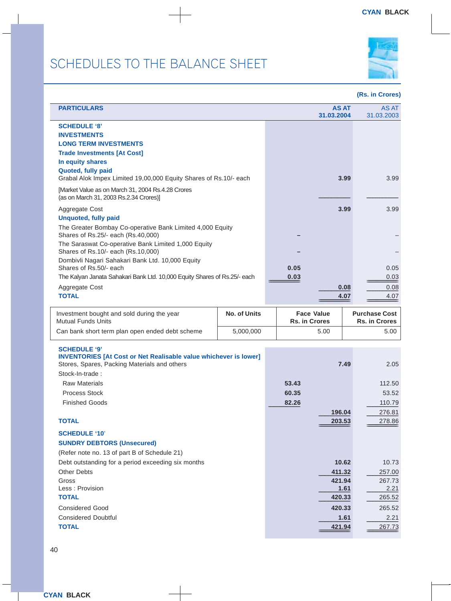

#### **(Rs. in Crores)**

| <b>PARTICULARS</b>                                                                              |      | <b>AS AT</b><br>31.03.2004 | AS AT<br>31.03.2003 |
|-------------------------------------------------------------------------------------------------|------|----------------------------|---------------------|
| <b>SCHEDULE '8'</b><br><b>INVESTMENTS</b>                                                       |      |                            |                     |
| <b>LONG TERM INVESTMENTS</b>                                                                    |      |                            |                     |
| <b>Trade Investments [At Cost]</b>                                                              |      |                            |                     |
| In equity shares                                                                                |      |                            |                     |
| Quoted, fully paid<br>Grabal Alok Impex Limited 19,00,000 Equity Shares of Rs.10/- each         |      | 3.99                       | 3.99                |
| [Market Value as on March 31, 2004 Rs.4.28 Crores<br>(as on March 31, 2003 Rs.2.34 Crores)]     |      |                            |                     |
| Aggregate Cost                                                                                  |      | 3.99                       | 3.99                |
| <b>Unquoted, fully paid</b>                                                                     |      |                            |                     |
| The Greater Bombay Co-operative Bank Limited 4,000 Equity<br>Shares of Rs.25/- each (Rs.40,000) |      |                            |                     |
| The Saraswat Co-operative Bank Limited 1,000 Equity                                             |      |                            |                     |
| Shares of Rs.10/- each (Rs.10,000)<br>Dombivli Nagari Sahakari Bank Ltd. 10,000 Equity          |      |                            |                     |
| Shares of Rs.50/- each                                                                          | 0.05 |                            | 0.05                |
| The Kalyan Janata Sahakari Bank Ltd. 10,000 Equity Shares of Rs.25/- each                       | 0.03 |                            | 0.03                |
| Aggregate Cost                                                                                  |      | 0.08                       | 0.08                |
| <b>TOTAL</b>                                                                                    |      | 4.07                       | 4.07                |
|                                                                                                 |      |                            |                     |

| Investment bought and sold during the year      | No. of Units | <b>Face Value</b>    | <b>Purchase Cost</b> |
|-------------------------------------------------|--------------|----------------------|----------------------|
| Mutual Funds Units                              |              | <b>Rs. in Crores</b> | <b>Rs. in Crores</b> |
| Can bank short term plan open ended debt scheme | 5.000.000    | 5.00                 | 5.00                 |

×

#### **SCHEDULE '9'**

| <b>INVENTORIES [At Cost or Net Realisable value whichever is lower]</b><br>Stores, Spares, Packing Materials and others |       | 7.49   | 2.05   |
|-------------------------------------------------------------------------------------------------------------------------|-------|--------|--------|
| Stock-In-trade:                                                                                                         |       |        |        |
| <b>Raw Materials</b>                                                                                                    | 53.43 |        | 112.50 |
| <b>Process Stock</b>                                                                                                    | 60.35 |        | 53.52  |
| <b>Finished Goods</b>                                                                                                   | 82.26 |        | 110.79 |
|                                                                                                                         |       | 196.04 | 276.81 |
| <b>TOTAL</b>                                                                                                            |       | 203.53 | 278.86 |
| <b>SCHEDULE '10'</b>                                                                                                    |       |        |        |
| <b>SUNDRY DEBTORS (Unsecured)</b>                                                                                       |       |        |        |
| (Refer note no. 13 of part B of Schedule 21)                                                                            |       |        |        |
| Debt outstanding for a period exceeding six months                                                                      |       | 10.62  | 10.73  |
| <b>Other Debts</b>                                                                                                      |       | 411.32 | 257.00 |
| Gross                                                                                                                   |       | 421.94 | 267.73 |
| Less: Provision                                                                                                         |       | 1.61   | 2.21   |
| <b>TOTAL</b>                                                                                                            |       | 420.33 | 265.52 |
| <b>Considered Good</b>                                                                                                  |       | 420.33 | 265.52 |
| <b>Considered Doubtful</b>                                                                                              |       | 1.61   | 2.21   |
| <b>TOTAL</b>                                                                                                            |       | 421.94 | 267.73 |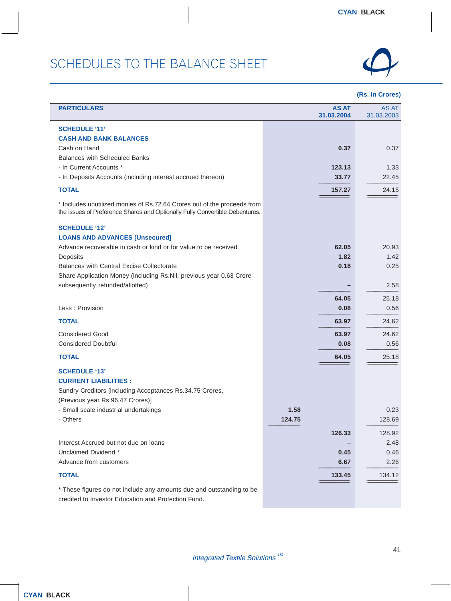Ī



| <b>PARTICULARS</b>                                                                                                                                       |        | <b>AS AT</b><br>31.03.2004 | <b>AS AT</b><br>31.03.2003 |
|----------------------------------------------------------------------------------------------------------------------------------------------------------|--------|----------------------------|----------------------------|
| <b>SCHEDULE '11'</b><br><b>CASH AND BANK BALANCES</b><br>Cash on Hand                                                                                    |        | 0.37                       | 0.37                       |
| <b>Balances with Scheduled Banks</b><br>- In Current Accounts *<br>- In Deposits Accounts (including interest accrued thereon)                           |        | 123.13<br>33.77            | 1.33<br>22.45              |
| <b>TOTAL</b>                                                                                                                                             |        | 157.27                     | 24.15                      |
| * Includes unutilized monies of Rs.72.64 Crores out of the proceeds from<br>the issues of Preference Shares and Optionally Fully Convertible Debentures. |        |                            |                            |
| <b>SCHEDULE '12'</b><br><b>LOANS AND ADVANCES [Unsecured]</b>                                                                                            |        |                            |                            |
| Advance recoverable in cash or kind or for value to be received<br>Deposits                                                                              |        | 62.05<br>1.82              | 20.93<br>1.42              |
| <b>Balances with Central Excise Collectorate</b>                                                                                                         |        | 0.18                       | 0.25                       |
| Share Application Money (including Rs.Nil, previous year 0.63 Crore<br>subsequently refunded/allotted)                                                   |        |                            | 2.58                       |
|                                                                                                                                                          |        | 64.05                      | 25.18                      |
| Less: Provision                                                                                                                                          |        | 0.08                       | 0.56                       |
| <b>TOTAL</b>                                                                                                                                             |        | 63.97                      | 24.62                      |
| <b>Considered Good</b>                                                                                                                                   |        | 63.97                      | 24.62                      |
| <b>Considered Doubtful</b>                                                                                                                               |        | 0.08                       | 0.56                       |
| <b>TOTAL</b>                                                                                                                                             |        | 64.05                      | 25.18                      |
| <b>SCHEDULE '13'</b><br><b>CURRENT LIABILITIES:</b><br>Sundry Creditors [including Acceptances Rs.34.75 Crores,<br>(Previous year Rs.96.47 Crores)]      |        |                            |                            |
| - Small scale industrial undertakings                                                                                                                    | 1.58   |                            | 0.23                       |
| - Others                                                                                                                                                 | 124.75 |                            | 128.69                     |
|                                                                                                                                                          |        | 126.33                     | 128.92                     |
| Interest Accrued but not due on loans<br>Unclaimed Dividend *                                                                                            |        | 0.45                       | 2.48<br>0.46               |
| Advance from customers                                                                                                                                   |        | 6.67                       | 2.26                       |
| <b>TOTAL</b>                                                                                                                                             |        | 133.45                     | 134.12                     |
| * These figures do not include any amounts due and outstanding to be<br>credited to Investor Education and Protection Fund.                              |        |                            |                            |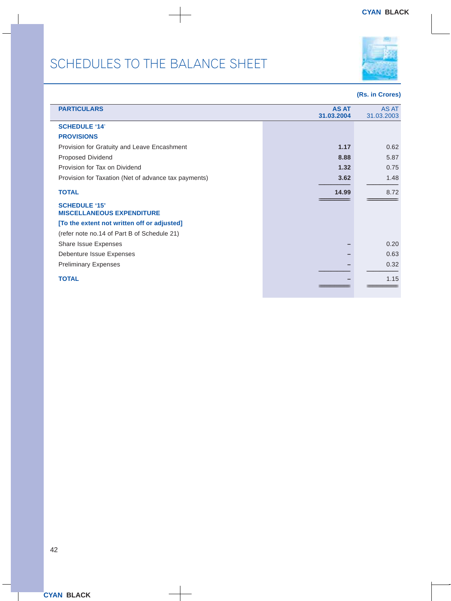

| <b>PARTICULARS</b>                                       | <b>AS AT</b><br>31.03.2004 | AS AT<br>31.03.2003 |
|----------------------------------------------------------|----------------------------|---------------------|
| <b>SCHEDULE '14'</b>                                     |                            |                     |
| <b>PROVISIONS</b>                                        |                            |                     |
| Provision for Gratuity and Leave Encashment              | 1.17                       | 0.62                |
| Proposed Dividend                                        | 8.88                       | 5.87                |
| Provision for Tax on Dividend                            | 1.32                       | 0.75                |
| Provision for Taxation (Net of advance tax payments)     | 3.62                       | 1.48                |
| <b>TOTAL</b>                                             | 14.99                      | 8.72                |
| <b>SCHEDULE '15'</b><br><b>MISCELLANEOUS EXPENDITURE</b> |                            |                     |
| [To the extent not written off or adjusted]              |                            |                     |
| (refer note no.14 of Part B of Schedule 21)              |                            |                     |
| Share Issue Expenses                                     |                            | 0.20                |
| Debenture Issue Expenses                                 |                            | 0.63                |
| <b>Preliminary Expenses</b>                              |                            | 0.32                |
| <b>TOTAL</b>                                             |                            | 1.15                |
|                                                          |                            |                     |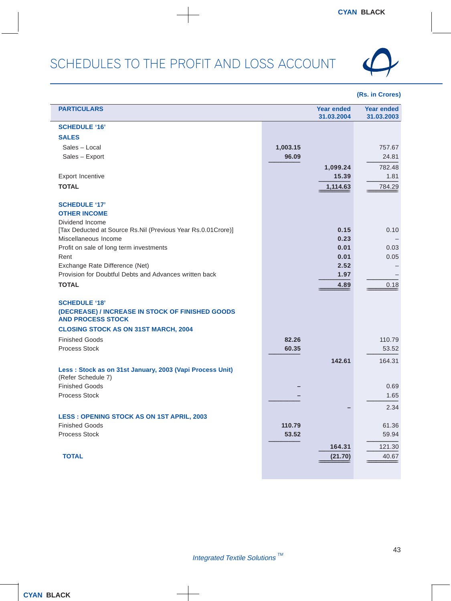

| <b>PARTICULARS</b>                                                                       |          | <b>Year ended</b><br>31.03.2004 | <b>Year ended</b><br>31.03.2003 |
|------------------------------------------------------------------------------------------|----------|---------------------------------|---------------------------------|
| <b>SCHEDULE '16'</b>                                                                     |          |                                 |                                 |
| <b>SALES</b>                                                                             |          |                                 |                                 |
| Sales - Local                                                                            | 1,003.15 |                                 | 757.67                          |
| Sales - Export                                                                           | 96.09    |                                 | 24.81                           |
|                                                                                          |          | 1,099.24                        | 782.48                          |
| <b>Export Incentive</b>                                                                  |          | 15.39                           | 1.81                            |
| <b>TOTAL</b>                                                                             |          | 1,114.63                        | 784.29                          |
|                                                                                          |          |                                 |                                 |
| <b>SCHEDULE '17'</b>                                                                     |          |                                 |                                 |
| <b>OTHER INCOME</b>                                                                      |          |                                 |                                 |
| Dividend Income                                                                          |          |                                 |                                 |
| [Tax Deducted at Source Rs.Nil (Previous Year Rs.0.01Crore)]                             |          | 0.15                            | 0.10                            |
| Miscellaneous Income                                                                     |          | 0.23                            |                                 |
| Profit on sale of long term investments                                                  |          | 0.01                            | 0.03                            |
| Rent                                                                                     |          | 0.01                            | 0.05                            |
| Exchange Rate Difference (Net)<br>Provision for Doubtful Debts and Advances written back |          | 2.52<br>1.97                    |                                 |
|                                                                                          |          |                                 |                                 |
| <b>TOTAL</b>                                                                             |          | 4.89                            | 0.18                            |
| <b>SCHEDULE '18'</b>                                                                     |          |                                 |                                 |
| (DECREASE) / INCREASE IN STOCK OF FINISHED GOODS                                         |          |                                 |                                 |
| <b>AND PROCESS STOCK</b>                                                                 |          |                                 |                                 |
| <b>CLOSING STOCK AS ON 31ST MARCH, 2004</b>                                              |          |                                 |                                 |
| <b>Finished Goods</b>                                                                    | 82.26    |                                 | 110.79                          |
| <b>Process Stock</b>                                                                     | 60.35    |                                 | 53.52                           |
|                                                                                          |          | 142.61                          | 164.31                          |
| Less: Stock as on 31st January, 2003 (Vapi Process Unit)                                 |          |                                 |                                 |
| (Refer Schedule 7)                                                                       |          |                                 |                                 |
| <b>Finished Goods</b>                                                                    |          |                                 | 0.69                            |
| <b>Process Stock</b>                                                                     |          |                                 | 1.65                            |
|                                                                                          |          |                                 | 2.34                            |
| <b>LESS : OPENING STOCK AS ON 1ST APRIL, 2003</b>                                        |          |                                 |                                 |
| <b>Finished Goods</b>                                                                    | 110.79   |                                 | 61.36                           |
| Process Stock                                                                            | 53.52    |                                 | 59.94                           |
|                                                                                          |          | 164.31                          | 121.30                          |
| <b>TOTAL</b>                                                                             |          | (21.70)                         | 40.67                           |
|                                                                                          |          |                                 |                                 |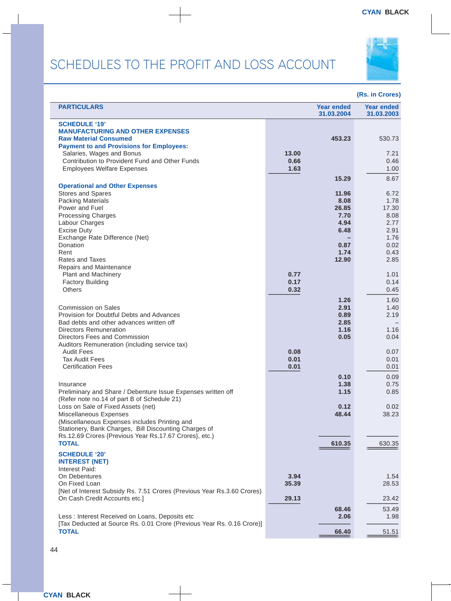### SCHEDULES TO THE PROFIT AND LOSS ACCOUNT



| <b>PARTICULARS</b>                                                                                                                                                                                                               |                       | <b>Year ended</b><br>31.03.2004              | <b>Year ended</b><br>31.03.2003       |
|----------------------------------------------------------------------------------------------------------------------------------------------------------------------------------------------------------------------------------|-----------------------|----------------------------------------------|---------------------------------------|
| <b>SCHEDULE '19'</b><br><b>MANUFACTURING AND OTHER EXPENSES</b><br><b>Raw Material Consumed</b><br><b>Payment to and Provisions for Employees:</b>                                                                               |                       | 453.23                                       | 530.73                                |
| Salaries, Wages and Bonus<br>Contribution to Provident Fund and Other Funds<br><b>Employees Welfare Expenses</b>                                                                                                                 | 13.00<br>0.66<br>1.63 |                                              | 7.21<br>0.46<br>1.00                  |
|                                                                                                                                                                                                                                  |                       | 15.29                                        | 8.67                                  |
| <b>Operational and Other Expenses</b><br>Stores and Spares<br><b>Packing Materials</b><br>Power and Fuel<br><b>Processing Charges</b><br>Labour Charges                                                                          |                       | 11.96<br>8.08<br>26.85<br>7.70<br>4.94       | 6.72<br>1.78<br>17.30<br>8.08<br>2.77 |
| <b>Excise Duty</b><br>Exchange Rate Difference (Net)<br>Donation<br>Rent<br><b>Rates and Taxes</b>                                                                                                                               |                       | 6.48<br>0.87<br>1.74<br>12.90                | 2.91<br>1.76<br>0.02<br>0.43<br>2.85  |
| Repairs and Maintenance<br><b>Plant and Machinery</b><br><b>Factory Building</b><br>Others                                                                                                                                       | 0.77<br>0.17<br>0.32  |                                              | 1.01<br>0.14<br>0.45                  |
| <b>Commission on Sales</b><br>Provision for Doubtful Debts and Advances<br>Bad debts and other advances written off<br><b>Directors Remuneration</b><br>Directors Fees and Commission                                            |                       | 1.26<br>2.91<br>0.89<br>2.85<br>1.16<br>0.05 | 1.60<br>1.40<br>2.19<br>1.16<br>0.04  |
| Auditors Remuneration (including service tax)<br><b>Audit Fees</b><br><b>Tax Audit Fees</b><br><b>Certification Fees</b>                                                                                                         | 0.08<br>0.01<br>0.01  |                                              | 0.07<br>0.01<br>0.01                  |
| Insurance<br>Preliminary and Share / Debenture Issue Expenses written off<br>(Refer note no.14 of part B of Schedule 21)                                                                                                         |                       | 0.10<br>1.38<br>1.15                         | 0.09<br>0.75<br>0.85                  |
| Loss on Sale of Fixed Assets (net)<br>Miscellaneous Expenses<br>(Miscellaneous Expenses includes Printing and<br>Stationery, Bank Charges, Bill Discounting Charges of<br>Rs.12.69 Crores {Previous Year Rs.17.67 Crores}, etc.) |                       | 0.12<br>48.44                                | 0.02<br>38.23                         |
| <b>TOTAL</b><br><b>SCHEDULE '20'</b><br><b>INTEREST (NET)</b>                                                                                                                                                                    |                       | 610.35                                       | 630.35                                |
| Interest Paid:<br>On Debentures<br>On Fixed Loan<br>[Net of Interest Subsidy Rs. 7.51 Crores (Previous Year Rs.3.60 Crores)                                                                                                      | 3.94<br>35.39         |                                              | 1.54<br>28.53                         |
| On Cash Credit Accounts etc.]<br>Less : Interest Received on Loans, Deposits etc                                                                                                                                                 | 29.13                 | 68.46<br>2.06                                | 23.42<br>53.49<br>1.98                |
| [Tax Deducted at Source Rs. 0.01 Crore (Previous Year Rs. 0.16 Crore)]<br><b>TOTAL</b>                                                                                                                                           |                       | 66.40                                        | 51.51                                 |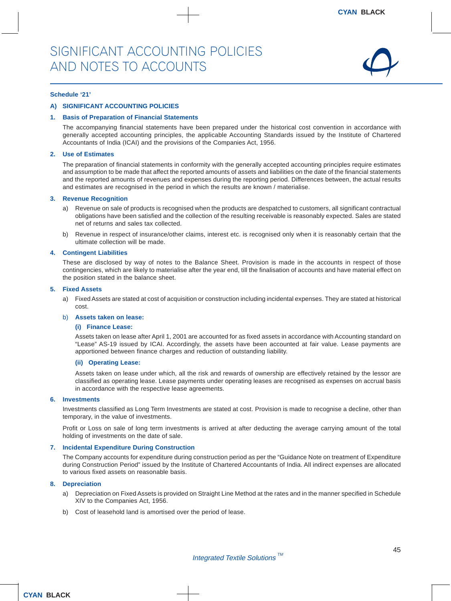

#### **Schedule '21'**

#### **A) SIGNIFICANT ACCOUNTING POLICIES**

#### **1. Basis of Preparation of Financial Statements**

The accompanying financial statements have been prepared under the historical cost convention in accordance with generally accepted accounting principles, the applicable Accounting Standards issued by the Institute of Chartered Accountants of India (ICAI) and the provisions of the Companies Act, 1956.

#### **2. Use of Estimates**

The preparation of financial statements in conformity with the generally accepted accounting principles require estimates and assumption to be made that affect the reported amounts of assets and liabilities on the date of the financial statements and the reported amounts of revenues and expenses during the reporting period. Differences between, the actual results and estimates are recognised in the period in which the results are known / materialise.

#### **3. Revenue Recognition**

- a) Revenue on sale of products is recognised when the products are despatched to customers, all significant contractual obligations have been satisfied and the collection of the resulting receivable is reasonably expected. Sales are stated net of returns and sales tax collected.
- b) Revenue in respect of insurance/other claims, interest etc. is recognised only when it is reasonably certain that the ultimate collection will be made.

#### **4. Contingent Liabilities**

These are disclosed by way of notes to the Balance Sheet. Provision is made in the accounts in respect of those contingencies, which are likely to materialise after the year end, till the finalisation of accounts and have material effect on the position stated in the balance sheet.

#### **5. Fixed Assets**

a) Fixed Assets are stated at cost of acquisition or construction including incidental expenses. They are stated at historical cost.

#### b) **Assets taken on lease:**

#### **(i) Finance Lease:**

Assets taken on lease after April 1, 2001 are accounted for as fixed assets in accordance with Accounting standard on "Lease" AS-19 issued by ICAI. Accordingly, the assets have been accounted at fair value. Lease payments are apportioned between finance charges and reduction of outstanding liability.

#### **(ii) Operating Lease:**

Assets taken on lease under which, all the risk and rewards of ownership are effectively retained by the lessor are classified as operating lease. Lease payments under operating leases are recognised as expenses on accrual basis in accordance with the respective lease agreements.

#### **6. Investments**

Investments classified as Long Term Investments are stated at cost. Provision is made to recognise a decline, other than temporary, in the value of investments.

Profit or Loss on sale of long term investments is arrived at after deducting the average carrying amount of the total holding of investments on the date of sale.

#### **7. Incidental Expenditure During Construction**

The Company accounts for expenditure during construction period as per the "Guidance Note on treatment of Expenditure during Construction Period" issued by the Institute of Chartered Accountants of India. All indirect expenses are allocated to various fixed assets on reasonable basis.

#### **8. Depreciation**

- a) Depreciation on Fixed Assets is provided on Straight Line Method at the rates and in the manner specified in Schedule XIV to the Companies Act, 1956.
- b) Cost of leasehold land is amortised over the period of lease.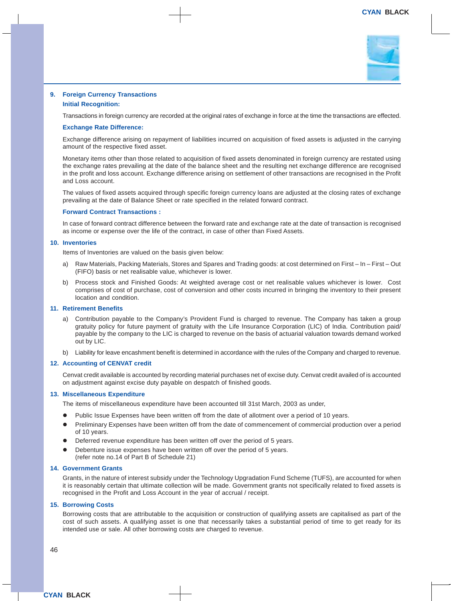

#### **9. Foreign Currency Transactions**

#### **Initial Recognition:**

Transactions in foreign currency are recorded at the original rates of exchange in force at the time the transactions are effected.

#### **Exchange Rate Difference:**

Exchange difference arising on repayment of liabilities incurred on acquisition of fixed assets is adjusted in the carrying amount of the respective fixed asset.

Monetary items other than those related to acquisition of fixed assets denominated in foreign currency are restated using the exchange rates prevailing at the date of the balance sheet and the resulting net exchange difference are recognised in the profit and loss account. Exchange difference arising on settlement of other transactions are recognised in the Profit and Loss account.

The values of fixed assets acquired through specific foreign currency loans are adjusted at the closing rates of exchange prevailing at the date of Balance Sheet or rate specified in the related forward contract.

#### **Forward Contract Transactions :**

In case of forward contract difference between the forward rate and exchange rate at the date of transaction is recognised as income or expense over the life of the contract, in case of other than Fixed Assets.

#### **10. Inventories**

Items of Inventories are valued on the basis given below:

- a) Raw Materials, Packing Materials, Stores and Spares and Trading goods: at cost determined on First In First Out (FIFO) basis or net realisable value, whichever is lower.
- b) Process stock and Finished Goods: At weighted average cost or net realisable values whichever is lower. Cost comprises of cost of purchase, cost of conversion and other costs incurred in bringing the inventory to their present location and condition.

#### **11. Retirement Benefits**

- a) Contribution payable to the Company's Provident Fund is charged to revenue. The Company has taken a group gratuity policy for future payment of gratuity with the Life Insurance Corporation (LIC) of India. Contribution paid/ payable by the company to the LIC is charged to revenue on the basis of actuarial valuation towards demand worked out by LIC.
- b) Liability for leave encashment benefit is determined in accordance with the rules of the Company and charged to revenue.

#### **12. Accounting of CENVAT credit**

Cenvat credit available is accounted by recording material purchases net of excise duty. Cenvat credit availed of is accounted on adjustment against excise duty payable on despatch of finished goods.

#### **13. Miscellaneous Expenditure**

The items of miscellaneous expenditure have been accounted till 31st March, 2003 as under,

- Public Issue Expenses have been written off from the date of allotment over a period of 10 years.
- Preliminary Expenses have been written off from the date of commencement of commercial production over a period of 10 years.
- Deferred revenue expenditure has been written off over the period of 5 years.
- Debenture issue expenses have been written off over the period of 5 years. (refer note no.14 of Part B of Schedule 21)

#### **14. Government Grants**

Grants, in the nature of interest subsidy under the Technology Upgradation Fund Scheme (TUFS), are accounted for when it is reasonably certain that ultimate collection will be made. Government grants not specifically related to fixed assets is recognised in the Profit and Loss Account in the year of accrual / receipt.

#### **15. Borrowing Costs**

Borrowing costs that are attributable to the acquisition or construction of qualifying assets are capitalised as part of the cost of such assets. A qualifying asset is one that necessarily takes a substantial period of time to get ready for its intended use or sale. All other borrowing costs are charged to revenue.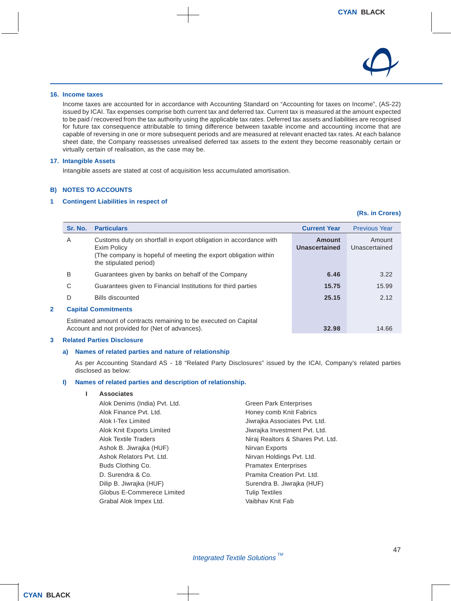

#### **16. Income taxes**

Income taxes are accounted for in accordance with Accounting Standard on "Accounting for taxes on Income", (AS-22) issued by ICAI. Tax expenses comprise both current tax and deferred tax. Current tax is measured at the amount expected to be paid / recovered from the tax authority using the applicable tax rates. Deferred tax assets and liabilities are recognised for future tax consequence attributable to timing difference between taxable income and accounting income that are capable of reversing in one or more subsequent periods and are measured at relevant enacted tax rates. At each balance sheet date, the Company reassesses unrealised deferred tax assets to the extent they become reasonably certain or virtually certain of realisation, as the case may be.

#### **17. Intangible Assets**

Intangible assets are stated at cost of acquisition less accumulated amortisation.

#### **B) NOTES TO ACCOUNTS**

#### **1 Contingent Liabilities in respect of**

#### **(Rs. in Crores)**

| Sr. No. | <b>Particulars</b>                                                                                                                                                            | <b>Current Year</b>     | <b>Previous Year</b>    |
|---------|-------------------------------------------------------------------------------------------------------------------------------------------------------------------------------|-------------------------|-------------------------|
| A       | Customs duty on shortfall in export obligation in accordance with<br>Exim Policy<br>(The company is hopeful of meeting the export obligation within<br>the stipulated period) | Amount<br>Unascertained | Amount<br>Unascertained |
| B       | Guarantees given by banks on behalf of the Company                                                                                                                            | 6.46                    | 3.22                    |
| C       | Guarantees given to Financial Institutions for third parties                                                                                                                  | 15.75                   | 15.99                   |
| D       | <b>Bills discounted</b>                                                                                                                                                       | 25.15                   | 2.12                    |
|         | <b>Capital Commitments</b>                                                                                                                                                    |                         |                         |
|         | Estimated amount of contracts remaining to be executed on Capital<br>Account and not provided for (Net of advances).                                                          | 32.98                   | 14.66                   |

#### **3 Related Parties Disclosure**

#### **a) Names of related parties and nature of relationship**

As per Accounting Standard AS - 18 "Related Party Disclosures" issued by the ICAI, Company's related parties disclosed as below:

#### **I) Names of related parties and description of relationship.**

#### **I Associates**

| Alok Denims (India) Pvt. Ltd. | <b>Green Park Enterprises</b>     |
|-------------------------------|-----------------------------------|
| Alok Finance Pvt. Ltd.        | Honey comb Knit Fabrics           |
| Alok I-Tex Limited            | Jiwrajka Associates Pvt. Ltd.     |
| Alok Knit Exports Limited     | Jiwrajka Investment Pvt. Ltd.     |
| Alok Textile Traders          | Niraj Realtors & Shares Pvt. Ltd. |
| Ashok B. Jiwrajka (HUF)       | Nirvan Exports                    |
| Ashok Relators Pvt. Ltd.      | Nirvan Holdings Pvt. Ltd.         |
| Buds Clothing Co.             | <b>Pramatex Enterprises</b>       |
| D. Surendra & Co.             | Pramita Creation Pvt. Ltd.        |
| Dilip B. Jiwrajka (HUF)       | Surendra B. Jiwrajka (HUF)        |
| Globus E-Commerece Limited    | <b>Tulip Textiles</b>             |
| Grabal Alok Impex Ltd.        | Vaibhav Knit Fab                  |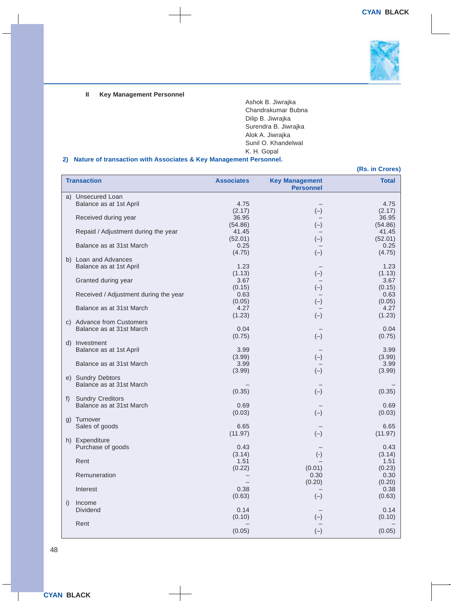

#### **II Key Management Personnel**

Ashok B. Jiwrajka Chandrakumar Bubna Dilip B. Jiwrajka Surendra B. Jiwrajka Alok A. Jiwrajka Sunil O. Khandelwal K. H. Gopal

#### **2) Nature of transaction with Associates & Key Management Personnel.**

|    |                                                 |                   |                                           | (Rs. in Crores) |
|----|-------------------------------------------------|-------------------|-------------------------------------------|-----------------|
|    | <b>Transaction</b>                              | <b>Associates</b> | <b>Key Management</b><br><b>Personnel</b> | <b>Total</b>    |
|    | a) Unsecured Loan                               |                   |                                           |                 |
|    | Balance as at 1st April                         | 4.75              |                                           | 4.75            |
|    |                                                 | (2.17)            | $(-)$                                     | (2.17)          |
|    | Received during year                            | 36.95             |                                           | 36.95           |
|    |                                                 | (54.86)           | $(-)$                                     | (54.86)         |
|    | Repaid / Adjustment during the year             | 41.45             |                                           | 41.45           |
|    |                                                 | (52.01)           | $(-)$                                     | (52.01)         |
|    | Balance as at 31st March                        | 0.25              |                                           | 0.25            |
|    |                                                 | (4.75)            | $(-)$                                     | (4.75)          |
|    | b) Loan and Advances<br>Balance as at 1st April | 1.23              |                                           | 1.23            |
|    |                                                 | (1.13)            | $(-)$                                     | (1.13)          |
|    | Granted during year                             | 3.67              |                                           | 3.67            |
|    |                                                 | (0.15)            | $(-)$                                     | (0.15)          |
|    | Received / Adjustment during the year           | 0.63              |                                           | 0.63            |
|    |                                                 | (0.05)            | $(-)$                                     | (0.05)          |
|    | Balance as at 31st March                        | 4.27              |                                           | 4.27            |
|    |                                                 | (1.23)            | $(-)$                                     | (1.23)          |
|    | c) Advance from Customers                       |                   |                                           |                 |
|    | Balance as at 31st March                        | 0.04              |                                           | 0.04            |
|    |                                                 | (0.75)            | $(-)$                                     | (0.75)          |
|    | d) Investment                                   |                   |                                           |                 |
|    | Balance as at 1st April                         | 3.99              |                                           | 3.99            |
|    |                                                 | (3.99)            | $(-)$                                     | (3.99)          |
|    | Balance as at 31st March                        | 3.99              |                                           | 3.99            |
|    |                                                 | (3.99)            | $(-)$                                     | (3.99)          |
|    | e) Sundry Debtors                               |                   |                                           |                 |
|    | Balance as at 31st March                        |                   |                                           |                 |
| f) | <b>Sundry Creditors</b>                         | (0.35)            | $(-)$                                     | (0.35)          |
|    | Balance as at 31st March                        | 0.69              |                                           | 0.69            |
|    |                                                 | (0.03)            | $(-)$                                     | (0.03)          |
|    | g) Turnover                                     |                   |                                           |                 |
|    | Sales of goods                                  | 6.65              |                                           | 6.65            |
|    |                                                 | (11.97)           | $(-)$                                     | (11.97)         |
|    | h) Expenditure                                  |                   |                                           |                 |
|    | Purchase of goods                               | 0.43              |                                           | 0.43            |
|    |                                                 | (3.14)            | $(-)$                                     | (3.14)          |
|    | Rent                                            | 1.51              |                                           | 1.51            |
|    |                                                 | (0.22)            | (0.01)                                    | (0.23)          |
|    | Remuneration                                    |                   | 0.30                                      | 0.30            |
|    |                                                 |                   | (0.20)                                    | (0.20)          |
|    | Interest                                        | 0.38              |                                           | 0.38            |
|    |                                                 | (0.63)            | $(-)$                                     | (0.63)          |
| i) | Income<br>Dividend                              | 0.14              |                                           | 0.14            |
|    |                                                 | (0.10)            | $(-)$                                     | (0.10)          |
|    | Rent                                            |                   |                                           |                 |
|    |                                                 | (0.05)            |                                           | (0.05)          |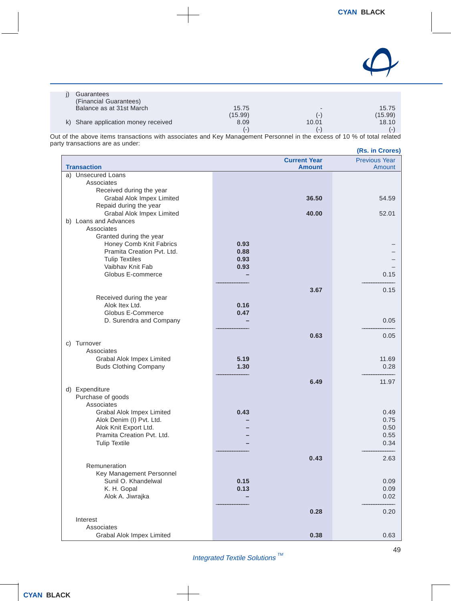

| Guarantees                          |         |                          |                |
|-------------------------------------|---------|--------------------------|----------------|
| (Financial Guarantees)              |         |                          |                |
| Balance as at 31st March            | 15.75   | $\overline{\phantom{0}}$ | 15.75          |
|                                     | (15.99) | ( – )                    | (15.99)        |
| k) Share application money received | 8.09    | 10.01                    | 18.10          |
|                                     | (       | - 1                      | $\overline{a}$ |

Out of the above items transactions with associates and Key Management Personnel in the excess of 10 % of total related party transactions are as under: **(Rs. in Crores)**

|                                  |      |                                      | (n <sub>5</sub> , m <sub>5</sub> ) |
|----------------------------------|------|--------------------------------------|------------------------------------|
| <b>Transaction</b>               |      | <b>Current Year</b><br><b>Amount</b> | <b>Previous Year</b><br>Amount     |
| a) Unsecured Loans               |      |                                      |                                    |
| Associates                       |      |                                      |                                    |
| Received during the year         |      |                                      |                                    |
| <b>Grabal Alok Impex Limited</b> |      | 36.50                                | 54.59                              |
| Repaid during the year           |      |                                      |                                    |
| Grabal Alok Impex Limited        |      | 40.00                                | 52.01                              |
| b) Loans and Advances            |      |                                      |                                    |
| Associates                       |      |                                      |                                    |
| Granted during the year          |      |                                      |                                    |
| Honey Comb Knit Fabrics          | 0.93 |                                      |                                    |
| Pramita Creation Pvt. Ltd.       | 0.88 |                                      |                                    |
| <b>Tulip Textiles</b>            | 0.93 |                                      |                                    |
| Vaibhay Knit Fab                 | 0.93 |                                      |                                    |
| Globus E-commerce                |      |                                      | 0.15                               |
|                                  |      |                                      |                                    |
|                                  |      | 3.67                                 | 0.15                               |
| Received during the year         |      |                                      |                                    |
| Alok Itex Ltd.                   | 0.16 |                                      |                                    |
| Globus E-Commerce                | 0.47 |                                      |                                    |
| D. Surendra and Company          |      |                                      | 0.05                               |
|                                  |      | 0.63                                 | 0.05                               |
| Turnover<br>C)                   |      |                                      |                                    |
| Associates                       |      |                                      |                                    |
| Grabal Alok Impex Limited        | 5.19 |                                      | 11.69                              |
| <b>Buds Clothing Company</b>     | 1.30 |                                      | 0.28                               |
|                                  |      |                                      |                                    |
|                                  |      | 6.49                                 | 11.97                              |
| d) Expenditure                   |      |                                      |                                    |
| Purchase of goods                |      |                                      |                                    |
| Associates                       |      |                                      |                                    |
| Grabal Alok Impex Limited        | 0.43 |                                      | 0.49                               |
| Alok Denim (I) Pvt. Ltd.         |      |                                      | 0.75                               |
| Alok Knit Export Ltd.            |      |                                      | 0.50                               |
| Pramita Creation Pvt. Ltd.       |      |                                      | 0.55                               |
| <b>Tulip Textile</b>             |      |                                      | 0.34                               |
|                                  |      | 0.43                                 | 2.63                               |
| Remuneration                     |      |                                      |                                    |
| Key Management Personnel         |      |                                      |                                    |
| Sunil O. Khandelwal              | 0.15 |                                      | 0.09                               |
| K. H. Gopal                      | 0.13 |                                      | 0.09                               |
| Alok A. Jiwrajka                 |      |                                      | 0.02                               |
|                                  |      |                                      |                                    |
|                                  |      | 0.28                                 | 0.20                               |
| Interest                         |      |                                      |                                    |
| Associates                       |      |                                      |                                    |
| Grabal Alok Impex Limited        |      | 0.38                                 | 0.63                               |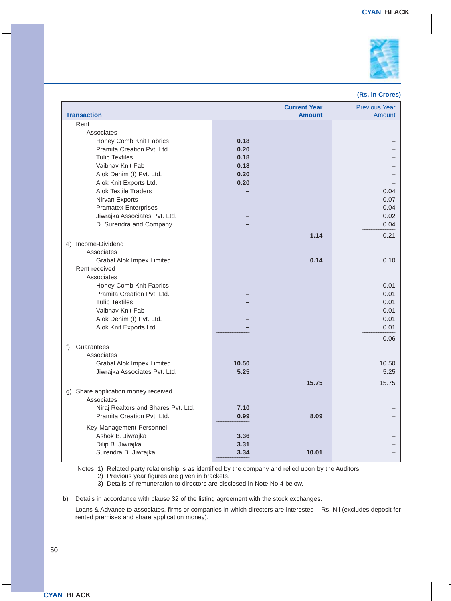

#### **(Rs. in Crores)**

| <b>Transaction</b>                  |       | <b>Current Year</b><br><b>Amount</b> | <b>Previous Year</b><br>Amount |
|-------------------------------------|-------|--------------------------------------|--------------------------------|
| Rent                                |       |                                      |                                |
| Associates                          |       |                                      |                                |
| Honey Comb Knit Fabrics             | 0.18  |                                      |                                |
| Pramita Creation Pvt. Ltd.          | 0.20  |                                      |                                |
| <b>Tulip Textiles</b>               | 0.18  |                                      |                                |
| Vaibhav Knit Fab                    | 0.18  |                                      |                                |
| Alok Denim (I) Pvt. Ltd.            | 0.20  |                                      |                                |
| Alok Knit Exports Ltd.              | 0.20  |                                      |                                |
| <b>Alok Textile Traders</b>         |       |                                      | 0.04                           |
| Nirvan Exports                      |       |                                      | 0.07                           |
| <b>Pramatex Enterprises</b>         |       |                                      | 0.04                           |
| Jiwrajka Associates Pvt. Ltd.       |       |                                      | 0.02                           |
| D. Surendra and Company             |       |                                      | 0.04                           |
|                                     |       | 1.14                                 | 0.21                           |
| e) Income-Dividend                  |       |                                      |                                |
| Associates                          |       |                                      |                                |
| <b>Grabal Alok Impex Limited</b>    |       | 0.14                                 | 0.10                           |
| Rent received                       |       |                                      |                                |
| Associates                          |       |                                      |                                |
| Honey Comb Knit Fabrics             |       |                                      | 0.01                           |
| Pramita Creation Pyt. Ltd.          |       |                                      | 0.01                           |
| <b>Tulip Textiles</b>               |       |                                      | 0.01                           |
| Vaibhay Knit Fab                    |       |                                      | 0.01                           |
| Alok Denim (I) Pvt. Ltd.            |       |                                      | 0.01                           |
| Alok Knit Exports Ltd.              |       |                                      | 0.01                           |
|                                     |       |                                      | 0.06                           |
| Guarantees<br>f)                    |       |                                      |                                |
| Associates                          |       |                                      |                                |
| <b>Grabal Alok Impex Limited</b>    | 10.50 |                                      | 10.50                          |
| Jiwrajka Associates Pvt. Ltd.       | 5.25  |                                      | 5.25                           |
|                                     |       | 15.75                                | 15.75                          |
| g) Share application money received |       |                                      |                                |
| Associates                          |       |                                      |                                |
| Niraj Realtors and Shares Pvt. Ltd. | 7.10  |                                      |                                |
| Pramita Creation Pvt. Ltd.          | 0.99  | 8.09                                 |                                |
|                                     |       |                                      |                                |
| Key Management Personnel            |       |                                      |                                |
| Ashok B. Jiwrajka                   | 3.36  |                                      |                                |
| Dilip B. Jiwrajka                   | 3.31  |                                      |                                |
| Surendra B. Jiwrajka                | 3.34  | 10.01                                |                                |

Notes 1) Related party relationship is as identified by the company and relied upon by the Auditors.

2) Previous year figures are given in brackets.

3) Details of remuneration to directors are disclosed in Note No 4 below.

b) Details in accordance with clause 32 of the listing agreement with the stock exchanges.

Loans & Advance to associates, firms or companies in which directors are interested – Rs. Nil (excludes deposit for rented premises and share application money).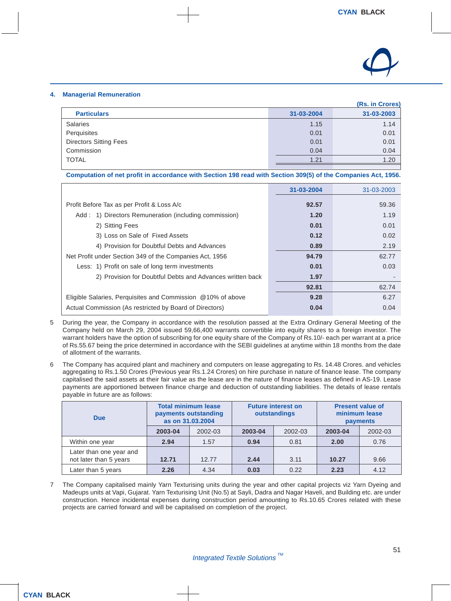

#### **4. Managerial Remuneration**

|                               |            | (Rs. in Crores) |
|-------------------------------|------------|-----------------|
| <b>Particulars</b>            | 31-03-2004 | 31-03-2003      |
| <b>Salaries</b>               | 1.15       | 1.14            |
| Perquisites                   | 0.01       | 0.01            |
| <b>Directors Sitting Fees</b> | 0.01       | 0.01            |
| Commission                    | 0.04       | 0.04            |
| <b>TOTAL</b>                  | 1.21       | 1.20            |
|                               |            |                 |

**Computation of net profit in accordance with Section 198 read with Section 309(5) of the Companies Act, 1956.**

|                                                             | 31-03-2004 | 31-03-2003 |
|-------------------------------------------------------------|------------|------------|
| Profit Before Tax as per Profit & Loss A/c                  | 92.57      | 59.36      |
| Add: 1) Directors Remuneration (including commission)       | 1.20       | 1.19       |
| 2) Sitting Fees                                             | 0.01       | 0.01       |
| 3) Loss on Sale of Fixed Assets                             | 0.12       | 0.02       |
| 4) Provision for Doubtful Debts and Advances                | 0.89       | 2.19       |
| Net Profit under Section 349 of the Companies Act, 1956     | 94.79      | 62.77      |
| Less: 1) Profit on sale of long term investments            | 0.01       | 0.03       |
| 2) Provision for Doubtful Debts and Advances written back   | 1.97       |            |
|                                                             | 92.81      | 62.74      |
| Eligible Salaries, Perquisites and Commission @10% of above | 9.28       | 6.27       |
| Actual Commission (As restricted by Board of Directors)     | 0.04       | 0.04       |

- 5 During the year, the Company in accordance with the resolution passed at the Extra Ordinary General Meeting of the Company held on March 29, 2004 issued 59,66,400 warrants convertible into equity shares to a foreign investor. The warrant holders have the option of subscribing for one equity share of the Company of Rs.10/- each per warrant at a price of Rs.55.67 being the price determined in accordance with the SEBI guidelines at anytime within 18 months from the date of allotment of the warrants.
- 6 The Company has acquired plant and machinery and computers on lease aggregating to Rs. 14.48 Crores. and vehicles aggregating to Rs.1.50 Crores (Previous year Rs.1.24 Crores) on hire purchase in nature of finance lease. The company capitalised the said assets at their fair value as the lease are in the nature of finance leases as defined in AS-19. Lease payments are apportioned between finance charge and deduction of outstanding liabilities. The details of lease rentals payable in future are as follows:

| <b>Due</b>                                        | <b>Total minimum lease</b><br>payments outstanding<br>as on 31.03.2004 |         | <b>Future interest on</b><br>outstandings |         |         | <b>Present value of</b><br>minimum lease<br>payments |
|---------------------------------------------------|------------------------------------------------------------------------|---------|-------------------------------------------|---------|---------|------------------------------------------------------|
|                                                   | 2003-04                                                                | 2002-03 | 2003-04                                   | 2002-03 | 2003-04 | 2002-03                                              |
| Within one year                                   | 2.94                                                                   | 1.57    | 0.94                                      | 0.81    | 2.00    | 0.76                                                 |
| Later than one year and<br>not later than 5 years | 12.71                                                                  | 12.77   | 2.44                                      | 3.11    | 10.27   | 9.66                                                 |
| Later than 5 years                                | 2.26                                                                   | 4.34    | 0.03                                      | 0.22    | 2.23    | 4.12                                                 |

7 The Company capitalised mainly Yarn Texturising units during the year and other capital projects viz Yarn Dyeing and Madeups units at Vapi, Gujarat. Yarn Texturising Unit (No.5) at Sayli, Dadra and Nagar Haveli, and Building etc. are under construction. Hence incidental expenses during construction period amounting to Rs.10.65 Crores related with these projects are carried forward and will be capitalised on completion of the project.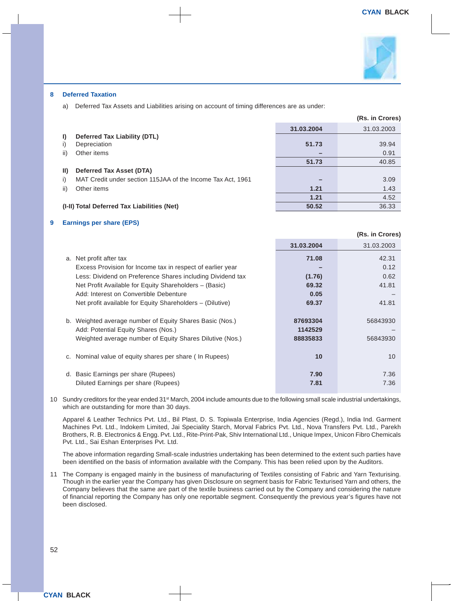

#### **8 Deferred Taxation**

a) Deferred Tax Assets and Liabilities arising on account of timing differences are as under:

|     |                                                             |            | (Rs. in Crores) |
|-----|-------------------------------------------------------------|------------|-----------------|
|     |                                                             | 31.03.2004 | 31.03.2003      |
| I)  | Deferred Tax Liability (DTL)                                |            |                 |
|     | Depreciation                                                | 51.73      | 39.94           |
| ii) | Other items                                                 |            | 0.91            |
|     |                                                             | 51.73      | 40.85           |
| ID. | Deferred Tax Asset (DTA)                                    |            |                 |
| I)  | MAT Credit under section 115JAA of the Income Tax Act, 1961 |            | 3.09            |
| ii) | Other items                                                 | 1.21       | 1.43            |
|     |                                                             | 1.21       | 4.52            |
|     | (I-II) Total Deferred Tax Liabilities (Net)                 | 50.52      | 36.33           |

#### **9 Earnings per share (EPS)**

|                                                            |            | (Rs. in Crores) |
|------------------------------------------------------------|------------|-----------------|
|                                                            | 31.03.2004 | 31.03.2003      |
| a. Net profit after tax                                    | 71.08      | 42.31           |
| Excess Provision for Income tax in respect of earlier year |            | 0.12            |
| Less: Dividend on Preference Shares including Dividend tax | (1.76)     | 0.62            |
| Net Profit Available for Equity Shareholders - (Basic)     | 69.32      | 41.81           |
| Add: Interest on Convertible Debenture                     | 0.05       |                 |
| Net profit available for Equity Shareholders – (Dilutive)  | 69.37      | 41.81           |
|                                                            |            |                 |
| b. Weighted average number of Equity Shares Basic (Nos.)   | 87693304   | 56843930        |
| Add: Potential Equity Shares (Nos.)                        | 1142529    |                 |
| Weighted average number of Equity Shares Dilutive (Nos.)   | 88835833   | 56843930        |
|                                                            |            |                 |
| c. Nominal value of equity shares per share (In Rupees)    | 10         | 10              |
|                                                            |            |                 |
| d. Basic Earnings per share (Rupees)                       | 7.90       | 7.36            |
| Diluted Earnings per share (Rupees)                        | 7.81       | 7.36            |

10 Sundry creditors for the year ended 31<sup>st</sup> March, 2004 include amounts due to the following small scale industrial undertakings, which are outstanding for more than 30 days.

Apparel & Leather Technics Pvt. Ltd., Bil Plast, D. S. Topiwala Enterprise, India Agencies (Regd.), India Ind. Garment Machines Pvt. Ltd., Indokem Limited, Jai Speciality Starch, Morval Fabrics Pvt. Ltd., Nova Transfers Pvt. Ltd., Parekh Brothers, R. B. Electronics & Engg. Pvt. Ltd., Rite-Print-Pak, Shiv International Ltd., Unique Impex, Unicon Fibro Chemicals Pvt. Ltd., Sai Eshan Enterprises Pvt. Ltd.

The above information regarding Small-scale industries undertaking has been determined to the extent such parties have been identified on the basis of information available with the Company. This has been relied upon by the Auditors.

11 The Company is engaged mainly in the business of manufacturing of Textiles consisting of Fabric and Yarn Texturising. Though in the earlier year the Company has given Disclosure on segment basis for Fabric Texturised Yarn and others, the Company believes that the same are part of the textile business carried out by the Company and considering the nature of financial reporting the Company has only one reportable segment. Consequently the previous year's figures have not been disclosed.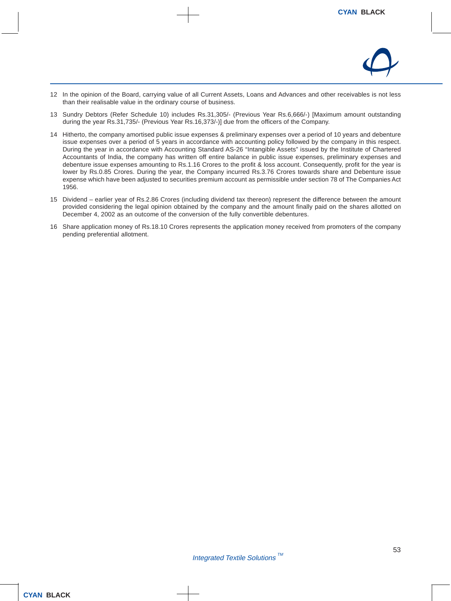

- 12 In the opinion of the Board, carrying value of all Current Assets, Loans and Advances and other receivables is not less than their realisable value in the ordinary course of business.
- 13 Sundry Debtors (Refer Schedule 10) includes Rs.31,305/- (Previous Year Rs.6,666/-) [Maximum amount outstanding during the year Rs.31,735/- (Previous Year Rs.16,373/-)] due from the officers of the Company.
- 14 Hitherto, the company amortised public issue expenses & preliminary expenses over a period of 10 years and debenture issue expenses over a period of 5 years in accordance with accounting policy followed by the company in this respect. During the year in accordance with Accounting Standard AS-26 "Intangible Assets" issued by the Institute of Chartered Accountants of India, the company has written off entire balance in public issue expenses, preliminary expenses and debenture issue expenses amounting to Rs.1.16 Crores to the profit & loss account. Consequently, profit for the year is lower by Rs.0.85 Crores. During the year, the Company incurred Rs.3.76 Crores towards share and Debenture issue expense which have been adjusted to securities premium account as permissible under section 78 of The Companies Act 1956.
- 15 Dividend earlier year of Rs.2.86 Crores (including dividend tax thereon) represent the difference between the amount provided considering the legal opinion obtained by the company and the amount finally paid on the shares allotted on December 4, 2002 as an outcome of the conversion of the fully convertible debentures.
- 16 Share application money of Rs.18.10 Crores represents the application money received from promoters of the company pending preferential allotment.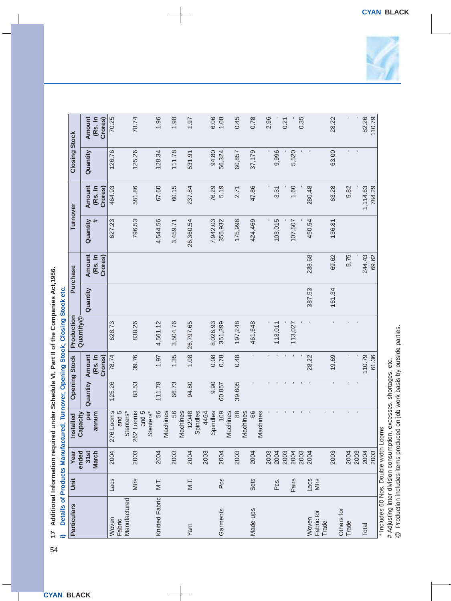| <b>Particulars</b>     | Unit                | Year          | Installed                    |                | <b>Opening Stock</b> | Production                |          | Purchase           | Turnover  |                    | <b>Closing Stock</b> |                    |
|------------------------|---------------------|---------------|------------------------------|----------------|----------------------|---------------------------|----------|--------------------|-----------|--------------------|----------------------|--------------------|
|                        |                     | 31st<br>ended | per<br>Capacity              | Quantity       | Amount               | Quantity <sup>@</sup>     | Quantity | Amount             | Quantity  | Amount             | Quantity             | Amount             |
|                        |                     | <b>March</b>  | annum                        |                | (Rs. In<br>Crores)   |                           |          | (Rs. In<br>Crores) | #         | (Rs. In<br>Crores) |                      | (Rs. In<br>Crores) |
| Woven                  | Lacs                | 2004          | 276 Looms                    | 125.26         | 78.74                | 628.73                    |          |                    | 627.23    | 464.93             | 126.76               | 70.25              |
| Manufactured<br>Fabric |                     |               | and 5<br>Stenters*           |                |                      |                           |          |                    |           |                    |                      |                    |
|                        | Mtrs                | 2003          | and 5<br>262 Looms           | 83.53          | 39.76                | 838.26                    |          |                    | 796.53    | 581.86             | 125.26               | 78.74              |
| Knitted Fabric         | $M.\overline{L}$    | 2004          | 56<br>Stenters*              | 111.78         | 1.97                 | 4,561.12                  |          |                    | 4,544.56  | 67.60              | 128.34               | 1.96               |
|                        |                     | 2003          | 56<br>Machines               | 66.73          | 1.35                 | 3,504.76                  |          |                    | 3,459.71  | 60.15              | 111.78               | 1.98               |
|                        |                     |               | Machines                     |                |                      |                           |          |                    |           |                    |                      |                    |
| Yarn                   | M.T.                | 2004          | 12048<br>Spindles            | 94.80          | 1.08                 | 26,797.65                 |          |                    | 26,360.54 | 237.84             | 531.91               | 1.97               |
|                        |                     | 2003          | Spindles<br>4464             | 9.90           | 0.08                 | 8,026.93                  |          |                    | 7,942.03  | 76.29              | 94.80                | 6.06               |
| Garments               | Pcs                 | 2004          | 109                          | 60,857         | 0.78                 | 351,399                   |          |                    | 355,932   | 5.19               | 56,324               | 1.08               |
|                        |                     | 2003          | 88<br>Machines               | 39,605         | 0.48                 | 197,248                   |          |                    | 175,996   | 2.71               | 60,857               | 0.45               |
|                        |                     |               | Machines                     |                |                      |                           |          |                    |           |                    |                      |                    |
| Made-ups               | Sets                | 2004          | 66<br>Machines               | ı              | ı.                   | 461,648                   |          |                    | 424,469   | 47.86              | 37,179               | 0.78               |
|                        |                     | 2003          | $\blacksquare$               |                | ĭ.                   |                           |          |                    | ı         |                    |                      | 2.96               |
|                        | Pcs.                | 2004          |                              |                | $\mathbf{I}$         | 113,011                   |          |                    | 103,015   | 3.31               | 9,996                |                    |
|                        |                     | 2003          | $\mathbf{I}$                 |                |                      |                           |          |                    |           |                    |                      | 0.21               |
|                        | Pairs               | 2004          | ٠                            | $\mathbf{I}$   |                      | 113,027                   |          |                    | 107,507   | 1.60               | 5,520                |                    |
|                        |                     | 2003          | $\mathbf{I}$                 | $\mathbf{I}$   |                      |                           |          |                    |           |                    |                      | 0.35               |
| Fabric for<br>Woven    | Lacs<br><b>Mtrs</b> | 2004          | $\mathbf{I}$                 | $\mathbf{I}$   | 28.22                |                           | 387.53   | 238.68             | 450.54    | 280.48             |                      |                    |
| Trade                  |                     | 2003          | $\mathbf{L}$<br>$\mathbf{I}$ | ĭ.             | 19.69                | ĭ.                        | 161.34   | 69.62              | 136.81    | 63.28              | 63.00                | 28.22              |
| Others for             |                     |               |                              |                |                      |                           |          |                    |           |                    |                      |                    |
| Trade                  |                     | 2004          | E.                           | n.             | ٠                    |                           |          | 5.75               |           | 5.82               | r.                   | ٠                  |
|                        |                     | 2003          | $\blacksquare$               | $\blacksquare$ | $\blacksquare$       | $\mathbf{I} = \mathbf{I}$ |          |                    |           |                    | $\blacksquare$       |                    |
| Total                  |                     | 2004          |                              |                | 110.79               |                           |          | 244.43             |           | 1,114.63           |                      | 82.26              |
|                        |                     | 2003          |                              |                | 61.36                |                           |          | 69.62              |           | 784.29             |                      | 110.79             |



\* Includes 60 Nos. Double width Looms \* Includes 60 Nos. Double width Looms

# Adjusting inter division consumption, excesses, shortages, etc.<br>@ Production includes items produced on job work basis by outside parties. # Adjusting inter division consumption, excesses, shortages, etc.

@ Production includes items produced on job work basis by outside parties.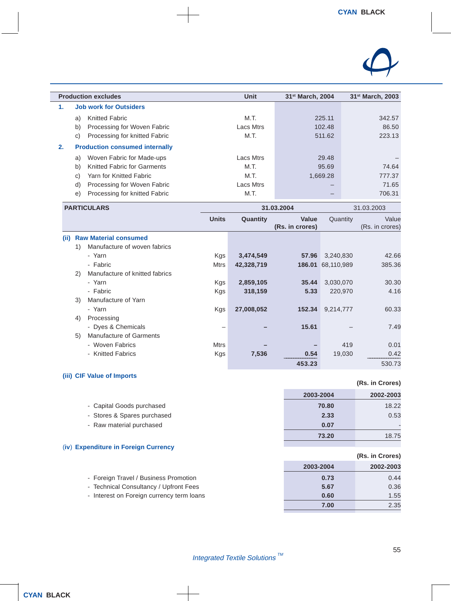

|    | <b>Production excludes</b>               | Unit      | 31 <sup>st</sup> March, 2004 | 31 <sup>st</sup> March, 2003 |
|----|------------------------------------------|-----------|------------------------------|------------------------------|
| 1. | <b>Job work for Outsiders</b>            |           |                              |                              |
|    | <b>Knitted Fabric</b><br>a)              | M.T.      | 225.11                       | 342.57                       |
|    | b)<br>Processing for Woven Fabric        | Lacs Mtrs | 102.48                       | 86.50                        |
|    | Processing for knitted Fabric<br>C)      | M.T.      | 511.62                       | 223.13                       |
| 2. | <b>Production consumed internally</b>    |           |                              |                              |
|    | Woven Fabric for Made-ups<br>a)          | Lacs Mtrs | 29.48                        |                              |
|    | b)<br><b>Knitted Fabric for Garments</b> | M.T.      | 95.69                        | 74.64                        |
|    | Yarn for Knitted Fabric<br>C)            | M.T.      | 1.669.28                     | 777.37                       |
|    | Processing for Woven Fabric<br>d)        | Lacs Mtrs | –                            | 71.65                        |
|    | Processing for knitted Fabric<br>e)      | M.T.      |                              | 706.31                       |

| <b>PARTICULARS</b>                   | 31.03.2004   |            |                 |                   | 31.03.2003      |
|--------------------------------------|--------------|------------|-----------------|-------------------|-----------------|
|                                      | <b>Units</b> | Quantity   | <b>Value</b>    | Quantity          | Value           |
|                                      |              |            | (Rs. in crores) |                   | (Rs. in crores) |
| <b>Raw Material consumed</b><br>(i)  |              |            |                 |                   |                 |
| Manufacture of woven fabrics<br>1)   |              |            |                 |                   |                 |
| - Yarn                               | Kgs          | 3,474,549  | 57.96           | 3,240,830         | 42.66           |
| - Fabric                             | Mtrs         | 42,328,719 |                 | 186.01 68,110,989 | 385.36          |
| Manufacture of knitted fabrics<br>2) |              |            |                 |                   |                 |
| - Yarn                               | Kgs          | 2,859,105  | 35.44           | 3,030,070         | 30.30           |
| - Fabric                             | Kgs          | 318,159    | 5.33            | 220,970           | 4.16            |
| Manufacture of Yarn<br>3)            |              |            |                 |                   |                 |
| - Yarn                               | Kgs          | 27,008,052 | 152.34          | 9,214,777         | 60.33           |
| 4)<br>Processing                     |              |            |                 |                   |                 |
| - Dyes & Chemicals                   |              |            | 15.61           |                   | 7.49            |
| <b>Manufacture of Garments</b><br>5) |              |            |                 |                   |                 |
| - Woven Fabrics                      | Mtrs         |            |                 | 419               | 0.01            |
| - Knitted Fabrics                    | Kgs          | 7,536      | 0.54            | 19,030            | 0.42            |
|                                      |              |            | 453.23          |                   | 530.73          |

#### **(iii) CIF Value of Imports**

|                                      | 2003-2004 | 2002-2003 |
|--------------------------------------|-----------|-----------|
| - Capital Goods purchased            | 70.80     | 18.22     |
| - Stores & Spares purchased          | 2.33      | 0.53      |
| - Raw material purchased             | 0.07      |           |
|                                      | 73.20     | 18.75     |
| (iv) Expenditure in Foreign Currency |           |           |

#### **(Rs. in Crores) 2003-2004 2002-2003** - Foreign Travel / Business Promotion **0.73** 0.44 - Technical Consultancy / Upfront Fees **5.67** 0.36 - Interest on Foreign currency term loans **0.60** 1.55 **7.00** 2.35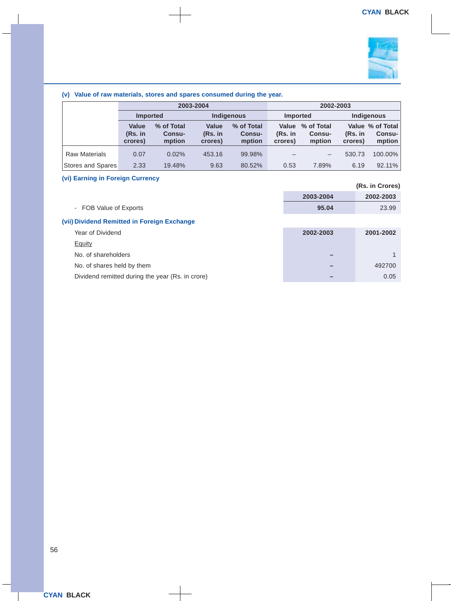

#### **(v) Value of raw materials, stores and spares consumed during the year.**

|                      | 2003-2004                     |                                |                                      |                                | 2002-2003                   |                                |                      |                                      |
|----------------------|-------------------------------|--------------------------------|--------------------------------------|--------------------------------|-----------------------------|--------------------------------|----------------------|--------------------------------------|
|                      | <b>Imported</b>               |                                |                                      | <b>Indigenous</b>              | <b>Imported</b>             |                                |                      | <b>Indigenous</b>                    |
|                      | Value<br>$(Rs.$ in<br>crores) | % of Total<br>Consu-<br>mption | <b>Value</b><br>$(Rs.$ in<br>crores) | % of Total<br>Consu-<br>mption | Value<br>(Rs. in<br>crores) | % of Total<br>Consu-<br>mption | $(Rs.$ in<br>crores) | Value % of Total<br>Consu-<br>mption |
| <b>Raw Materials</b> | 0.07                          | 0.02%                          | 453.16                               | 99.98%                         |                             |                                | 530.73               | 100.00%                              |
| Stores and Spares    | 2.33                          | 19.48%                         | 9.63                                 | 80.52%                         | 0.53                        | 7.89%                          | 6.19                 | 92.11%                               |

#### **(vi) Earning in Foreign Currency**

| $\sim$                                           |           | (Rs. in Crores) |
|--------------------------------------------------|-----------|-----------------|
|                                                  | 2003-2004 | 2002-2003       |
| - FOB Value of Exports                           | 95.04     | 23.99           |
| (vii) Dividend Remitted in Foreign Exchange      |           |                 |
| Year of Dividend                                 | 2002-2003 | 2001-2002       |
| <b>Equity</b>                                    |           |                 |
| No. of shareholders                              |           |                 |
| No. of shares held by them                       |           | 492700          |
| Dividend remitted during the year (Rs. in crore) |           | 0.05            |
|                                                  |           |                 |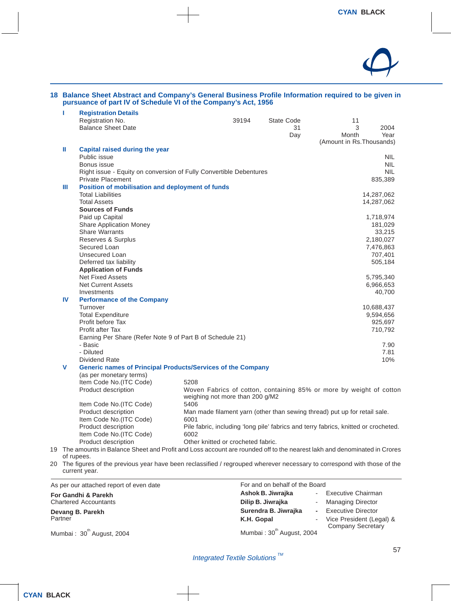

#### **18 Balance Sheet Abstract and Company's General Business Profile Information required to be given in pursuance of part IV of Schedule VI of the Company's Act, 1956**

| т            | <b>Registration Details</b>                                                                                               |                                    |       |            |                                                                                     |            |
|--------------|---------------------------------------------------------------------------------------------------------------------------|------------------------------------|-------|------------|-------------------------------------------------------------------------------------|------------|
|              | Registration No.                                                                                                          |                                    | 39194 | State Code | 11                                                                                  |            |
|              | <b>Balance Sheet Date</b>                                                                                                 |                                    |       | 31         | 3                                                                                   | 2004       |
|              |                                                                                                                           |                                    |       | Day        | Month                                                                               | Year       |
|              |                                                                                                                           |                                    |       |            | (Amount in Rs. Thousands)                                                           |            |
| Ш            | Capital raised during the year                                                                                            |                                    |       |            |                                                                                     |            |
|              | Public issue                                                                                                              |                                    |       |            |                                                                                     | <b>NIL</b> |
|              | Bonus issue                                                                                                               |                                    |       |            |                                                                                     | <b>NIL</b> |
|              | Right issue - Equity on conversion of Fully Convertible Debentures                                                        |                                    |       |            |                                                                                     | <b>NIL</b> |
|              | <b>Private Placement</b>                                                                                                  |                                    |       |            |                                                                                     | 835,389    |
| Ш            | Position of mobilisation and deployment of funds                                                                          |                                    |       |            |                                                                                     |            |
|              | <b>Total Liabilities</b>                                                                                                  |                                    |       |            |                                                                                     | 14,287,062 |
|              | <b>Total Assets</b>                                                                                                       |                                    |       |            |                                                                                     | 14,287,062 |
|              | <b>Sources of Funds</b>                                                                                                   |                                    |       |            |                                                                                     |            |
|              | Paid up Capital                                                                                                           |                                    |       |            |                                                                                     | 1,718,974  |
|              | <b>Share Application Money</b>                                                                                            |                                    |       |            |                                                                                     | 181,029    |
|              | <b>Share Warrants</b>                                                                                                     |                                    |       |            |                                                                                     | 33,215     |
|              | Reserves & Surplus                                                                                                        |                                    |       |            |                                                                                     | 2,180,027  |
|              | Secured Loan                                                                                                              |                                    |       |            |                                                                                     | 7,476,863  |
|              | <b>Unsecured Loan</b>                                                                                                     |                                    |       |            |                                                                                     | 707,401    |
|              | Deferred tax liability                                                                                                    |                                    |       |            |                                                                                     | 505,184    |
|              | <b>Application of Funds</b>                                                                                               |                                    |       |            |                                                                                     |            |
|              | <b>Net Fixed Assets</b>                                                                                                   |                                    |       |            |                                                                                     | 5,795,340  |
|              | <b>Net Current Assets</b>                                                                                                 |                                    |       |            |                                                                                     | 6,966,653  |
|              | Investments                                                                                                               |                                    |       |            |                                                                                     | 40,700     |
| $\mathbf{I}$ | <b>Performance of the Company</b>                                                                                         |                                    |       |            |                                                                                     |            |
|              | Turnover                                                                                                                  |                                    |       |            |                                                                                     | 10,688,437 |
|              | <b>Total Expenditure</b>                                                                                                  |                                    |       |            |                                                                                     | 9,594,656  |
|              | Profit before Tax                                                                                                         |                                    |       |            |                                                                                     | 925,697    |
|              | Profit after Tax                                                                                                          |                                    |       |            |                                                                                     | 710,792    |
|              | Earning Per Share (Refer Note 9 of Part B of Schedule 21)                                                                 |                                    |       |            |                                                                                     |            |
|              | - Basic                                                                                                                   |                                    |       |            |                                                                                     | 7.90       |
|              | - Diluted                                                                                                                 |                                    |       |            |                                                                                     | 7.81       |
|              | Dividend Rate                                                                                                             |                                    |       |            |                                                                                     | 10%        |
| V            | <b>Generic names of Principal Products/Services of the Company</b>                                                        |                                    |       |            |                                                                                     |            |
|              | (as per monetary terms)                                                                                                   |                                    |       |            |                                                                                     |            |
|              | Item Code No.(ITC Code)                                                                                                   | 5208                               |       |            |                                                                                     |            |
|              | Product description                                                                                                       | weighing not more than 200 g/M2    |       |            | Woven Fabrics of cotton, containing 85% or more by weight of cotton                 |            |
|              | Item Code No.(ITC Code)                                                                                                   | 5406                               |       |            |                                                                                     |            |
|              | Product description                                                                                                       |                                    |       |            | Man made filament yarn (other than sewing thread) put up for retail sale.           |            |
|              | Item Code No.(ITC Code)                                                                                                   | 6001                               |       |            |                                                                                     |            |
|              | Product description                                                                                                       |                                    |       |            | Pile fabric, including 'long pile' fabrics and terry fabrics, knitted or crocheted. |            |
|              | Item Code No.(ITC Code)                                                                                                   | 6002                               |       |            |                                                                                     |            |
|              | Product description                                                                                                       | Other knitted or crocheted fabric. |       |            |                                                                                     |            |
|              | 19 The amounts in Balance Sheet and Profit and Loss account are rounded off to the nearest lakh and denominated in Crores |                                    |       |            |                                                                                     |            |
|              | of rupees.                                                                                                                |                                    |       |            |                                                                                     |            |

20 The figures of the previous year have been reclassified / regrouped wherever necessary to correspond with those of the current year.

As per our attached report of even date

**For Gandhi & Parekh** Chartered Accountants

**Devang B. Parekh Partner** 

Mumbai:  $30<sup>th</sup>$  August, 2004

For and on behalf of the Board

| Ashok B. Jiwrajka                     |        | Executive Chairman                                   |
|---------------------------------------|--------|------------------------------------------------------|
| Dilip B. Jiwrajka                     |        | <b>Managing Director</b>                             |
| Surendra B. Jiwrajka                  | $\sim$ | Executive Director                                   |
| K.H. Gopal                            |        | Vice President (Legal) &<br><b>Company Secretary</b> |
| Mumbai: 30 <sup>th</sup> August, 2004 |        |                                                      |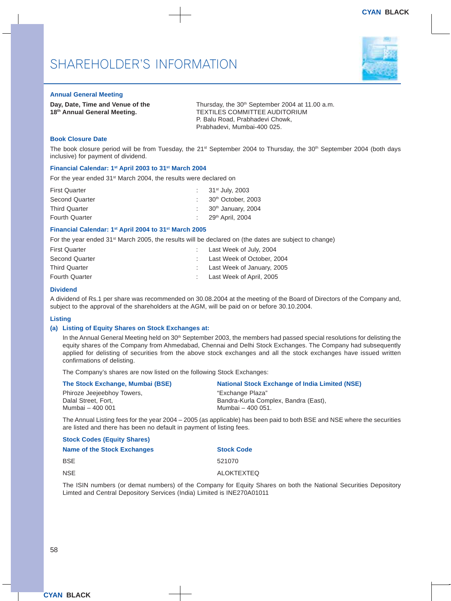#### **Annual General Meeting**

**Day, Date, Time and Venue of the Thursday, the 30<sup>th</sup> September 2004 at 11.00 a.m.** 18<sup>th</sup> Annual General Meeting. TEXTILES COMMITTEE AUDITORIUM P. Balu Road, Prabhadevi Chowk, Prabhadevi, Mumbai-400 025.

#### **Book Closure Date**

The book closure period will be from Tuesday, the 21<sup>st</sup> September 2004 to Thursday, the 30<sup>th</sup> September 2004 (both days inclusive) for payment of dividend.

#### **Financial Calendar: 1st April 2003 to 31st March 2004**

For the year ended 31<sup>st</sup> March 2004, the results were declared on

| <b>First Quarter</b>  | : $31^{st}$ July, 2003                      |
|-----------------------|---------------------------------------------|
| Second Quarter        | $\therefore$ 30 <sup>th</sup> October, 2003 |
| <b>Third Quarter</b>  | : $30th$ January, 2004                      |
| <b>Fourth Quarter</b> | : $29th$ April, 2004                        |

#### **Financial Calendar: 1st April 2004 to 31st March 2005**

For the year ended 31<sup>st</sup> March 2005, the results will be declared on (the dates are subject to change)

| <b>First Quarter</b>  | $\therefore$ Last Week of July, 2004 |
|-----------------------|--------------------------------------|
| Second Quarter        | : Last Week of October, 2004         |
| <b>Third Quarter</b>  | : Last Week of January, 2005         |
| <b>Fourth Quarter</b> | : Last Week of April, 2005           |

#### **Dividend**

A dividend of Rs.1 per share was recommended on 30.08.2004 at the meeting of the Board of Directors of the Company and, subject to the approval of the shareholders at the AGM, will be paid on or before 30.10.2004.

#### **Listing**

#### **(a) Listing of Equity Shares on Stock Exchanges at:**

In the Annual General Meeting held on 30<sup>th</sup> September 2003, the members had passed special resolutions for delisting the equity shares of the Company from Ahmedabad, Chennai and Delhi Stock Exchanges. The Company had subsequently applied for delisting of securities from the above stock exchanges and all the stock exchanges have issued written confirmations of delisting.

The Company's shares are now listed on the following Stock Exchanges:

| The Stock Exchange, Mumbai (BSE) | <b>National Stock Exchange of India Limited (NSE)</b>                                                          |
|----------------------------------|----------------------------------------------------------------------------------------------------------------|
| Phiroze Jeejeebhoy Towers,       | "Exchange Plaza"                                                                                               |
| Dalal Street, Fort,              | Bandra-Kurla Complex, Bandra (East),                                                                           |
| Mumbai - 400 001                 | Mumbai - 400 051.                                                                                              |
|                                  | The Annual Listing fees for the year $2004 - 2005$ (as applicable) has been paid to both RSF and NSF where the |

 $\mu$  Listing fees for the year 2004 – 2005 (as applicable) has been paid to both BSE and NSE where the securities are listed and there has been no default in payment of listing fees.

#### **Stock Codes (Equity Shares) Name of the Stock Exchanges Stock Code BSE** 521070 NSE ALOKTEXTED

The ISIN numbers (or demat numbers) of the Company for Equity Shares on both the National Securities Depository Limted and Central Depository Services (India) Limited is INE270A01011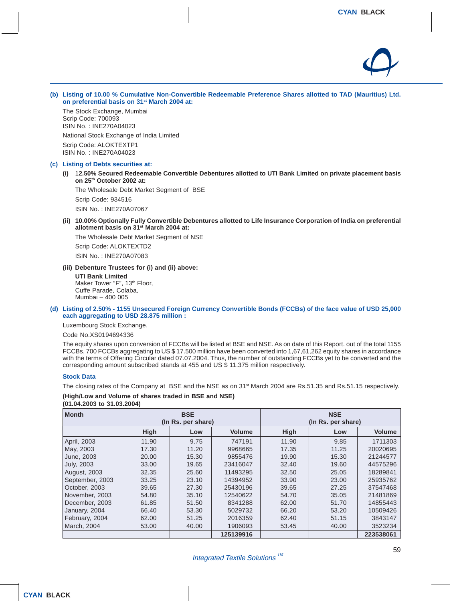

**(b) Listing of 10.00 % Cumulative Non-Convertible Redeemable Preference Shares allotted to TAD (Mauritius) Ltd. on preferential basis on 31st March 2004 at:**

The Stock Exchange, Mumbai Scrip Code: 700093 ISIN No. : INE270A04023 National Stock Exchange of India Limited Scrip Code: ALOKTEXTP1 ISIN No. : INE270A04023

#### **(c) Listing of Debts securities at:**

**(i)** 1**2.50% Secured Redeemable Convertible Debentures allotted to UTI Bank Limited on private placement basis on 25th October 2002 at:**

The Wholesale Debt Market Segment of BSE

Scrip Code: 934516

ISIN No. : INE270A07067

**(ii) 10.00% Optionally Fully Convertible Debentures allotted to Life Insurance Corporation of India on preferential allotment basis on 31st March 2004 at:**

The Wholesale Debt Market Segment of NSE

Scrip Code: ALOKTEXTD2 ISIN No. : INE270A07083

**(iii) Debenture Trustees for (i) and (ii) above:**

**UTI Bank Limited** Maker Tower "F", 13<sup>th</sup> Floor, Cuffe Parade, Colaba, Mumbai – 400 005

#### **(d) Listing of 2.50% - 1155 Unsecured Foreign Currency Convertible Bonds (FCCBs) of the face value of USD 25,000 each aggregating to USD 28.875 million :**

Luxembourg Stock Exchange.

Code No.XS0194694336

The equity shares upon conversion of FCCBs will be listed at BSE and NSE. As on date of this Report. out of the total 1155 FCCBs, 700 FCCBs aggregating to US \$ 17.500 million have been converted into 1,67,61,262 equity shares in accordance with the terms of Offering Circular dated 07.07.2004. Thus, the number of outstanding FCCBs yet to be converted and the corresponding amount subscribed stands at 455 and US \$ 11.375 million respectively.

#### **Stock Data**

The closing rates of the Company at BSE and the NSE as on 31st March 2004 are Rs.51.35 and Rs.51.15 respectively.

#### **(High/Low and Volume of shares traded in BSE and NSE)**

**(01.04.2003 to 31.03.2004)**

| <b>Month</b>        | <b>BSE</b><br>(In Rs. per share) |       |               | <b>NSE</b><br>(In Rs. per share) |       |               |
|---------------------|----------------------------------|-------|---------------|----------------------------------|-------|---------------|
|                     | High                             | Low   | <b>Volume</b> | High                             | Low   | <b>Volume</b> |
| April, 2003         | 11.90                            | 9.75  | 747191        | 11.90                            | 9.85  | 1711303       |
| May, 2003           | 17.30                            | 11.20 | 9968665       | 17.35                            | 11.25 | 20020695      |
| June, 2003          | 20.00                            | 15.30 | 9855476       | 19.90                            | 15.30 | 21244577      |
| <b>July, 2003</b>   | 33.00                            | 19.65 | 23416047      | 32.40                            | 19.60 | 44575296      |
| <b>August, 2003</b> | 32.35                            | 25.60 | 11493295      | 32.50                            | 25.05 | 18289841      |
| September, 2003     | 33.25                            | 23.10 | 14394952      | 33.90                            | 23.00 | 25935762      |
| October, 2003       | 39.65                            | 27.30 | 25430196      | 39.65                            | 27.25 | 37547468      |
| November, 2003      | 54.80                            | 35.10 | 12540622      | 54.70                            | 35.05 | 21481869      |
| December, 2003      | 61.85                            | 51.50 | 8341288       | 62.00                            | 51.70 | 14855443      |
| January, 2004       | 66.40                            | 53.30 | 5029732       | 66.20                            | 53.20 | 10509426      |
| February, 2004      | 62.00                            | 51.25 | 2016359       | 62.40                            | 51.15 | 3843147       |
| March, 2004         | 53.00                            | 40.00 | 1906093       | 53.45                            | 40.00 | 3523234       |
|                     |                                  |       | 125139916     |                                  |       | 223538061     |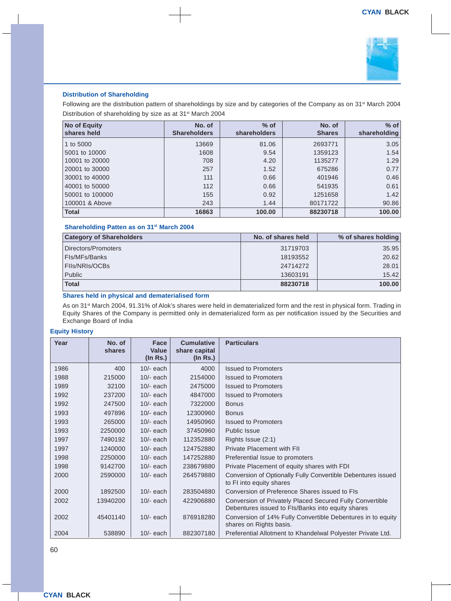

#### **Distribution of Shareholding**

Following are the distribution pattern of shareholdings by size and by categories of the Company as on 31<sup>st</sup> March 2004 Distribution of shareholding by size as at 31<sup>st</sup> March 2004

| <b>No of Equity</b><br>shares held | No. of<br><b>Shareholders</b> | $%$ of<br><b>shareholders</b> | No. of<br><b>Shares</b> | $%$ of<br>shareholding |
|------------------------------------|-------------------------------|-------------------------------|-------------------------|------------------------|
| 1 to 5000                          | 13669                         | 81.06                         | 2693771                 | 3.05                   |
| 5001 to 10000                      | 1608                          | 9.54                          | 1359123                 | 1.54                   |
| 10001 to 20000                     | 708                           | 4.20                          | 1135277                 | 1.29                   |
| 20001 to 30000                     | 257                           | 1.52                          | 675286                  | 0.77                   |
| 30001 to 40000                     | 111                           | 0.66                          | 401946                  | 0.46                   |
| 40001 to 50000                     | 112                           | 0.66                          | 541935                  | 0.61                   |
| 50001 to 100000                    | 155                           | 0.92                          | 1251658                 | 1.42                   |
| 100001 & Above                     | 243                           | 1.44                          | 80171722                | 90.86                  |
| <b>Total</b>                       | 16863                         | 100.00                        | 88230718                | 100.00                 |

#### **Shareholding Patten as on 31st March 2004**

| <b>Category of Shareholders</b> | No. of shares held | % of shares holding |  |
|---------------------------------|--------------------|---------------------|--|
| Directors/Promoters             | 31719703           | 35.95               |  |
| Fls/MFs/Banks                   | 18193552           | 20.62               |  |
| FIIs/NRIs/OCBs                  | 24714272           | 28.01               |  |
| Public                          | 13603191           | 15.42               |  |
| <b>Total</b>                    | 88230718           | 100.00              |  |

#### **Shares held in physical and dematerialised form**

As on 31<sup>st</sup> March 2004, 91.31% of Alok's shares were held in dematerialized form and the rest in physical form. Trading in Equity Shares of the Company is permitted only in dematerialized form as per notification issued by the Securities and Exchange Board of India

#### **Equity History**

| Year | No. of<br>shares | Face<br>Value<br>$($ In Rs. $)$ | <b>Cumulative</b><br>share capital<br>$($ ln Rs. $)$ | <b>Particulars</b>                                                                                            |
|------|------------------|---------------------------------|------------------------------------------------------|---------------------------------------------------------------------------------------------------------------|
| 1986 | 400              | $10/-$ each                     | 4000                                                 | <b>Issued to Promoters</b>                                                                                    |
| 1988 | 215000           | $10/-$ each                     | 2154000                                              | <b>Issued to Promoters</b>                                                                                    |
| 1989 | 32100            | $10/-$ each                     | 2475000                                              | <b>Issued to Promoters</b>                                                                                    |
| 1992 | 237200           | $10/-$ each                     | 4847000                                              | <b>Issued to Promoters</b>                                                                                    |
| 1992 | 247500           | $10/-$ each                     | 7322000                                              | <b>Bonus</b>                                                                                                  |
| 1993 | 497896           | $10/-$ each                     | 12300960                                             | <b>Bonus</b>                                                                                                  |
| 1993 | 265000           | $10/-$ each                     | 14950960                                             | <b>Issued to Promoters</b>                                                                                    |
| 1993 | 2250000          | $10/-$ each                     | 37450960                                             | Public Issue                                                                                                  |
| 1997 | 7490192          | $10/-$ each                     | 112352880                                            | Rights Issue (2:1)                                                                                            |
| 1997 | 1240000          | $10/-$ each                     | 124752880                                            | <b>Private Placement with FII</b>                                                                             |
| 1998 | 2250000          | $10/-$ each                     | 147252880                                            | Preferential Issue to promoters                                                                               |
| 1998 | 9142700          | $10/-$ each                     | 238679880                                            | Private Placement of equity shares with FDI                                                                   |
| 2000 | 2590000          | $10/-$ each                     | 264579880                                            | Conversion of Optionally Fully Convertible Debentures issued<br>to FI into equity shares                      |
| 2000 | 1892500          | $10/-$ each                     | 283504880                                            | Conversion of Preference Shares issued to FIs                                                                 |
| 2002 | 13940200         | $10/-$ each                     | 422906880                                            | Conversion of Privately Placed Secured Fully Convertible<br>Debentures issued to FIs/Banks into equity shares |
| 2002 | 45401140         | $10/-$ each                     | 876918280                                            | Conversion of 14% Fully Convertible Debentures in to equity<br>shares on Rights basis.                        |
| 2004 | 538890           | $10/-$ each                     | 882307180                                            | Preferential Allotment to Khandelwal Polyester Private Ltd.                                                   |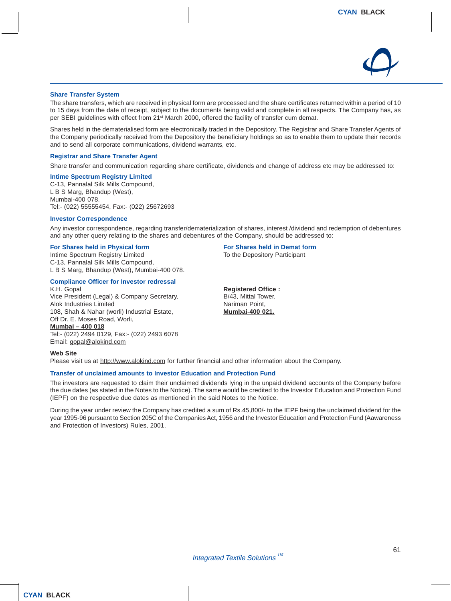

#### **Share Transfer System**

The share transfers, which are received in physical form are processed and the share certificates returned within a period of 10 to 15 days from the date of receipt, subject to the documents being valid and complete in all respects. The Company has, as per SEBI guidelines with effect from 21st March 2000, offered the facility of transfer cum demat.

Shares held in the dematerialised form are electronically traded in the Depository. The Registrar and Share Transfer Agents of the Company periodically received from the Depository the beneficiary holdings so as to enable them to update their records and to send all corporate communications, dividend warrants, etc.

#### **Registrar and Share Transfer Agent**

Share transfer and communication regarding share certificate, dividends and change of address etc may be addressed to:

#### **Intime Spectrum Registry Limited**

C-13, Pannalal Silk Mills Compound, L B S Marg, Bhandup (West), Mumbai-400 078. Tel:- (022) 55555454, Fax:- (022) 25672693

#### **Investor Correspondence**

Any investor correspondence, regarding transfer/dematerialization of shares, interest /dividend and redemption of debentures and any other query relating to the shares and debentures of the Company, should be addressed to:

#### **For Shares held in Physical form For Shares held in Demat form**

Intime Spectrum Registry Limited To the Depository Participant C-13, Pannalal Silk Mills Compound, L B S Marg, Bhandup (West), Mumbai-400 078.

### **Compliance Officer for Investor redressal**

Vice President (Legal) & Company Secretary,  $B/43$ , Mittal Tower,  $A$ lok Industries Limited Alok Industries Limited 108, Shah & Nahar (worli) Industrial Estate, **Mumbai-400 021.** Off Dr. E. Moses Road, Worli, **Mumbai – 400 018** Tel:- (022) 2494 0129, Fax:- (022) 2493 6078 Email: gopal@alokind.com

**Registered Office:** 

#### **Web Site**

Please visit us at http://www.alokind.com for further financial and other information about the Company.

#### **Transfer of unclaimed amounts to Investor Education and Protection Fund**

The investors are requested to claim their unclaimed dividends lying in the unpaid dividend accounts of the Company before the due dates (as stated in the Notes to the Notice). The same would be credited to the Investor Education and Protection Fund (IEPF) on the respective due dates as mentioned in the said Notes to the Notice.

During the year under review the Company has credited a sum of Rs.45,800/- to the IEPF being the unclaimed dividend for the year 1995-96 pursuant to Section 205C of the Companies Act, 1956 and the Investor Education and Protection Fund (Aawareness and Protection of Investors) Rules, 2001.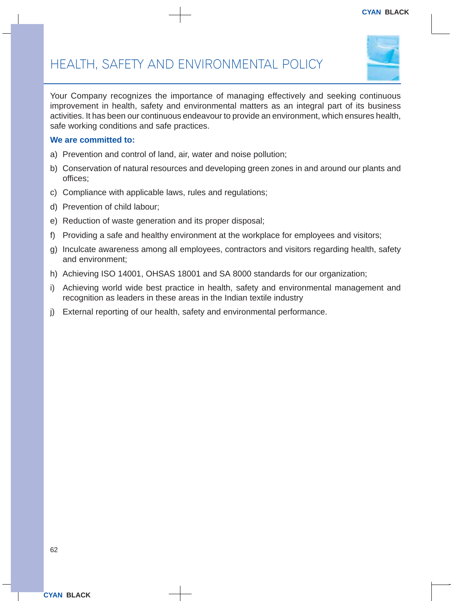

Your Company recognizes the importance of managing effectively and seeking continuous improvement in health, safety and environmental matters as an integral part of its business activities. It has been our continuous endeavour to provide an environment, which ensures health, safe working conditions and safe practices.

### **We are committed to:**

- a) Prevention and control of land, air, water and noise pollution;
- b) Conservation of natural resources and developing green zones in and around our plants and offices;
- c) Compliance with applicable laws, rules and regulations;
- d) Prevention of child labour;
- e) Reduction of waste generation and its proper disposal;
- f) Providing a safe and healthy environment at the workplace for employees and visitors;
- g) Inculcate awareness among all employees, contractors and visitors regarding health, safety and environment;
- h) Achieving ISO 14001, OHSAS 18001 and SA 8000 standards for our organization;
- i) Achieving world wide best practice in health, safety and environmental management and recognition as leaders in these areas in the Indian textile industry
- j) External reporting of our health, safety and environmental performance.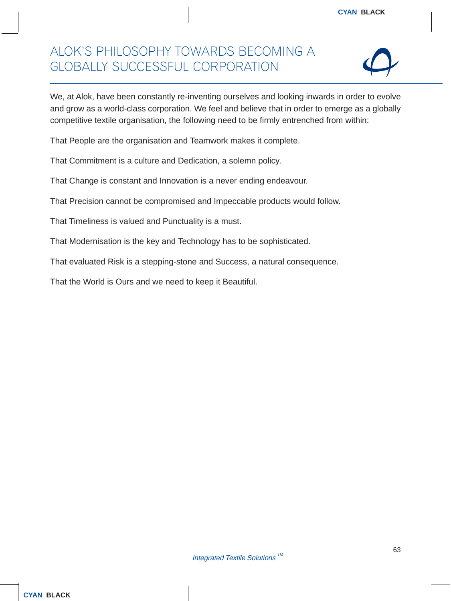### ALOK'S PHILOSOPHY TOWARDS BECOMING A GLOBALLY SUCCESSFUL CORPORATION



We, at Alok, have been constantly re-inventing ourselves and looking inwards in order to evolve and grow as a world-class corporation. We feel and believe that in order to emerge as a globally competitive textile organisation, the following need to be firmly entrenched from within:

That People are the organisation and Teamwork makes it complete.

That Commitment is a culture and Dedication, a solemn policy.

That Change is constant and Innovation is a never ending endeavour.

That Precision cannot be compromised and Impeccable products would follow.

That Timeliness is valued and Punctuality is a must.

That Modernisation is the key and Technology has to be sophisticated.

That evaluated Risk is a stepping-stone and Success, a natural consequence.

That the World is Ours and we need to keep it Beautiful.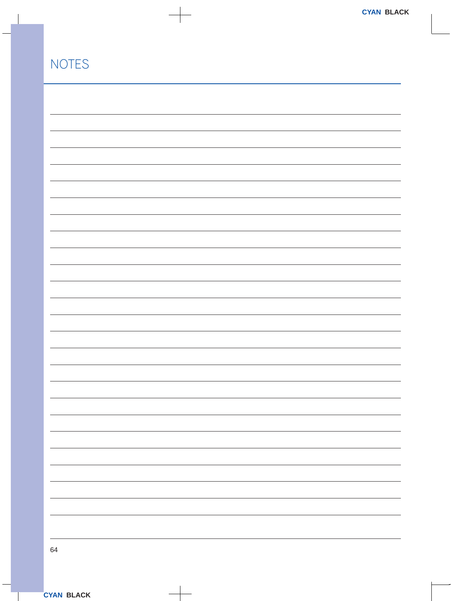| <b>NOTES</b> |  |
|--------------|--|
|              |  |
|              |  |
|              |  |
|              |  |
|              |  |
|              |  |
|              |  |
|              |  |
|              |  |
|              |  |
|              |  |
|              |  |
|              |  |
|              |  |
|              |  |
|              |  |
|              |  |
|              |  |
|              |  |
|              |  |
|              |  |
|              |  |
|              |  |
|              |  |
|              |  |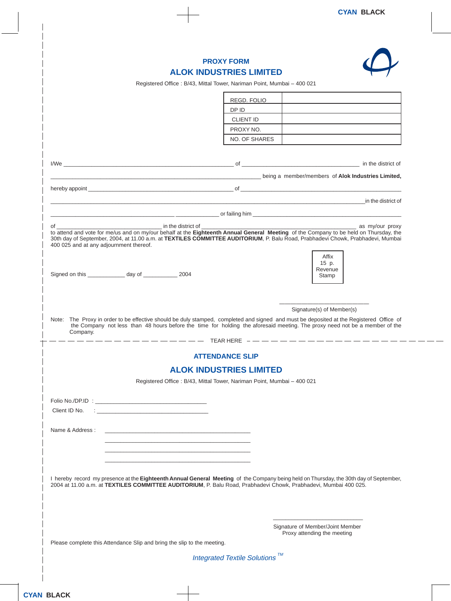|                                                                         |                                            | <b>PROXY FORM</b>                                                                                                                                                                                                                                                        |                                  |                           |
|-------------------------------------------------------------------------|--------------------------------------------|--------------------------------------------------------------------------------------------------------------------------------------------------------------------------------------------------------------------------------------------------------------------------|----------------------------------|---------------------------|
|                                                                         |                                            | <b>ALOK INDUSTRIES LIMITED</b>                                                                                                                                                                                                                                           |                                  |                           |
|                                                                         |                                            | Registered Office: B/43, Mittal Tower, Nariman Point, Mumbai - 400 021                                                                                                                                                                                                   |                                  |                           |
|                                                                         |                                            | REGD. FOLIO                                                                                                                                                                                                                                                              |                                  |                           |
|                                                                         |                                            | DP ID                                                                                                                                                                                                                                                                    |                                  |                           |
|                                                                         |                                            | <b>CLIENT ID</b>                                                                                                                                                                                                                                                         |                                  |                           |
|                                                                         |                                            | PROXY NO.                                                                                                                                                                                                                                                                |                                  |                           |
|                                                                         |                                            | NO. OF SHARES                                                                                                                                                                                                                                                            |                                  |                           |
|                                                                         |                                            |                                                                                                                                                                                                                                                                          |                                  |                           |
|                                                                         |                                            |                                                                                                                                                                                                                                                                          |                                  |                           |
|                                                                         |                                            | Logical Company of Alok Industries Limited,                                                                                                                                                                                                                              |                                  |                           |
|                                                                         |                                            |                                                                                                                                                                                                                                                                          |                                  |                           |
|                                                                         |                                            |                                                                                                                                                                                                                                                                          |                                  |                           |
|                                                                         |                                            |                                                                                                                                                                                                                                                                          |                                  | <u>in the district of</u> |
|                                                                         |                                            |                                                                                                                                                                                                                                                                          |                                  |                           |
|                                                                         |                                            |                                                                                                                                                                                                                                                                          |                                  | as my/our proxy           |
|                                                                         |                                            | to attend and vote for me/us and on my/our behalf at the Eighteenth Annual General Meeting of the Company to be held on Thursday, the<br>30th day of September, 2004, at 11.00 a.m. at TEXTILES COMMITTEE AUDITORIUM, P. Balu Road, Prabhadevi Chowk, Prabhadevi, Mumbai |                                  |                           |
| 400 025 and at any adjournment thereof.                                 |                                            |                                                                                                                                                                                                                                                                          |                                  |                           |
|                                                                         |                                            |                                                                                                                                                                                                                                                                          | Affix                            |                           |
|                                                                         |                                            |                                                                                                                                                                                                                                                                          | 15 p.                            |                           |
| Signed on this _____________ day of ____________ 2004                   |                                            |                                                                                                                                                                                                                                                                          | Revenue<br>Stamp                 |                           |
|                                                                         |                                            |                                                                                                                                                                                                                                                                          |                                  |                           |
|                                                                         |                                            |                                                                                                                                                                                                                                                                          |                                  |                           |
|                                                                         |                                            |                                                                                                                                                                                                                                                                          |                                  |                           |
|                                                                         |                                            |                                                                                                                                                                                                                                                                          | Signature(s) of Member(s)        |                           |
|                                                                         |                                            | Note: The Proxy in order to be effective should be duly stamped, completed and signed and must be deposited at the Registered Office of<br>the Company not less than 48 hours before the time for holding the aforesaid meeting. The proxy need not be a member of the   |                                  |                           |
| Company.                                                                |                                            |                                                                                                                                                                                                                                                                          |                                  |                           |
|                                                                         |                                            | TEAR HERE $-$ - - - - - - - - - - - -                                                                                                                                                                                                                                    |                                  |                           |
|                                                                         |                                            | <b>ATTENDANCE SLIP</b>                                                                                                                                                                                                                                                   |                                  |                           |
|                                                                         |                                            | <b>ALOK INDUSTRIES LIMITED</b>                                                                                                                                                                                                                                           |                                  |                           |
|                                                                         |                                            | Registered Office: B/43, Mittal Tower, Nariman Point, Mumbai - 400 021                                                                                                                                                                                                   |                                  |                           |
|                                                                         |                                            |                                                                                                                                                                                                                                                                          |                                  |                           |
|                                                                         |                                            |                                                                                                                                                                                                                                                                          |                                  |                           |
| Client ID No.                                                           | <u> 1999 - Johann John Stein, markin f</u> |                                                                                                                                                                                                                                                                          |                                  |                           |
|                                                                         |                                            |                                                                                                                                                                                                                                                                          |                                  |                           |
| Name & Address:                                                         |                                            |                                                                                                                                                                                                                                                                          |                                  |                           |
|                                                                         |                                            |                                                                                                                                                                                                                                                                          |                                  |                           |
|                                                                         |                                            |                                                                                                                                                                                                                                                                          |                                  |                           |
|                                                                         |                                            |                                                                                                                                                                                                                                                                          |                                  |                           |
|                                                                         |                                            |                                                                                                                                                                                                                                                                          |                                  |                           |
|                                                                         |                                            | I hereby record my presence at the Eighteenth Annual General Meeting of the Company being held on Thursday, the 30th day of September,                                                                                                                                   |                                  |                           |
|                                                                         |                                            | 2004 at 11.00 a.m. at TEXTILES COMMITTEE AUDITORIUM, P. Balu Road, Prabhadevi Chowk, Prabhadevi, Mumbai 400 025.                                                                                                                                                         |                                  |                           |
|                                                                         |                                            |                                                                                                                                                                                                                                                                          |                                  |                           |
|                                                                         |                                            |                                                                                                                                                                                                                                                                          |                                  |                           |
|                                                                         |                                            |                                                                                                                                                                                                                                                                          |                                  |                           |
|                                                                         |                                            |                                                                                                                                                                                                                                                                          |                                  |                           |
|                                                                         |                                            |                                                                                                                                                                                                                                                                          | Signature of Member/Joint Member |                           |
|                                                                         |                                            |                                                                                                                                                                                                                                                                          | Proxy attending the meeting      |                           |
| Please complete this Attendance Slip and bring the slip to the meeting. |                                            |                                                                                                                                                                                                                                                                          |                                  |                           |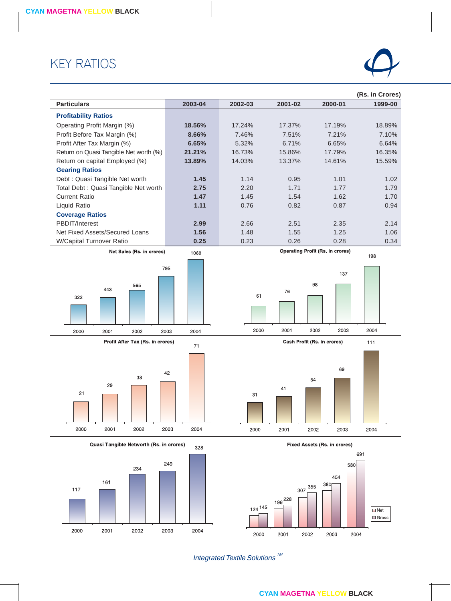### KEY RATIOS



|                                         |              |         |                                     |                                                 | (Rs. in Crores) |
|-----------------------------------------|--------------|---------|-------------------------------------|-------------------------------------------------|-----------------|
| <b>Particulars</b>                      | 2003-04      | 2002-03 | 2001-02                             | 2000-01                                         | 1999-00         |
| <b>Profitability Ratios</b>             |              |         |                                     |                                                 |                 |
| Operating Profit Margin (%)             | 18.56%       | 17.24%  | 17.37%                              | 17.19%                                          | 18.89%          |
| Profit Before Tax Margin (%)            | 8.66%        | 7.46%   | 7.51%                               | 7.21%                                           | 7.10%           |
| Profit After Tax Margin (%)             | 6.65%        | 5.32%   | 6.71%                               | 6.65%                                           | 6.64%           |
| Return on Quasi Tangible Net worth (%)  | 21.21%       | 16.73%  | 15.86%                              | 17.79%                                          | 16.35%          |
| Return on capital Employed (%)          | 13.89%       | 14.03%  | 13.37%                              | 14.61%                                          | 15.59%          |
| <b>Gearing Ratios</b>                   |              |         |                                     |                                                 |                 |
| Debt : Quasi Tangible Net worth         | 1.45         | 1.14    | 0.95                                | 1.01                                            | 1.02            |
| Total Debt : Quasi Tangible Net worth   | 2.75         | 2.20    | 1.71                                | 1.77                                            | 1.79            |
| <b>Current Ratio</b>                    | 1.47         | 1.45    | 1.54                                | 1.62                                            | 1.70            |
| Liquid Ratio                            | 1.11         | 0.76    | 0.82                                | 0.87                                            | 0.94            |
| <b>Coverage Ratios</b>                  |              |         |                                     |                                                 |                 |
| PBDIT/Interest                          | 2.99         | 2.66    | 2.51                                | 2.35                                            | 2.14            |
| Net Fixed Assets/Secured Loans          | 1.56<br>0.25 | 1.48    | 1.55                                | 1.25                                            | 1.06            |
| W/Capital Turnover Ratio                |              | 0.23    | 0.26                                | 0.28<br><b>Operating Profit (Rs. in crores)</b> | 0.34            |
| Net Sales (Rs. in crores)               | 1069         |         |                                     |                                                 | 198             |
|                                         | 795          |         |                                     |                                                 |                 |
|                                         |              |         |                                     | 137                                             |                 |
| 565                                     |              |         |                                     | 98                                              |                 |
| 443<br>322                              |              | 61      | 76                                  |                                                 |                 |
|                                         |              |         |                                     |                                                 |                 |
|                                         |              |         |                                     |                                                 |                 |
|                                         |              |         |                                     |                                                 |                 |
| 2000<br>2002<br>2001                    | 2004<br>2003 | 2000    | 2001                                | 2002<br>2003                                    | 2004            |
| Profit After Tax (Rs. in crores)        | 71           |         |                                     | Cash Profit (Rs. in crores)                     | 111             |
|                                         |              |         |                                     |                                                 |                 |
|                                         |              |         |                                     |                                                 |                 |
| 38                                      | 42           |         |                                     | 69                                              |                 |
| 29                                      |              |         |                                     | 54                                              |                 |
| 21                                      |              | 31      | 41                                  |                                                 |                 |
|                                         |              |         |                                     |                                                 |                 |
|                                         |              |         |                                     |                                                 |                 |
|                                         |              |         |                                     |                                                 |                 |
| 2000<br>2001<br>2002                    | 2003<br>2004 | 2000    | 2001                                | 2002<br>2003                                    | 2004            |
| Quasi Tangible Networth (Rs. in crores) |              |         | <b>Fixed Assets (Rs. in crores)</b> |                                                 |                 |
|                                         | 328          |         |                                     |                                                 | 691             |
|                                         | 249          |         |                                     | 580                                             |                 |
| 234                                     |              |         |                                     | 454                                             |                 |
| 161                                     |              |         |                                     | 380                                             |                 |
| 117                                     |              |         | 307 355                             |                                                 |                 |
|                                         |              |         | 196 <sup>228</sup>                  |                                                 |                 |
|                                         |              | 124 145 |                                     |                                                 | $\Box$ Net      |
|                                         |              |         |                                     |                                                 | <b>■</b> Gross  |
| 2000<br>2001<br>2002                    | 2003<br>2004 |         |                                     |                                                 |                 |
|                                         |              | 2000    | 2002<br>2001                        | 2003                                            | 2004            |

Integrated Textile Solutions  $\frac{m}{s}$